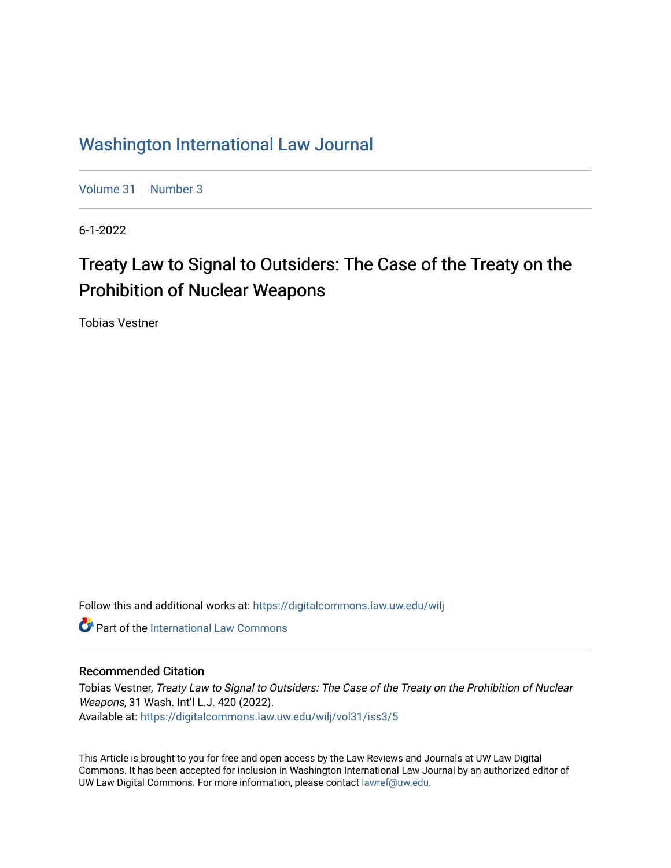# [Washington International Law Journal](https://digitalcommons.law.uw.edu/wilj)

[Volume 31](https://digitalcommons.law.uw.edu/wilj/vol31) | [Number 3](https://digitalcommons.law.uw.edu/wilj/vol31/iss3)

6-1-2022

# Treaty Law to Signal to Outsiders: The Case of the Treaty on the Prohibition of Nuclear Weapons

Tobias Vestner

Follow this and additional works at: [https://digitalcommons.law.uw.edu/wilj](https://digitalcommons.law.uw.edu/wilj?utm_source=digitalcommons.law.uw.edu%2Fwilj%2Fvol31%2Fiss3%2F5&utm_medium=PDF&utm_campaign=PDFCoverPages) 

**C** Part of the International Law Commons

#### Recommended Citation

Tobias Vestner, Treaty Law to Signal to Outsiders: The Case of the Treaty on the Prohibition of Nuclear Weapons, 31 Wash. Int'l L.J. 420 (2022). Available at: [https://digitalcommons.law.uw.edu/wilj/vol31/iss3/5](https://digitalcommons.law.uw.edu/wilj/vol31/iss3/5?utm_source=digitalcommons.law.uw.edu%2Fwilj%2Fvol31%2Fiss3%2F5&utm_medium=PDF&utm_campaign=PDFCoverPages) 

This Article is brought to you for free and open access by the Law Reviews and Journals at UW Law Digital Commons. It has been accepted for inclusion in Washington International Law Journal by an authorized editor of UW Law Digital Commons. For more information, please contact [lawref@uw.edu](mailto:lawref@uw.edu).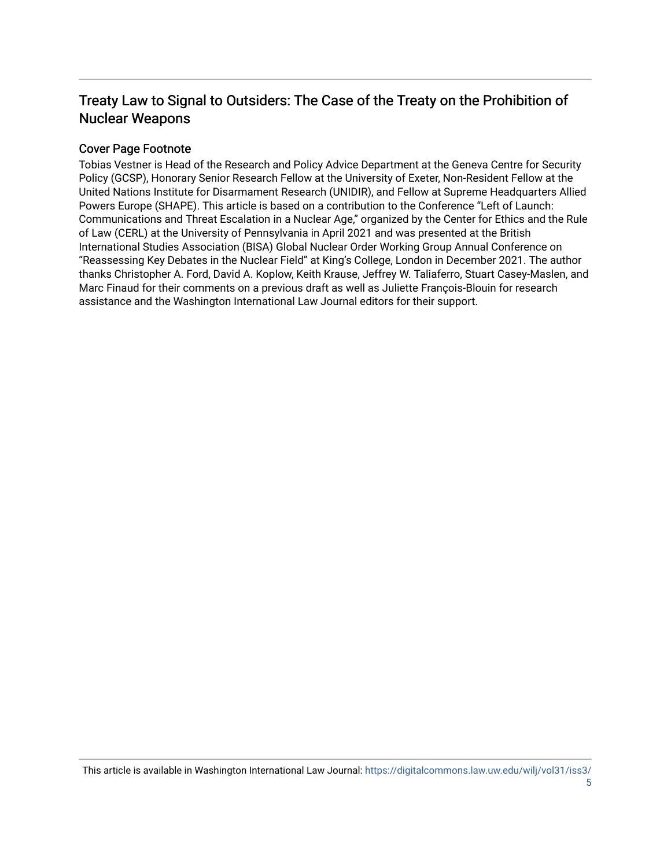# Treaty Law to Signal to Outsiders: The Case of the Treaty on the Prohibition of Nuclear Weapons

#### Cover Page Footnote

Tobias Vestner is Head of the Research and Policy Advice Department at the Geneva Centre for Security Policy (GCSP), Honorary Senior Research Fellow at the University of Exeter, Non-Resident Fellow at the United Nations Institute for Disarmament Research (UNIDIR), and Fellow at Supreme Headquarters Allied Powers Europe (SHAPE). This article is based on a contribution to the Conference "Left of Launch: Communications and Threat Escalation in a Nuclear Age," organized by the Center for Ethics and the Rule of Law (CERL) at the University of Pennsylvania in April 2021 and was presented at the British International Studies Association (BISA) Global Nuclear Order Working Group Annual Conference on "Reassessing Key Debates in the Nuclear Field" at King's College, London in December 2021. The author thanks Christopher A. Ford, David A. Koplow, Keith Krause, Jeffrey W. Taliaferro, Stuart Casey-Maslen, and Marc Finaud for their comments on a previous draft as well as Juliette François-Blouin for research assistance and the Washington International Law Journal editors for their support.

This article is available in Washington International Law Journal: [https://digitalcommons.law.uw.edu/wilj/vol31/iss3/](https://digitalcommons.law.uw.edu/wilj/vol31/iss3/5) [5](https://digitalcommons.law.uw.edu/wilj/vol31/iss3/5)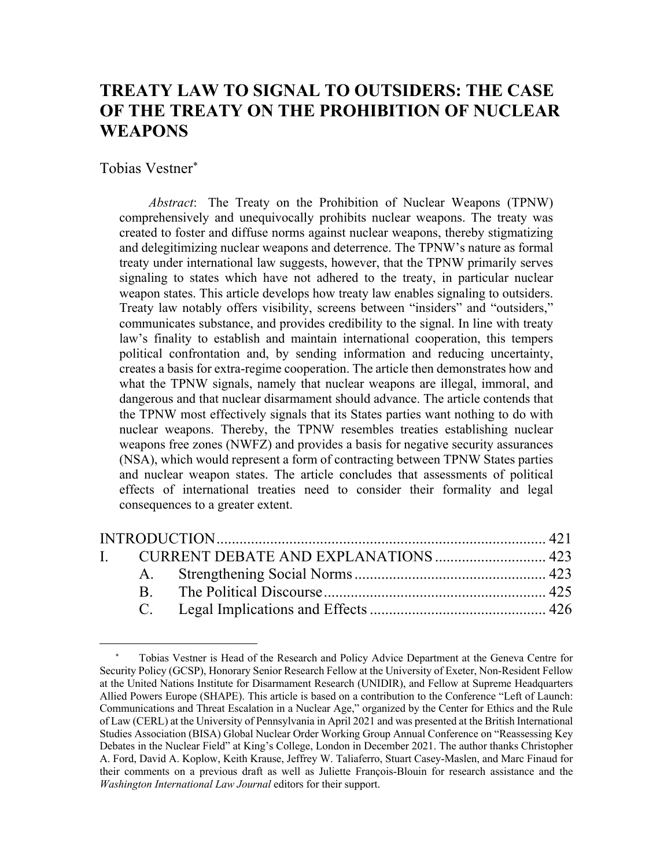# **TREATY LAW TO SIGNAL TO OUTSIDERS: THE CASE OF THE TREATY ON THE PROHIBITION OF NUCLEAR WEAPONS**

Tobias Vestner \*

*Abstract*: The Treaty on the Prohibition of Nuclear Weapons (TPNW) comprehensively and unequivocally prohibits nuclear weapons. The treaty was created to foster and diffuse norms against nuclear weapons, thereby stigmatizing and delegitimizing nuclear weapons and deterrence. The TPNW's nature as formal treaty under international law suggests, however, that the TPNW primarily serves signaling to states which have not adhered to the treaty, in particular nuclear weapon states. This article develops how treaty law enables signaling to outsiders. Treaty law notably offers visibility, screens between "insiders" and "outsiders," communicates substance, and provides credibility to the signal. In line with treaty law's finality to establish and maintain international cooperation, this tempers political confrontation and, by sending information and reducing uncertainty, creates a basis for extra-regime cooperation. The article then demonstrates how and what the TPNW signals, namely that nuclear weapons are illegal, immoral, and dangerous and that nuclear disarmament should advance. The article contends that the TPNW most effectively signals that its States parties want nothing to do with nuclear weapons. Thereby, the TPNW resembles treaties establishing nuclear weapons free zones (NWFZ) and provides a basis for negative security assurances (NSA), which would represent a form of contracting between TPNW States parties and nuclear weapon states. The article concludes that assessments of political effects of international treaties need to consider their formality and legal consequences to a greater extent.

Tobias Vestner is Head of the Research and Policy Advice Department at the Geneva Centre for Security Policy (GCSP), Honorary Senior Research Fellow at the University of Exeter, Non-Resident Fellow at the United Nations Institute for Disarmament Research (UNIDIR), and Fellow at Supreme Headquarters Allied Powers Europe (SHAPE). This article is based on a contribution to the Conference "Left of Launch: Communications and Threat Escalation in a Nuclear Age," organized by the Center for Ethics and the Rule of Law (CERL) at the University of Pennsylvania in April 2021 and was presented at the British International Studies Association (BISA) Global Nuclear Order Working Group Annual Conference on "Reassessing Key Debates in the Nuclear Field" at King's College, London in December 2021. The author thanks Christopher A. Ford, David A. Koplow, Keith Krause, Jeffrey W. Taliaferro, Stuart Casey-Maslen, and Marc Finaud for their comments on a previous draft as well as Juliette François-Blouin for research assistance and the *Washington International Law Journal* editors for their support.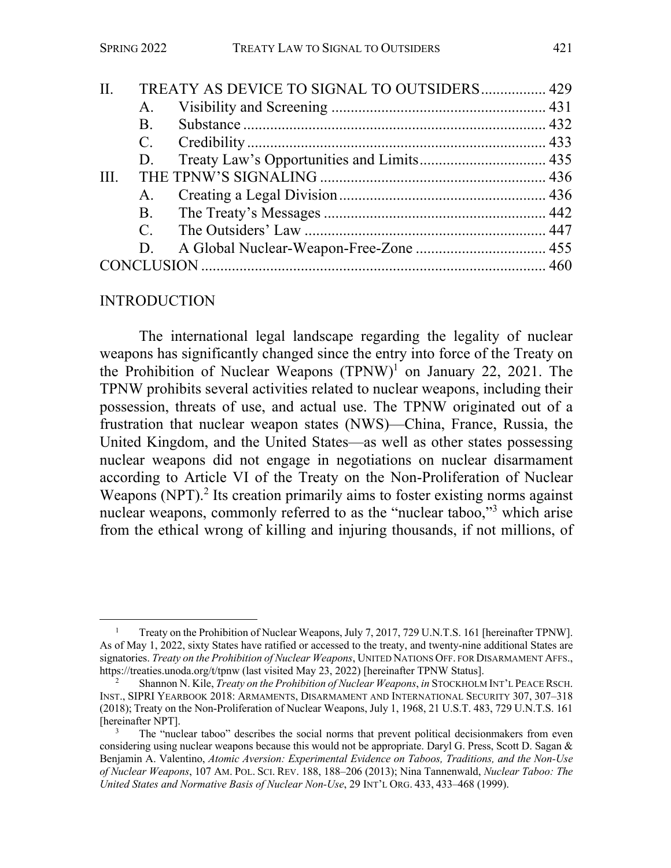| II.  |           | TREATY AS DEVICE TO SIGNAL TO OUTSIDERS 429 |  |
|------|-----------|---------------------------------------------|--|
|      | A.        |                                             |  |
|      | <b>B.</b> |                                             |  |
|      |           |                                             |  |
|      | D.        |                                             |  |
| III. |           |                                             |  |
|      |           |                                             |  |
|      |           |                                             |  |
|      |           |                                             |  |
|      | D.        |                                             |  |
|      |           |                                             |  |
|      |           |                                             |  |

### INTRODUCTION

The international legal landscape regarding the legality of nuclear weapons has significantly changed since the entry into force of the Treaty on the Prohibition of Nuclear Weapons  $(TPNW)^1$  on January 22, 2021. The TPNW prohibits several activities related to nuclear weapons, including their possession, threats of use, and actual use. The TPNW originated out of a frustration that nuclear weapon states (NWS)—China, France, Russia, the United Kingdom, and the United States—as well as other states possessing nuclear weapons did not engage in negotiations on nuclear disarmament according to Article VI of the Treaty on the Non-Proliferation of Nuclear Weapons (NPT).<sup>2</sup> Its creation primarily aims to foster existing norms against nuclear weapons, commonly referred to as the "nuclear taboo,"3 which arise from the ethical wrong of killing and injuring thousands, if not millions, of

<sup>1</sup> Treaty on the Prohibition of Nuclear Weapons, July 7, 2017, 729 U.N.T.S. 161 [hereinafter TPNW]. As of May 1, 2022, sixty States have ratified or accessed to the treaty, and twenty-nine additional States are signatories. *Treaty on the Prohibition of Nuclear Weapons*, UNITED NATIONS OFF. FOR DISARMAMENT AFFS., https://treaties.unoda.org/t/tpnw (last visited May 23, 2022) [hereinafter TPNW Status].

<sup>2</sup> Shannon N. Kile, *Treaty on the Prohibition of Nuclear Weapons*, *in* STOCKHOLM INT'L PEACE RSCH. INST., SIPRI YEARBOOK 2018: ARMAMENTS, DISARMAMENT AND INTERNATIONAL SECURITY 307, 307–318 (2018); Treaty on the Non-Proliferation of Nuclear Weapons, July 1, 1968, 21 U.S.T. 483, 729 U.N.T.S. 161 [hereinafter NPT].

<sup>3</sup> The "nuclear taboo" describes the social norms that prevent political decisionmakers from even considering using nuclear weapons because this would not be appropriate. Daryl G. Press, Scott D. Sagan & Benjamin A. Valentino, *Atomic Aversion: Experimental Evidence on Taboos, Traditions, and the Non-Use of Nuclear Weapons*, 107 AM. POL. SCI. REV. 188, 188–206 (2013); Nina Tannenwald, *Nuclear Taboo: The United States and Normative Basis of Nuclear Non-Use*, 29 INT'L ORG. 433, 433–468 (1999).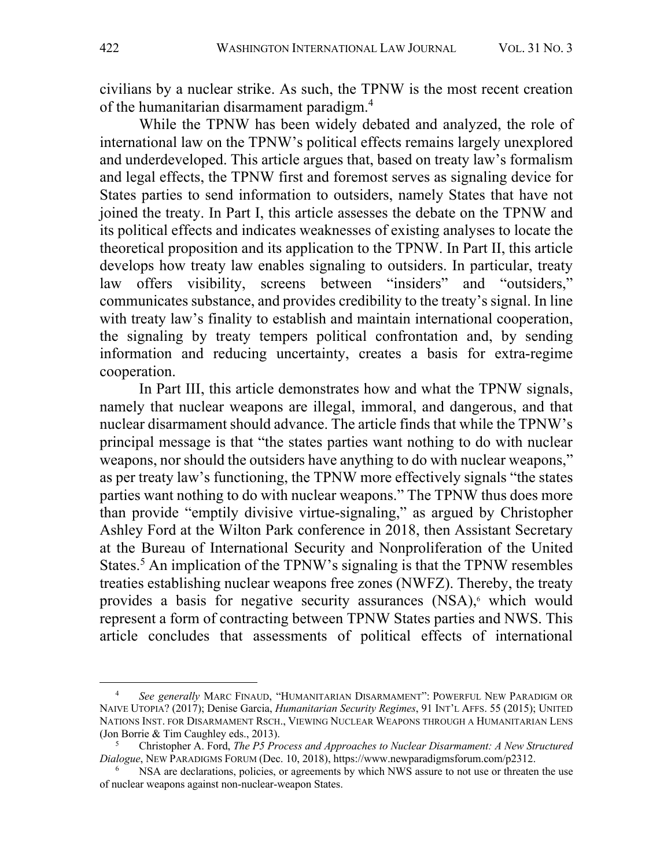civilians by a nuclear strike. As such, the TPNW is the most recent creation of the humanitarian disarmament paradigm.<sup>4</sup>

While the TPNW has been widely debated and analyzed, the role of international law on the TPNW's political effects remains largely unexplored and underdeveloped. This article argues that, based on treaty law's formalism and legal effects, the TPNW first and foremost serves as signaling device for States parties to send information to outsiders, namely States that have not joined the treaty. In Part I, this article assesses the debate on the TPNW and its political effects and indicates weaknesses of existing analyses to locate the theoretical proposition and its application to the TPNW. In Part II, this article develops how treaty law enables signaling to outsiders. In particular, treaty law offers visibility, screens between "insiders" and "outsiders," communicates substance, and provides credibility to the treaty's signal. In line with treaty law's finality to establish and maintain international cooperation, the signaling by treaty tempers political confrontation and, by sending information and reducing uncertainty, creates a basis for extra-regime cooperation.

In Part III, this article demonstrates how and what the TPNW signals, namely that nuclear weapons are illegal, immoral, and dangerous, and that nuclear disarmament should advance. The article finds that while the TPNW's principal message is that "the states parties want nothing to do with nuclear weapons, nor should the outsiders have anything to do with nuclear weapons," as per treaty law's functioning, the TPNW more effectively signals "the states parties want nothing to do with nuclear weapons." The TPNW thus does more than provide "emptily divisive virtue-signaling," as argued by Christopher Ashley Ford at the Wilton Park conference in 2018, then Assistant Secretary at the Bureau of International Security and Nonproliferation of the United States.<sup>5</sup> An implication of the TPNW's signaling is that the TPNW resembles treaties establishing nuclear weapons free zones (NWFZ). Thereby, the treaty provides a basis for negative security assurances (NSA),<sup>6</sup> which would represent a form of contracting between TPNW States parties and NWS. This article concludes that assessments of political effects of international

<sup>4</sup> *See generally* MARC FINAUD, "HUMANITARIAN DISARMAMENT": POWERFUL NEW PARADIGM OR NAIVE UTOPIA? (2017); Denise Garcia, *Humanitarian Security Regimes*, 91 INT'L AFFS. 55 (2015); UNITED NATIONS INST. FOR DISARMAMENT RSCH., VIEWING NUCLEAR WEAPONS THROUGH A HUMANITARIAN LENS (Jon Borrie & Tim Caughley eds., 2013).

<sup>5</sup> Christopher A. Ford, *The P5 Process and Approaches to Nuclear Disarmament: A New Structured Dialogue*, NEW PARADIGMS FORUM (Dec. 10, 2018), https://www.newparadigmsforum.com/p2312.<br><sup>6</sup> NSA are declarations, policies, or agreements by which NWS assure to not use or threaten the use

of nuclear weapons against non-nuclear-weapon States.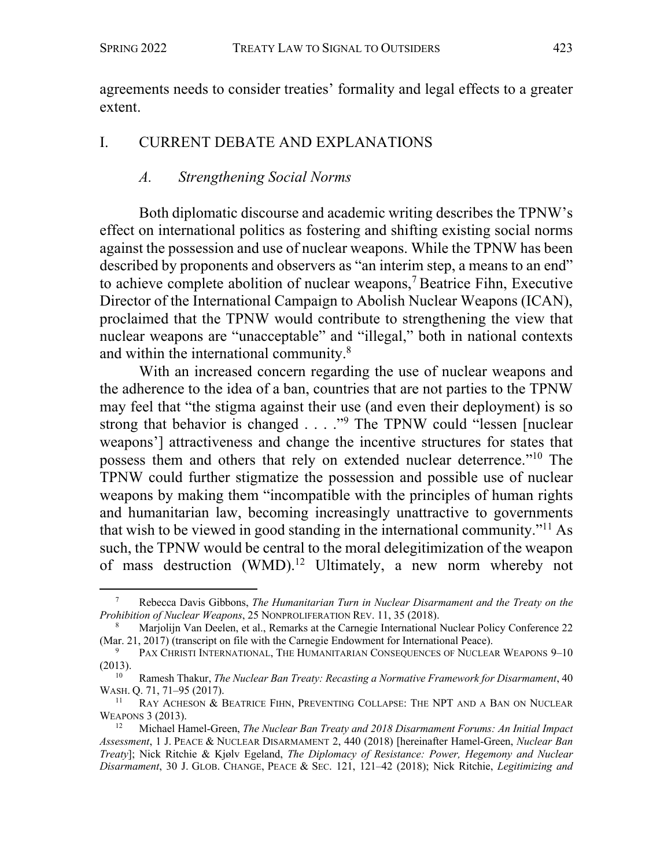agreements needs to consider treaties' formality and legal effects to a greater extent.

### I. CURRENT DEBATE AND EXPLANATIONS

### *A. Strengthening Social Norms*

Both diplomatic discourse and academic writing describes the TPNW's effect on international politics as fostering and shifting existing social norms against the possession and use of nuclear weapons. While the TPNW has been described by proponents and observers as "an interim step, a means to an end" to achieve complete abolition of nuclear weapons, <sup>7</sup> Beatrice Fihn, Executive Director of the International Campaign to Abolish Nuclear Weapons (ICAN), proclaimed that the TPNW would contribute to strengthening the view that nuclear weapons are "unacceptable" and "illegal," both in national contexts and within the international community.8

With an increased concern regarding the use of nuclear weapons and the adherence to the idea of a ban, countries that are not parties to the TPNW may feel that "the stigma against their use (and even their deployment) is so strong that behavior is changed . . . ."<sup>9</sup> The TPNW could "lessen [nuclear weapons'] attractiveness and change the incentive structures for states that possess them and others that rely on extended nuclear deterrence."10 The TPNW could further stigmatize the possession and possible use of nuclear weapons by making them "incompatible with the principles of human rights and humanitarian law, becoming increasingly unattractive to governments that wish to be viewed in good standing in the international community."11 As such, the TPNW would be central to the moral delegitimization of the weapon of mass destruction (WMD).<sup>12</sup> Ultimately, a new norm whereby not

<sup>7</sup> Rebecca Davis Gibbons, *The Humanitarian Turn in Nuclear Disarmament and the Treaty on the Prohibition of Nuclear Weapons*, 25 NONPROLIFERATION REV. 11, 35 (2018).

<sup>8</sup> Marjolijn Van Deelen, et al., Remarks at the Carnegie International Nuclear Policy Conference 22 (Mar. 21, 2017) (transcript on file with the Carnegie Endowment for International Peace).

PAX CHRISTI INTERNATIONAL, THE HUMANITARIAN CONSEQUENCES OF NUCLEAR WEAPONS 9-10  $(2013).$ 

<sup>10</sup> Ramesh Thakur, *The Nuclear Ban Treaty: Recasting a Normative Framework for Disarmament*, 40 WASH. Q. 71, 71–95 (2017).<br> $\frac{11}{P_{\text{AV}}}\frac{1}{A}$  CHESON  $R_{\text{V}}$ 

RAY ACHESON & BEATRICE FIHN, PREVENTING COLLAPSE: THE NPT AND A BAN ON NUCLEAR WEAPONS 3 (2013).

<sup>12</sup> Michael Hamel-Green, *The Nuclear Ban Treaty and 2018 Disarmament Forums: An Initial Impact Assessment*, 1 J. PEACE & NUCLEAR DISARMAMENT 2, 440 (2018) [hereinafter Hamel-Green, *Nuclear Ban Treaty*]; Nick Ritchie & Kjølv Egeland, *The Diplomacy of Resistance: Power, Hegemony and Nuclear Disarmament*, 30 J. GLOB. CHANGE, PEACE & SEC. 121, 121–42 (2018); Nick Ritchie, *Legitimizing and*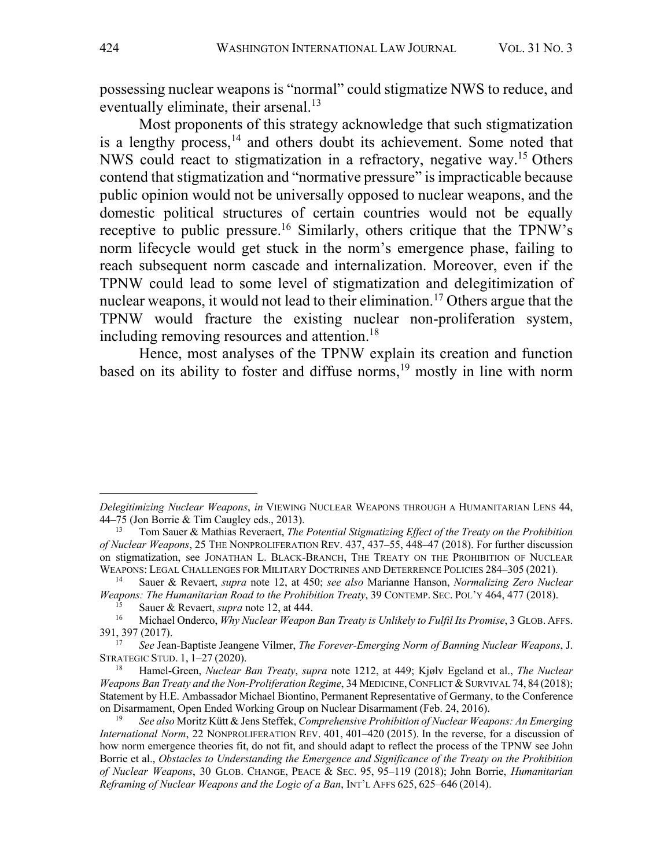possessing nuclear weapons is "normal" could stigmatize NWS to reduce, and eventually eliminate, their arsenal.<sup>13</sup>

Most proponents of this strategy acknowledge that such stigmatization is a lengthy process,  $14$  and others doubt its achievement. Some noted that NWS could react to stigmatization in a refractory, negative way.15 Others contend that stigmatization and "normative pressure" is impracticable because public opinion would not be universally opposed to nuclear weapons, and the domestic political structures of certain countries would not be equally receptive to public pressure.<sup>16</sup> Similarly, others critique that the TPNW's norm lifecycle would get stuck in the norm's emergence phase, failing to reach subsequent norm cascade and internalization. Moreover, even if the TPNW could lead to some level of stigmatization and delegitimization of nuclear weapons, it would not lead to their elimination.17 Others argue that the TPNW would fracture the existing nuclear non-proliferation system, including removing resources and attention.<sup>18</sup>

Hence, most analyses of the TPNW explain its creation and function based on its ability to foster and diffuse norms, <sup>19</sup> mostly in line with norm

*Delegitimizing Nuclear Weapons*, *in* VIEWING NUCLEAR WEAPONS THROUGH A HUMANITARIAN LENS 44, 44–75 (Jon Borrie & Tim Caugley eds., 2013).

<sup>13</sup> Tom Sauer & Mathias Reveraert, *The Potential Stigmatizing Effect of the Treaty on the Prohibition of Nuclear Weapons*, 25 THE NONPROLIFERATION REV. 437, 437–55, 448–47 (2018). For further discussion on stigmatization, see JONATHAN L. BLACK-BRANCH, THE TREATY ON THE PROHIBITION OF NUCLEAR WEAPONS: LEGAL CHALLENGES FOR MILITARY DOCTRINES AND DETERRENCE POLICIES 284–305 (2021). 14 Sauer & Revaert, *supra* note 12, at 450; *see also* Marianne Hanson, *Normalizing Zero Nuclear* 

*Weapons: The Humanitarian Road to the Prohibition Treaty*, 39 CONTEMP. SEC. POL'Y 464, 477 (2018).

<sup>&</sup>lt;sup>15</sup> Sauer & Revaert, *supra* note 12, at 444.<br><sup>16</sup> Michael Onderco, *Why Nuclear Weapon Ban Treaty is Unlikely to Fulfil Its Promise*, 3 GLOB. AFFS. 391, 397 (2017).

<sup>17</sup> *See* Jean-Baptiste Jeangene Vilmer, *The Forever-Emerging Norm of Banning Nuclear Weapons*, J. STRATEGIC STUD. 1, 1–27 (2020).

<sup>18</sup> Hamel-Green, *Nuclear Ban Treaty*, *supra* note 1212, at 449; Kjølv Egeland et al., *The Nuclear Weapons Ban Treaty and the Non-Proliferation Regime*, 34 MEDICINE, CONFLICT & SURVIVAL 74, 84 (2018); Statement by H.E. Ambassador Michael Biontino, Permanent Representative of Germany, to the Conference on Disarmament, Open Ended Working Group on Nuclear Disarmament (Feb. 24, 2016).

<sup>19</sup> *See also* Moritz Kütt & Jens Steffek, *Comprehensive Prohibition of Nuclear Weapons: An Emerging International Norm*, 22 NONPROLIFERATION REV. 401, 401–420 (2015). In the reverse, for a discussion of how norm emergence theories fit, do not fit, and should adapt to reflect the process of the TPNW see John Borrie et al., *Obstacles to Understanding the Emergence and Significance of the Treaty on the Prohibition of Nuclear Weapons*, 30 GLOB. CHANGE, PEACE & SEC. 95, 95–119 (2018); John Borrie, *Humanitarian Reframing of Nuclear Weapons and the Logic of a Ban*, INT'L AFFS 625, 625–646 (2014).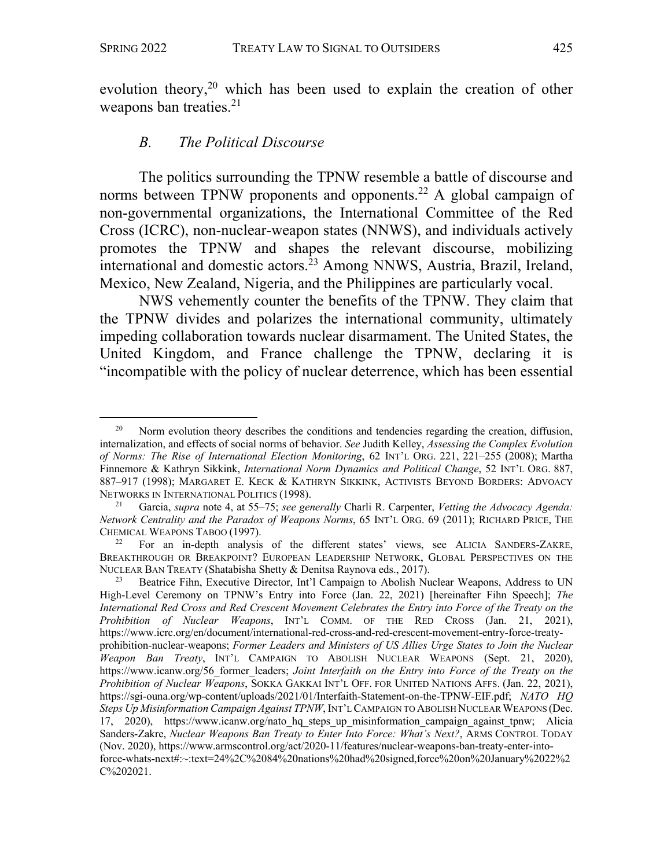evolution theory, <sup>20</sup> which has been used to explain the creation of other weapons ban treaties.<sup>21</sup>

#### *B. The Political Discourse*

The politics surrounding the TPNW resemble a battle of discourse and norms between TPNW proponents and opponents.<sup>22</sup> A global campaign of non-governmental organizations, the International Committee of the Red Cross (ICRC), non-nuclear-weapon states (NNWS), and individuals actively promotes the TPNW and shapes the relevant discourse, mobilizing international and domestic actors.<sup>23</sup> Among NNWS, Austria, Brazil, Ireland, Mexico, New Zealand, Nigeria, and the Philippines are particularly vocal.

NWS vehemently counter the benefits of the TPNW. They claim that the TPNW divides and polarizes the international community, ultimately impeding collaboration towards nuclear disarmament. The United States, the United Kingdom, and France challenge the TPNW, declaring it is "incompatible with the policy of nuclear deterrence, which has been essential

Norm evolution theory describes the conditions and tendencies regarding the creation, diffusion, internalization, and effects of social norms of behavior. *See* Judith Kelley, *Assessing the Complex Evolution of Norms: The Rise of International Election Monitoring*, 62 INT'L ORG. 221, 221–255 (2008); Martha Finnemore & Kathryn Sikkink, *International Norm Dynamics and Political Change*, 52 INT'L ORG. 887, 887–917 (1998); MARGARET E. KECK & KATHRYN SIKKINK, ACTIVISTS BEYOND BORDERS: ADVOACY NETWORKS IN INTERNATIONAL POLITICS (1998).

<sup>21</sup> Garcia, *supra* note 4, at 55–75; *see generally* Charli R. Carpenter, *Vetting the Advocacy Agenda: Network Centrality and the Paradox of Weapons Norms*, 65 INT'L ORG. 69 (2011); RICHARD PRICE, THE CHEMICAL WEAPONS TABOO (1997).

<sup>22</sup> For an in-depth analysis of the different states' views, see ALICIA SANDERS-ZAKRE, BREAKTHROUGH OR BREAKPOINT? EUROPEAN LEADERSHIP NETWORK, GLOBAL PERSPECTIVES ON THE NUCLEAR BAN TREATY (Shatabisha Shetty & Denitsa Raynova eds., 2017).

<sup>&</sup>lt;sup>23</sup> Beatrice Fihn, Executive Director, Int'l Campaign to Abolish Nuclear Weapons, Address to UN High-Level Ceremony on TPNW's Entry into Force (Jan. 22, 2021) [hereinafter Fihn Speech]; *The International Red Cross and Red Crescent Movement Celebrates the Entry into Force of the Treaty on the Prohibition of Nuclear Weapons*, INT'L COMM. OF THE RED CROSS (Jan. 21, 2021), https://www.icrc.org/en/document/international-red-cross-and-red-crescent-movement-entry-force-treatyprohibition-nuclear-weapons; *Former Leaders and Ministers of US Allies Urge States to Join the Nuclear Weapon Ban Treaty*, INT'L CAMPAIGN TO ABOLISH NUCLEAR WEAPONS (Sept. 21, 2020), https://www.icanw.org/56 former\_leaders; *Joint Interfaith on the Entry into Force of the Treaty on the Prohibition of Nuclear Weapons*, SOKKA GAKKAI INT'L OFF. FOR UNITED NATIONS AFFS. (Jan. 22, 2021), https://sgi-ouna.org/wp-content/uploads/2021/01/Interfaith-Statement-on-the-TPNW-EIF.pdf; *NATO HQ Steps Up Misinformation Campaign Against TPNW*, INT'L CAMPAIGN TO ABOLISH NUCLEAR WEAPONS (Dec. 17, 2020), https://www.icanw.org/nato\_hq\_steps\_up\_misinformation\_campaign\_against\_tpnw; Alicia Sanders-Zakre, *Nuclear Weapons Ban Treaty to Enter Into Force: What's Next?*, ARMS CONTROL TODAY (Nov. 2020), https://www.armscontrol.org/act/2020-11/features/nuclear-weapons-ban-treaty-enter-intoforce-whats-next#:~:text=24%2C%2084%20nations%20had%20signed,force%20on%20January%2022%2 C%202021.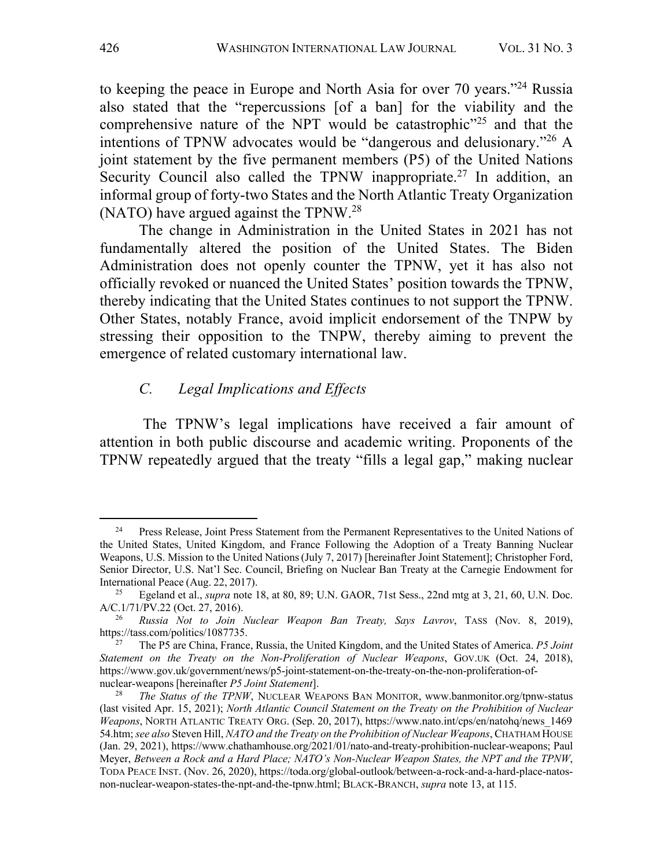to keeping the peace in Europe and North Asia for over 70 years."24 Russia also stated that the "repercussions [of a ban] for the viability and the comprehensive nature of the NPT would be catastrophic<sup> $25$ </sup> and that the intentions of TPNW advocates would be "dangerous and delusionary."26 A joint statement by the five permanent members (P5) of the United Nations Security Council also called the TPNW inappropriate.<sup>27</sup> In addition, an informal group of forty-two States and the North Atlantic Treaty Organization (NATO) have argued against the TPNW.28

The change in Administration in the United States in 2021 has not fundamentally altered the position of the United States. The Biden Administration does not openly counter the TPNW, yet it has also not officially revoked or nuanced the United States' position towards the TPNW, thereby indicating that the United States continues to not support the TPNW. Other States, notably France, avoid implicit endorsement of the TNPW by stressing their opposition to the TNPW, thereby aiming to prevent the emergence of related customary international law.

# *C. Legal Implications and Effects*

The TPNW's legal implications have received a fair amount of attention in both public discourse and academic writing. Proponents of the TPNW repeatedly argued that the treaty "fills a legal gap," making nuclear

<sup>&</sup>lt;sup>24</sup> Press Release, Joint Press Statement from the Permanent Representatives to the United Nations of the United States, United Kingdom, and France Following the Adoption of a Treaty Banning Nuclear Weapons, U.S. Mission to the United Nations(July 7, 2017) [hereinafter Joint Statement]; Christopher Ford, Senior Director, U.S. Nat'l Sec. Council, Briefing on Nuclear Ban Treaty at the Carnegie Endowment for International Peace (Aug. 22, 2017).

<sup>25</sup> Egeland et al., *supra* note 18, at 80, 89; U.N. GAOR, 71st Sess., 22nd mtg at 3, 21, 60, U.N. Doc. A/C.1/71/PV.22 (Oct. 27, 2016).

<sup>26</sup> *Russia Not to Join Nuclear Weapon Ban Treaty, Says Lavrov*, TASS (Nov. 8, 2019), https://tass.com/politics/1087735. 27 The P5 are China, France, Russia, the United Kingdom, and the United States of America. *P5 Joint* 

*Statement on the Treaty on the Non-Proliferation of Nuclear Weapons*, GOV.UK (Oct. 24, 2018), https://www.gov.uk/government/news/p5-joint-statement-on-the-treaty-on-the-non-proliferation-ofnuclear-weapons[hereinafter *P5 Joint Statement*].

<sup>28</sup> *The Status of the TPNW*, NUCLEAR WEAPONS BAN MONITOR, www.banmonitor.org/tpnw-status (last visited Apr. 15, 2021); *North Atlantic Council Statement on the Treaty on the Prohibition of Nuclear Weapons*, NORTH ATLANTIC TREATY ORG. (Sep. 20, 2017), https://www.nato.int/cps/en/natohq/news\_1469 54.htm; *see also* Steven Hill, *NATO and the Treaty on the Prohibition of Nuclear Weapons*, CHATHAM HOUSE (Jan. 29, 2021), https://www.chathamhouse.org/2021/01/nato-and-treaty-prohibition-nuclear-weapons; Paul Meyer, *Between a Rock and a Hard Place; NATO's Non-Nuclear Weapon States, the NPT and the TPNW*, TODA PEACE INST. (Nov. 26, 2020), https://toda.org/global-outlook/between-a-rock-and-a-hard-place-natosnon-nuclear-weapon-states-the-npt-and-the-tpnw.html; BLACK-BRANCH, *supra* note 13, at 115.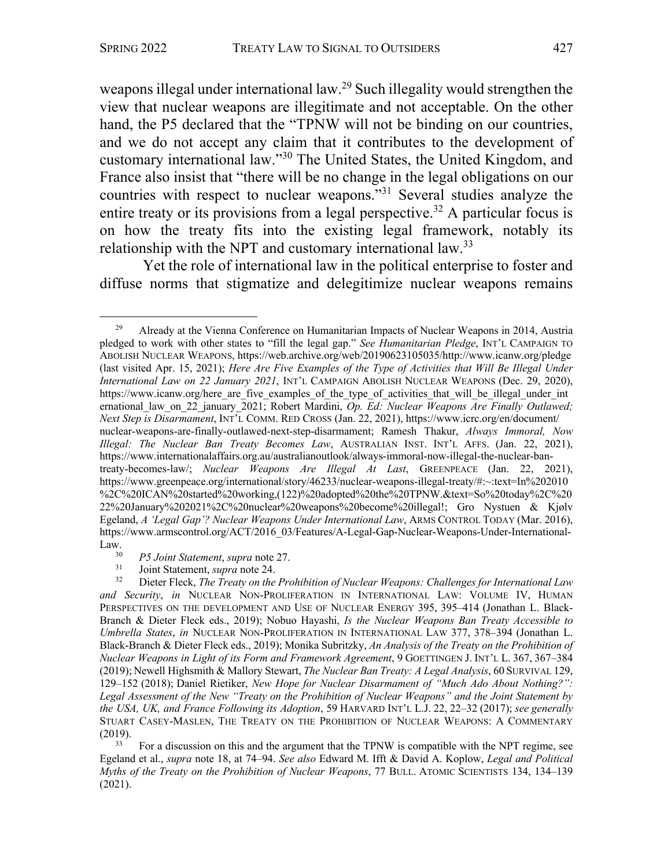weapons illegal under international law.<sup>29</sup> Such illegality would strengthen the view that nuclear weapons are illegitimate and not acceptable. On the other hand, the P5 declared that the "TPNW will not be binding on our countries, and we do not accept any claim that it contributes to the development of customary international law."30 The United States, the United Kingdom, and France also insist that "there will be no change in the legal obligations on our countries with respect to nuclear weapons."31 Several studies analyze the entire treaty or its provisions from a legal perspective.<sup>32</sup> A particular focus is on how the treaty fits into the existing legal framework, notably its relationship with the NPT and customary international law.<sup>33</sup>

Yet the role of international law in the political enterprise to foster and diffuse norms that stigmatize and delegitimize nuclear weapons remains

<sup>33</sup> For a discussion on this and the argument that the TPNW is compatible with the NPT regime, see Egeland et al., *supra* note 18, at 74–94. *See also* Edward M. Ifft & David A. Koplow, *Legal and Political Myths of the Treaty on the Prohibition of Nuclear Weapons*, 77 BULL. ATOMIC SCIENTISTS 134, 134–139 (2021).

 $29$  Already at the Vienna Conference on Humanitarian Impacts of Nuclear Weapons in 2014, Austria pledged to work with other states to "fill the legal gap." *See Humanitarian Pledge*, INT'L CAMPAIGN TO ABOLISH NUCLEAR WEAPONS, https://web.archive.org/web/20190623105035/http://www.icanw.org/pledge (last visited Apr. 15, 2021); *Here Are Five Examples of the Type of Activities that Will Be Illegal Under International Law on 22 January 2021*, INT'L CAMPAIGN ABOLISH NUCLEAR WEAPONS (Dec. 29, 2020), https://www.icanw.org/here are five examples of the type of activities that will be illegal under int ernational\_law\_on\_22\_january\_2021; Robert Mardini, *Op. Ed: Nuclear Weapons Are Finally Outlawed; Next Step is Disarmament*, INT'L COMM. RED CROSS (Jan. 22, 2021), https://www.icrc.org/en/document/ nuclear-weapons-are-finally-outlawed-next-step-disarmament; Ramesh Thakur, *Always Immoral, Now Illegal: The Nuclear Ban Treaty Becomes Law*, AUSTRALIAN INST. INT'L AFFS. (Jan. 22, 2021), https://www.internationalaffairs.org.au/australianoutlook/always-immoral-now-illegal-the-nuclear-bantreaty-becomes-law/; *Nuclear Weapons Are Illegal At Last*, GREENPEACE (Jan. 22, 2021), https://www.greenpeace.org/international/story/46233/nuclear-weapons-illegal-treaty/#:~:text=In%202010 %2C%20ICAN%20started%20working,(122)%20adopted%20the%20TPNW.&text=So%20today%2C%20 22%20January%202021%2C%20nuclear%20weapons%20become%20illegal!; Gro Nystuen & Kjølv Egeland, *A 'Legal Gap'? Nuclear Weapons Under International Law*, ARMS CONTROL TODAY (Mar. 2016), https://www.armscontrol.org/ACT/2016\_03/Features/A-Legal-Gap-Nuclear-Weapons-Under-International-Law.  $30$ 

<sup>30</sup> *P5 Joint Statement*, *supra* note 27.

<sup>&</sup>lt;sup>31</sup> Joint Statement, *supra* note 24.<br><sup>32</sup> Dieter Fleck *The Treaty on the* 

<sup>32</sup> Dieter Fleck, *The Treaty on the Prohibition of Nuclear Weapons: Challenges for International Law and Security*, *in* NUCLEAR NON-PROLIFERATION IN INTERNATIONAL LAW: VOLUME IV, HUMAN PERSPECTIVES ON THE DEVELOPMENT AND USE OF NUCLEAR ENERGY 395, 395–414 (Jonathan L. Black-Branch & Dieter Fleck eds., 2019); Nobuo Hayashi, *Is the Nuclear Weapons Ban Treaty Accessible to Umbrella States*, *in* NUCLEAR NON-PROLIFERATION IN INTERNATIONAL LAW 377, 378–394 (Jonathan L. Black-Branch & Dieter Fleck eds., 2019); Monika Subritzky, *An Analysis of the Treaty on the Prohibition of Nuclear Weapons in Light of its Form and Framework Agreement*, 9 GOETTINGEN J. INT'L L. 367, 367–384 (2019); Newell Highsmith & Mallory Stewart, *The Nuclear Ban Treaty: A Legal Analysis*, 60 SURVIVAL 129, 129–152 (2018); Daniel Rietiker, *New Hope for Nuclear Disarmament of "Much Ado About Nothing?": Legal Assessment of the New "Treaty on the Prohibition of Nuclear Weapons" and the Joint Statement by the USA, UK, and France Following its Adoption*, 59 HARVARD INT'L L.J. 22, 22–32 (2017); *see generally* STUART CASEY-MASLEN, THE TREATY ON THE PROHIBITION OF NUCLEAR WEAPONS: A COMMENTARY  $(2019).$ <sup>33</sup>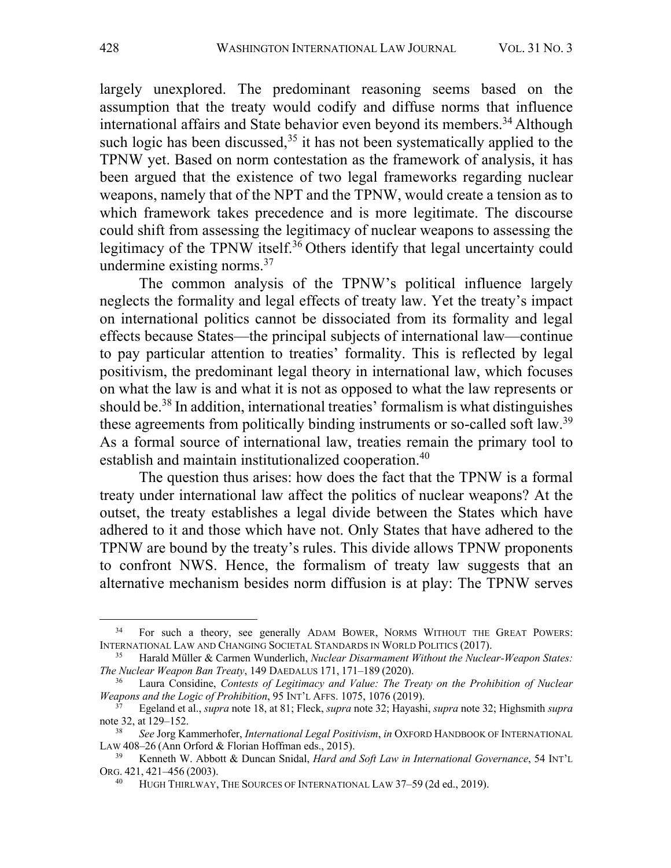largely unexplored. The predominant reasoning seems based on the assumption that the treaty would codify and diffuse norms that influence international affairs and State behavior even beyond its members. <sup>34</sup> Although such logic has been discussed,  $35$  it has not been systematically applied to the TPNW yet. Based on norm contestation as the framework of analysis, it has been argued that the existence of two legal frameworks regarding nuclear weapons, namely that of the NPT and the TPNW, would create a tension as to which framework takes precedence and is more legitimate. The discourse could shift from assessing the legitimacy of nuclear weapons to assessing the legitimacy of the TPNW itself.<sup>36</sup> Others identify that legal uncertainty could undermine existing norms.37

The common analysis of the TPNW's political influence largely neglects the formality and legal effects of treaty law. Yet the treaty's impact on international politics cannot be dissociated from its formality and legal effects because States—the principal subjects of international law—continue to pay particular attention to treaties' formality. This is reflected by legal positivism, the predominant legal theory in international law, which focuses on what the law is and what it is not as opposed to what the law represents or should be.38 In addition, international treaties' formalism is what distinguishes these agreements from politically binding instruments or so-called soft law.39 As a formal source of international law, treaties remain the primary tool to establish and maintain institutionalized cooperation.<sup>40</sup>

The question thus arises: how does the fact that the TPNW is a formal treaty under international law affect the politics of nuclear weapons? At the outset, the treaty establishes a legal divide between the States which have adhered to it and those which have not. Only States that have adhered to the TPNW are bound by the treaty's rules. This divide allows TPNW proponents to confront NWS. Hence, the formalism of treaty law suggests that an alternative mechanism besides norm diffusion is at play: The TPNW serves

<sup>&</sup>lt;sup>34</sup> For such a theory, see generally ADAM BOWER, NORMS WITHOUT THE GREAT POWERS: INTERNATIONAL LAW AND CHANGING SOCIETAL STANDARDS IN WORLD POLITICS (2017).

<sup>35</sup> Harald Müller & Carmen Wunderlich, *Nuclear Disarmament Without the Nuclear-Weapon States: The Nuclear Weapon Ban Treaty*, 149 DAEDALUS 171, 171–189 (2020).

<sup>36</sup> Laura Considine, *Contests of Legitimacy and Value: The Treaty on the Prohibition of Nuclear Weapons and the Logic of Prohibition*, 95 INT'L AFFS. 1075, 1076 (2019).

<sup>37</sup> Egeland et al., *supra* note 18, at 81; Fleck, *supra* note 32; Hayashi, *supra* note 32; Highsmith *supra* note 32, at 129–152.

<sup>38</sup> *See* Jorg Kammerhofer, *International Legal Positivism*, *in* OXFORD HANDBOOK OF INTERNATIONAL LAW 408–26 (Ann Orford & Florian Hoffman eds., 2015).

<sup>39</sup> Kenneth W. Abbott & Duncan Snidal, *Hard and Soft Law in International Governance*, 54 INT'L ORG. 421, 421–456 (2003).

<sup>&</sup>lt;sup>40</sup> HUGH THIRLWAY, THE SOURCES OF INTERNATIONAL LAW 37-59 (2d ed., 2019).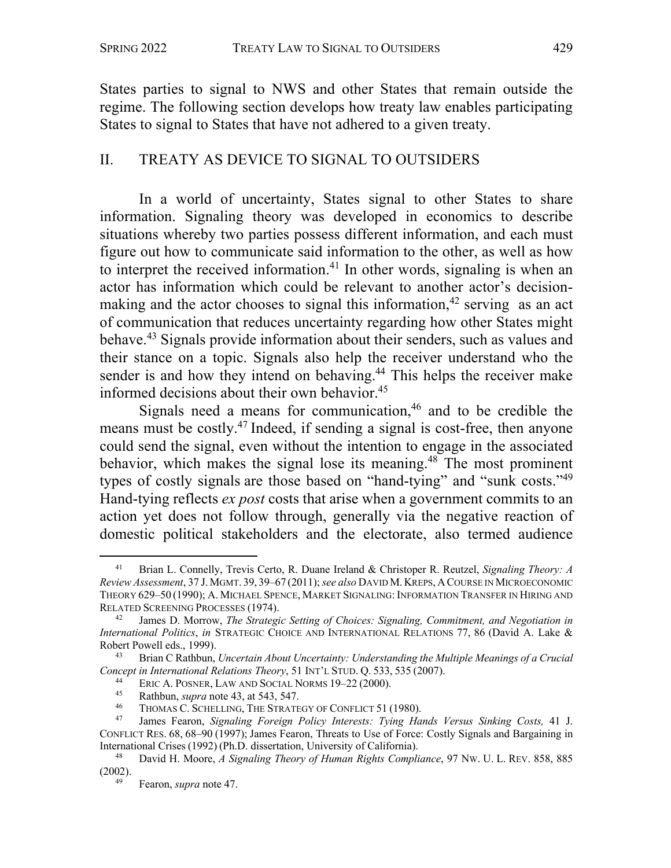States parties to signal to NWS and other States that remain outside the regime. The following section develops how treaty law enables participating States to signal to States that have not adhered to a given treaty.

# II. TREATY AS DEVICE TO SIGNAL TO OUTSIDERS

In a world of uncertainty, States signal to other States to share information. Signaling theory was developed in economics to describe situations whereby two parties possess different information, and each must figure out how to communicate said information to the other, as well as how to interpret the received information.<sup>41</sup> In other words, signaling is when an actor has information which could be relevant to another actor's decisionmaking and the actor chooses to signal this information,<sup>42</sup> serving as an act of communication that reduces uncertainty regarding how other States might behave.43 Signals provide information about their senders, such as values and their stance on a topic. Signals also help the receiver understand who the sender is and how they intend on behaving.<sup>44</sup> This helps the receiver make informed decisions about their own behavior.<sup>45</sup>

Signals need a means for communication,  $46$  and to be credible the means must be costly.47 Indeed, if sending a signal is cost-free, then anyone could send the signal, even without the intention to engage in the associated behavior, which makes the signal lose its meaning.<sup>48</sup> The most prominent types of costly signals are those based on "hand-tying" and "sunk costs."49 Hand-tying reflects *ex post* costs that arise when a government commits to an action yet does not follow through, generally via the negative reaction of domestic political stakeholders and the electorate, also termed audience

<sup>41</sup> Brian L. Connelly, Trevis Certo, R. Duane Ireland & Christoper R. Reutzel, *Signaling Theory: A Review Assessment*, 37 J.MGMT. 39, 39–67 (2011); *see also* DAVID M. KREPS, A COURSE IN MICROECONOMIC THEORY 629-50 (1990); A. MICHAEL SPENCE, MARKET SIGNALING: INFORMATION TRANSFER IN HIRING AND RELATED SCREENING PROCESSES (1974).

<sup>42</sup> James D. Morrow, *The Strategic Setting of Choices: Signaling, Commitment, and Negotiation in International Politics*, *in* STRATEGIC CHOICE AND INTERNATIONAL RELATIONS 77, 86 (David A. Lake & Robert Powell eds., 1999).

<sup>43</sup> Brian C Rathbun, *Uncertain About Uncertainty: Understanding the Multiple Meanings of a Crucial Concept in International Relations Theory*, 51 INT'L STUD. Q. 533, 535 (2007).

<sup>&</sup>lt;sup>44</sup> ERIC A. POSNER, LAW AND SOCIAL NORMS  $19-22$  (2000).

<sup>45</sup> Rathbun, *supra* note 43, at 543, 547.

<sup>&</sup>lt;sup>46</sup> THOMAS C. SCHELLING, THE STRATEGY OF CONFLICT 51 (1980).<br><sup>47</sup> Ignacy Forron, Signaling Equator, Policy Interacts: Tring Ha

<sup>47</sup> James Fearon, *Signaling Foreign Policy Interests: Tying Hands Versus Sinking Costs,* 41 J. CONFLICT RES. 68, 68–90 (1997); James Fearon, Threats to Use of Force: Costly Signals and Bargaining in International Crises (1992) (Ph.D. dissertation, University of California).

<sup>48</sup> David H. Moore, *A Signaling Theory of Human Rights Compliance*, 97 NW. U. L. REV. 858, 885 (2002).

<sup>49</sup> Fearon, *supra* note 47.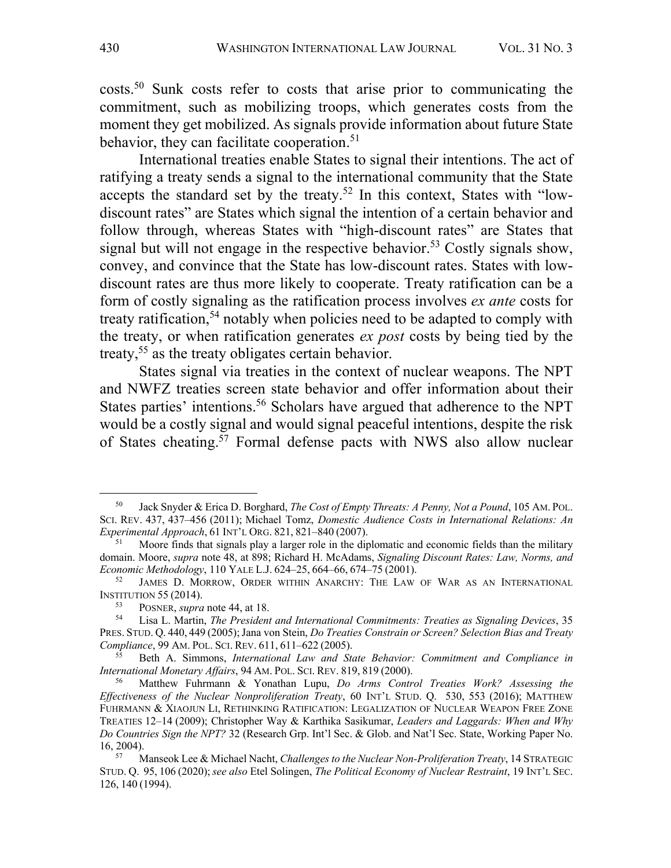costs. <sup>50</sup> Sunk costs refer to costs that arise prior to communicating the commitment, such as mobilizing troops, which generates costs from the moment they get mobilized. As signals provide information about future State behavior, they can facilitate cooperation.<sup>51</sup>

International treaties enable States to signal their intentions. The act of ratifying a treaty sends a signal to the international community that the State accepts the standard set by the treaty.<sup>52</sup> In this context, States with "lowdiscount rates" are States which signal the intention of a certain behavior and follow through, whereas States with "high-discount rates" are States that signal but will not engage in the respective behavior.<sup>53</sup> Costly signals show, convey, and convince that the State has low-discount rates. States with lowdiscount rates are thus more likely to cooperate. Treaty ratification can be a form of costly signaling as the ratification process involves *ex ante* costs for treaty ratification, <sup>54</sup> notably when policies need to be adapted to comply with the treaty, or when ratification generates *ex post* costs by being tied by the treaty,<sup>55</sup> as the treaty obligates certain behavior.

States signal via treaties in the context of nuclear weapons. The NPT and NWFZ treaties screen state behavior and offer information about their States parties' intentions.<sup>56</sup> Scholars have argued that adherence to the NPT would be a costly signal and would signal peaceful intentions, despite the risk of States cheating. <sup>57</sup> Formal defense pacts with NWS also allow nuclear

<sup>50</sup> Jack Snyder & Erica D. Borghard, *The Cost of Empty Threats: A Penny, Not a Pound*, 105 AM. POL. SCI. REV. 437, 437–456 (2011); Michael Tomz, *Domestic Audience Costs in International Relations: An Experimental Approach*, 61 INT'L ORG. 821, 821–840 (2007).

<sup>51</sup> Moore finds that signals play a larger role in the diplomatic and economic fields than the military domain. Moore, *supra* note 48, at 898; Richard H. McAdams, *Signaling Discount Rates: Law, Norms, and Economic Methodology*, 110 YALE L.J. 624–25, 664–66, 674–75 (2001).

JAMES D. MORROW, ORDER WITHIN ANARCHY: THE LAW OF WAR AS AN INTERNATIONAL INSTITUTION 55 (2014).

<sup>&</sup>lt;sup>53</sup> POSNER, *supra* note 44, at 18.<br><sup>54</sup> Lisa L. Martin *The President* 

<sup>54</sup> Lisa L. Martin, *The President and International Commitments: Treaties as Signaling Devices*, 35 PRES. STUD. Q. 440, 449 (2005); Jana von Stein, *Do Treaties Constrain or Screen? Selection Bias and Treaty Compliance*, 99 AM. POL. SCI. REV. 611, 611–622 (2005).

<sup>55</sup> Beth A. Simmons, *International Law and State Behavior: Commitment and Compliance in International Monetary Affairs*, 94 AM. POL. SCI. REV. 819, 819 (2000).<br><sup>56</sup> Matthew Fuhrmann & Yonathan Lupu, *Do Arms Control Treaties Work? Assessing the* 

*Effectiveness of the Nuclear Nonproliferation Treaty*, 60 INT'L STUD. Q. 530, 553 (2016); MATTHEW FUHRMANN & XIAOJUN LI, RETHINKING RATIFICATION: LEGALIZATION OF NUCLEAR WEAPON FREE ZONE TREATIES 12–14 (2009); Christopher Way & Karthika Sasikumar, *Leaders and Laggards: When and Why Do Countries Sign the NPT?* 32 (Research Grp. Int'l Sec. & Glob. and Nat'l Sec. State, Working Paper No. 16, 2004).

<sup>57</sup> Manseok Lee & Michael Nacht, *Challenges to the Nuclear Non-Proliferation Treaty*, 14 STRATEGIC STUD. Q. 95, 106 (2020);*see also* Etel Solingen, *The Political Economy of Nuclear Restraint*, 19 INT'L SEC. 126, 140 (1994).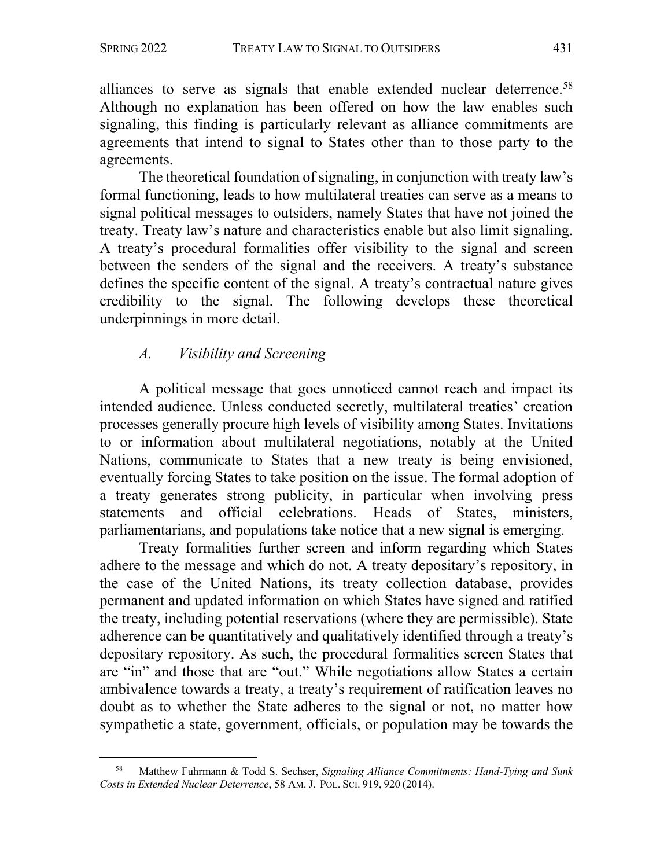alliances to serve as signals that enable extended nuclear deterrence.<sup>58</sup> Although no explanation has been offered on how the law enables such signaling, this finding is particularly relevant as alliance commitments are agreements that intend to signal to States other than to those party to the agreements.

The theoretical foundation of signaling, in conjunction with treaty law's formal functioning, leads to how multilateral treaties can serve as a means to signal political messages to outsiders, namely States that have not joined the treaty. Treaty law's nature and characteristics enable but also limit signaling. A treaty's procedural formalities offer visibility to the signal and screen between the senders of the signal and the receivers. A treaty's substance defines the specific content of the signal. A treaty's contractual nature gives credibility to the signal. The following develops these theoretical underpinnings in more detail.

# *A. Visibility and Screening*

A political message that goes unnoticed cannot reach and impact its intended audience. Unless conducted secretly, multilateral treaties' creation processes generally procure high levels of visibility among States. Invitations to or information about multilateral negotiations, notably at the United Nations, communicate to States that a new treaty is being envisioned, eventually forcing States to take position on the issue. The formal adoption of a treaty generates strong publicity, in particular when involving press statements and official celebrations. Heads of States, ministers, parliamentarians, and populations take notice that a new signal is emerging.

Treaty formalities further screen and inform regarding which States adhere to the message and which do not. A treaty depositary's repository, in the case of the United Nations, its treaty collection database, provides permanent and updated information on which States have signed and ratified the treaty, including potential reservations (where they are permissible). State adherence can be quantitatively and qualitatively identified through a treaty's depositary repository. As such, the procedural formalities screen States that are "in" and those that are "out." While negotiations allow States a certain ambivalence towards a treaty, a treaty's requirement of ratification leaves no doubt as to whether the State adheres to the signal or not, no matter how sympathetic a state, government, officials, or population may be towards the

<sup>58</sup> Matthew Fuhrmann & Todd S. Sechser, *Signaling Alliance Commitments: Hand-Tying and Sunk Costs in Extended Nuclear Deterrence*, 58 AM. J. POL. SCI. 919, 920 (2014).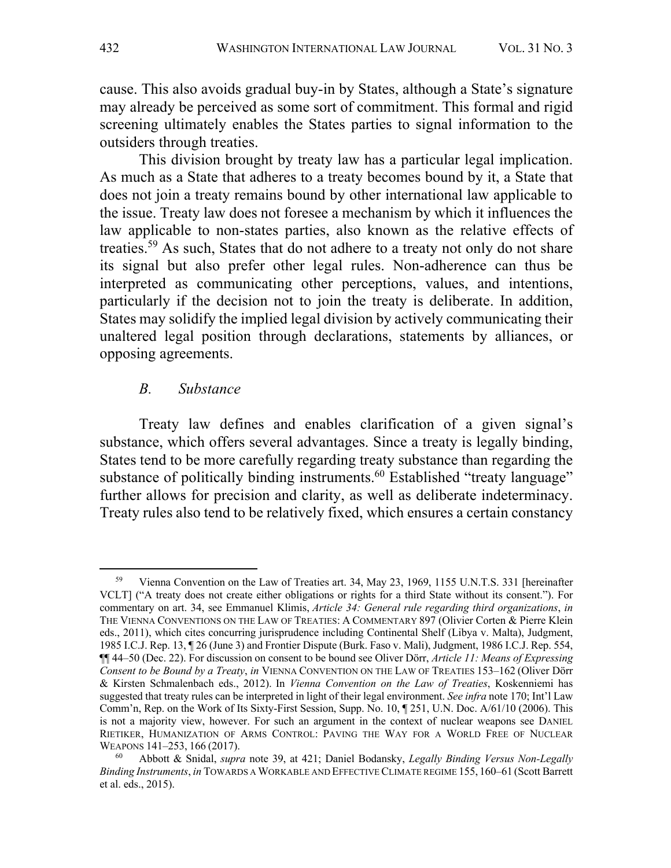cause. This also avoids gradual buy-in by States, although a State's signature may already be perceived as some sort of commitment. This formal and rigid screening ultimately enables the States parties to signal information to the outsiders through treaties.

This division brought by treaty law has a particular legal implication. As much as a State that adheres to a treaty becomes bound by it, a State that does not join a treaty remains bound by other international law applicable to the issue. Treaty law does not foresee a mechanism by which it influences the law applicable to non-states parties, also known as the relative effects of treaties.<sup>59</sup> As such, States that do not adhere to a treaty not only do not share its signal but also prefer other legal rules. Non-adherence can thus be interpreted as communicating other perceptions, values, and intentions, particularly if the decision not to join the treaty is deliberate. In addition, States may solidify the implied legal division by actively communicating their unaltered legal position through declarations, statements by alliances, or opposing agreements.

### *B. Substance*

Treaty law defines and enables clarification of a given signal's substance, which offers several advantages. Since a treaty is legally binding, States tend to be more carefully regarding treaty substance than regarding the substance of politically binding instruments.<sup>60</sup> Established "treaty language" further allows for precision and clarity, as well as deliberate indeterminacy. Treaty rules also tend to be relatively fixed, which ensures a certain constancy

<sup>&</sup>lt;sup>59</sup> Vienna Convention on the Law of Treaties art. 34, May 23, 1969, 1155 U.N.T.S. 331 [hereinafter VCLT] ("A treaty does not create either obligations or rights for a third State without its consent."). For commentary on art. 34, see Emmanuel Klimis, *Article 34: General rule regarding third organizations*, *in* THE VIENNA CONVENTIONS ON THE LAW OF TREATIES: A COMMENTARY 897 (Olivier Corten & Pierre Klein eds., 2011), which cites concurring jurisprudence including Continental Shelf (Libya v. Malta), Judgment, 1985 I.C.J. Rep. 13, ¶ 26 (June 3) and Frontier Dispute (Burk. Faso v. Mali), Judgment, 1986 I.C.J. Rep. 554, ¶¶ 44–50 (Dec. 22). For discussion on consent to be bound see Oliver Dörr, *Article 11: Means of Expressing Consent to be Bound by a Treaty*, *in* VIENNA CONVENTION ON THE LAW OF TREATIES 153–162 (Oliver Dörr & Kirsten Schmalenbach eds., 2012). In *Vienna Convention on the Law of Treaties*, Koskenniemi has suggested that treaty rules can be interpreted in light of their legal environment. *See infra* note 170; Int'l Law Comm'n, Rep. on the Work of Its Sixty-First Session, Supp. No. 10, ¶ 251, U.N. Doc. A/61/10 (2006). This is not a majority view, however. For such an argument in the context of nuclear weapons see DANIEL RIETIKER, HUMANIZATION OF ARMS CONTROL: PAVING THE WAY FOR A WORLD FREE OF NUCLEAR WEAPONS 141–253, 166 (2017).

<sup>60</sup> Abbott & Snidal, *supra* note 39, at 421; Daniel Bodansky, *Legally Binding Versus Non-Legally Binding Instruments*, *in* TOWARDS A WORKABLE AND EFFECTIVE CLIMATE REGIME 155, 160–61 (Scott Barrett et al. eds., 2015).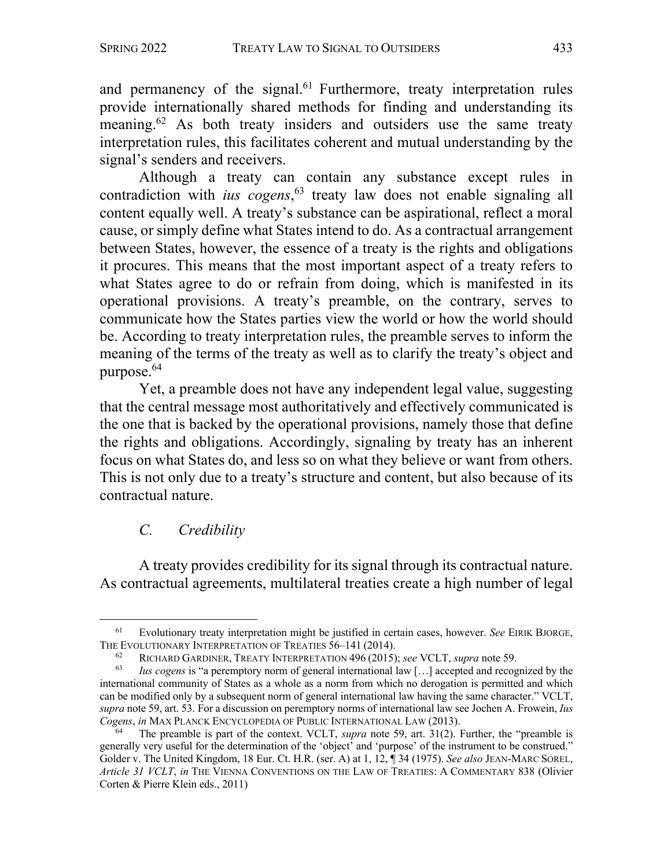and permanency of the signal.<sup>61</sup> Furthermore, treaty interpretation rules provide internationally shared methods for finding and understanding its meaning.<sup>62</sup> As both treaty insiders and outsiders use the same treaty interpretation rules, this facilitates coherent and mutual understanding by the signal's senders and receivers.

Although a treaty can contain any substance except rules in contradiction with *ius cogens*, <sup>63</sup> treaty law does not enable signaling all content equally well. A treaty's substance can be aspirational, reflect a moral cause, or simply define what States intend to do. As a contractual arrangement between States, however, the essence of a treaty is the rights and obligations it procures. This means that the most important aspect of a treaty refers to what States agree to do or refrain from doing, which is manifested in its operational provisions. A treaty's preamble, on the contrary, serves to communicate how the States parties view the world or how the world should be. According to treaty interpretation rules, the preamble serves to inform the meaning of the terms of the treaty as well as to clarify the treaty's object and purpose. 64

Yet, a preamble does not have any independent legal value, suggesting that the central message most authoritatively and effectively communicated is the one that is backed by the operational provisions, namely those that define the rights and obligations. Accordingly, signaling by treaty has an inherent focus on what States do, and less so on what they believe or want from others. This is not only due to a treaty's structure and content, but also because of its contractual nature.

# *C. Credibility*

A treaty provides credibility for its signal through its contractual nature. As contractual agreements, multilateral treaties create a high number of legal

<sup>61</sup> Evolutionary treaty interpretation might be justified in certain cases, however. *See* EIRIK BJORGE, THE EVOLUTIONARY INTERPRETATION OF TREATIES 56–141 (2014).

<sup>62</sup> RICHARD GARDINER, TREATY INTERPRETATION 496 (2015); *see* VCLT, *supra* note 59.

*Ius cogens* is "a peremptory norm of general international law [...] accepted and recognized by the international community of States as a whole as a norm from which no derogation is permitted and which can be modified only by a subsequent norm of general international law having the same character." VCLT, *supra* note 59, art. 53. For a discussion on peremptory norms of international law see Jochen A. Frowein, *Ius Cogens*, *in* MAX PLANCK ENCYCLOPEDIA OF PUBLIC INTERNATIONAL LAW (2013).

The preamble is part of the context. VCLT, *supra* note 59, art. 31(2). Further, the "preamble is generally very useful for the determination of the 'object' and 'purpose' of the instrument to be construed." Golder v. The United Kingdom, 18 Eur. Ct. H.R. (ser. A) at 1, 12, ¶ 34 (1975). *See also* JEAN-MARC SOREL, *Article 31 VCLT*, *in* THE VIENNA CONVENTIONS ON THE LAW OF TREATIES: A COMMENTARY 838 (Olivier Corten & Pierre Klein eds., 2011)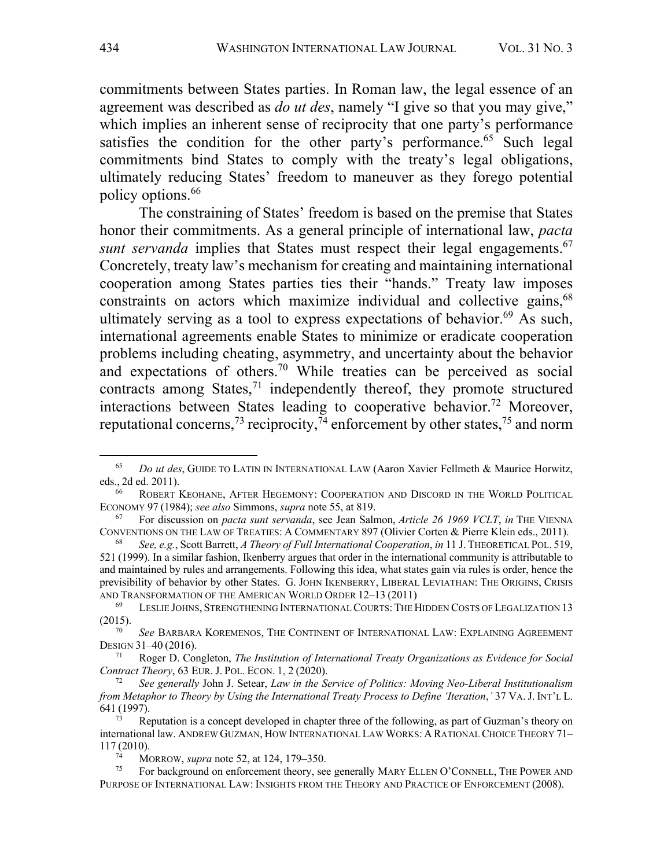commitments between States parties. In Roman law, the legal essence of an agreement was described as *do ut des*, namely "I give so that you may give," which implies an inherent sense of reciprocity that one party's performance satisfies the condition for the other party's performance.<sup>65</sup> Such legal commitments bind States to comply with the treaty's legal obligations, ultimately reducing States' freedom to maneuver as they forego potential policy options.66

The constraining of States' freedom is based on the premise that States honor their commitments. As a general principle of international law, *pacta sunt servanda* implies that States must respect their legal engagements.<sup>67</sup> Concretely, treaty law's mechanism for creating and maintaining international cooperation among States parties ties their "hands." Treaty law imposes constraints on actors which maximize individual and collective gains, <sup>68</sup> ultimately serving as a tool to express expectations of behavior. $69$  As such, international agreements enable States to minimize or eradicate cooperation problems including cheating, asymmetry, and uncertainty about the behavior and expectations of others.<sup>70</sup> While treaties can be perceived as social contracts among States, $71$  independently thereof, they promote structured interactions between States leading to cooperative behavior.<sup>72</sup> Moreover, reputational concerns,<sup>73</sup> reciprocity,<sup>74</sup> enforcement by other states,<sup>75</sup> and norm

<sup>65</sup> *Do ut des*, GUIDE TO LATIN IN INTERNATIONAL LAW (Aaron Xavier Fellmeth & Maurice Horwitz, eds., 2d ed. 2011).

ROBERT KEOHANE, AFTER HEGEMONY: COOPERATION AND DISCORD IN THE WORLD POLITICAL ECONOMY 97 (1984); *see also* Simmons, *supra* note 55, at 819.

<sup>67</sup> For discussion on *pacta sunt servanda*, see Jean Salmon, *Article 26 1969 VCLT*, *in* THE VIENNA CONVENTIONS ON THE LAW OF TREATIES: A COMMENTARY 897 (Olivier Corten & Pierre Klein eds., 2011).

<sup>68</sup> *See, e.g.*, Scott Barrett, *A Theory of Full International Cooperation*, *in* 11 J. THEORETICAL POL. 519, 521 (1999). In a similar fashion, Ikenberry argues that order in the international community is attributable to and maintained by rules and arrangements. Following this idea, what states gain via rules is order, hence the previsibility of behavior by other States. G. JOHN IKENBERRY, LIBERAL LEVIATHAN: THE ORIGINS, CRISIS AND TRANSFORMATION OF THE AMERICAN WORLD ORDER 12–13 (2011)

<sup>69</sup> LESLIE JOHNS, STRENGTHENING INTERNATIONAL COURTS: THE HIDDEN COSTS OF LEGALIZATION 13 (2015).

<sup>70</sup> *See* BARBARA KOREMENOS, THE CONTINENT OF INTERNATIONAL LAW: EXPLAINING AGREEMENT DESIGN 31–40 (2016).

<sup>71</sup> Roger D. Congleton, *The Institution of International Treaty Organizations as Evidence for Social Contract Theory*, 63 EUR. J. POL. ECON. 1, 2 (2020).

<sup>72</sup> *See generally* John J. Setear, *Law in the Service of Politics: Moving Neo-Liberal Institutionalism from Metaphor to Theory by Using the International Treaty Process to Define 'Iteration*,*'* 37 VA.J. INT'L L. 641 (1997).

Reputation is a concept developed in chapter three of the following, as part of Guzman's theory on international law. ANDREW GUZMAN, HOW INTERNATIONAL LAW WORKS: A RATIONAL CHOICE THEORY 71– 117 (2010).

 $^{74}$  MORROW, *supra* note 52, at 124, 179–350.<br><sup>75</sup> Eor background on enforcement theory see

For background on enforcement theory, see generally MARY ELLEN O'CONNELL, THE POWER AND PURPOSE OF INTERNATIONAL LAW: INSIGHTS FROM THE THEORY AND PRACTICE OF ENFORCEMENT (2008).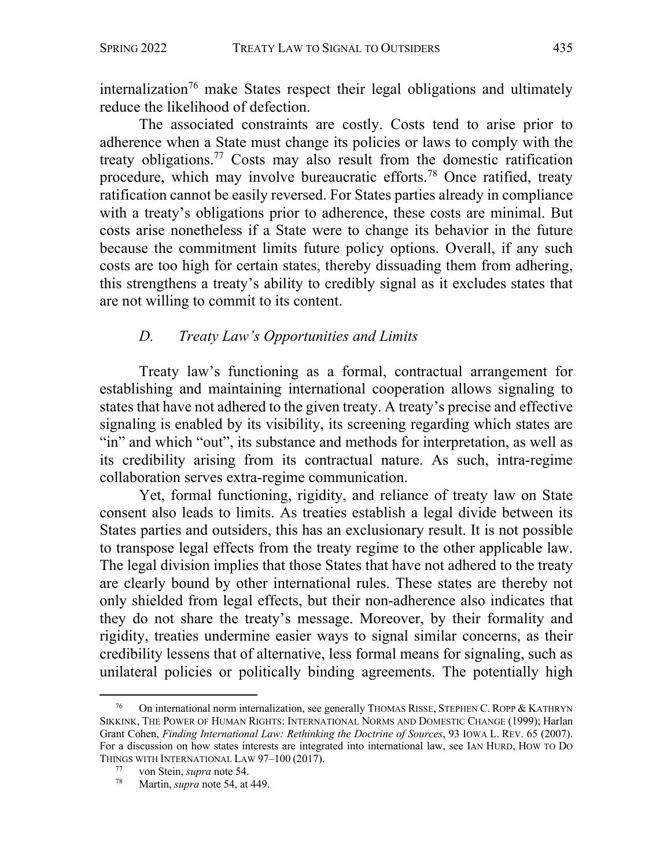internalization<sup>76</sup> make States respect their legal obligations and ultimately reduce the likelihood of defection.

The associated constraints are costly. Costs tend to arise prior to adherence when a State must change its policies or laws to comply with the treaty obligations.<sup>77</sup> Costs may also result from the domestic ratification procedure, which may involve bureaucratic efforts.78 Once ratified, treaty ratification cannot be easily reversed. For States parties already in compliance with a treaty's obligations prior to adherence, these costs are minimal. But costs arise nonetheless if a State were to change its behavior in the future because the commitment limits future policy options. Overall, if any such costs are too high for certain states, thereby dissuading them from adhering, this strengthens a treaty's ability to credibly signal as it excludes states that are not willing to commit to its content.

# *D. Treaty Law's Opportunities and Limits*

Treaty law's functioning as a formal, contractual arrangement for establishing and maintaining international cooperation allows signaling to states that have not adhered to the given treaty. A treaty's precise and effective signaling is enabled by its visibility, its screening regarding which states are "in" and which "out", its substance and methods for interpretation, as well as its credibility arising from its contractual nature. As such, intra-regime collaboration serves extra-regime communication.

Yet, formal functioning, rigidity, and reliance of treaty law on State consent also leads to limits. As treaties establish a legal divide between its States parties and outsiders, this has an exclusionary result. It is not possible to transpose legal effects from the treaty regime to the other applicable law. The legal division implies that those States that have not adhered to the treaty are clearly bound by other international rules. These states are thereby not only shielded from legal effects, but their non-adherence also indicates that they do not share the treaty's message. Moreover, by their formality and rigidity, treaties undermine easier ways to signal similar concerns, as their credibility lessens that of alternative, less formal means for signaling, such as unilateral policies or politically binding agreements. The potentially high

<sup>76</sup> On international norm internalization, see generally THOMAS RISSE, STEPHEN C. ROPP & KATHRYN SIKKINK, THE POWER OF HUMAN RIGHTS: INTERNATIONAL NORMS AND DOMESTIC CHANGE (1999); Harlan Grant Cohen, *Finding International Law: Rethinking the Doctrine of Sources*, 93 IOWA L. REV. 65 (2007). For a discussion on how states interests are integrated into international law, see IAN HURD, HOW TO DO THINGS WITH INTERNATIONAL LAW 97–100 (2017).

<sup>77</sup> von Stein, *supra* note 54.

Martin, *supra* note 54, at 449.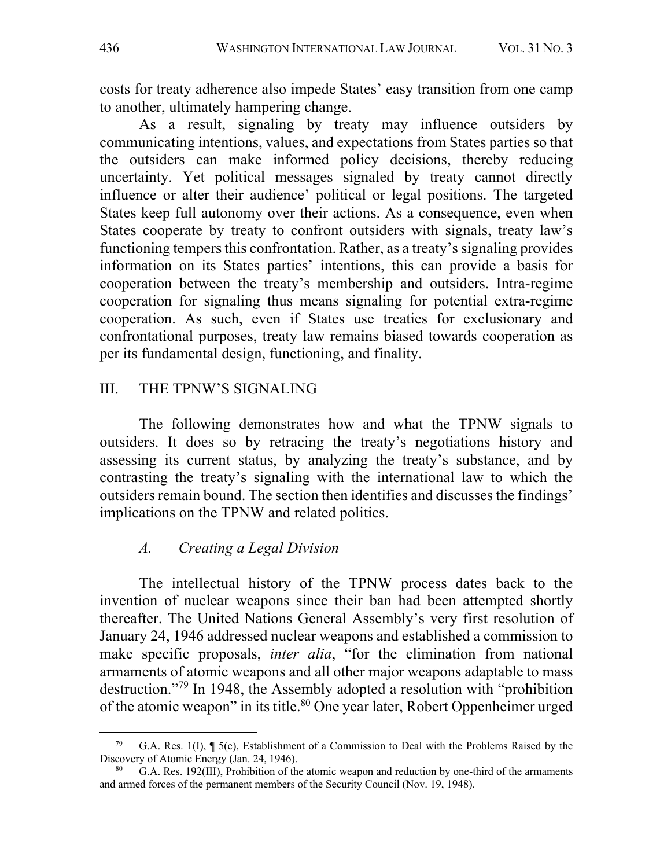costs for treaty adherence also impede States' easy transition from one camp to another, ultimately hampering change.

As a result, signaling by treaty may influence outsiders by communicating intentions, values, and expectations from States parties so that the outsiders can make informed policy decisions, thereby reducing uncertainty. Yet political messages signaled by treaty cannot directly influence or alter their audience' political or legal positions. The targeted States keep full autonomy over their actions. As a consequence, even when States cooperate by treaty to confront outsiders with signals, treaty law's functioning tempers this confrontation. Rather, as a treaty's signaling provides information on its States parties' intentions, this can provide a basis for cooperation between the treaty's membership and outsiders. Intra-regime cooperation for signaling thus means signaling for potential extra-regime cooperation. As such, even if States use treaties for exclusionary and confrontational purposes, treaty law remains biased towards cooperation as per its fundamental design, functioning, and finality.

### III. THE TPNW'S SIGNALING

The following demonstrates how and what the TPNW signals to outsiders. It does so by retracing the treaty's negotiations history and assessing its current status, by analyzing the treaty's substance, and by contrasting the treaty's signaling with the international law to which the outsiders remain bound. The section then identifies and discusses the findings' implications on the TPNW and related politics.

# *A. Creating a Legal Division*

The intellectual history of the TPNW process dates back to the invention of nuclear weapons since their ban had been attempted shortly thereafter. The United Nations General Assembly's very first resolution of January 24, 1946 addressed nuclear weapons and established a commission to make specific proposals, *inter alia*, "for the elimination from national armaments of atomic weapons and all other major weapons adaptable to mass destruction."79 In 1948, the Assembly adopted a resolution with "prohibition of the atomic weapon" in its title.<sup>80</sup> One year later, Robert Oppenheimer urged

G.A. Res. 1(I),  $\P$  5(c), Establishment of a Commission to Deal with the Problems Raised by the Discovery of Atomic Energy (Jan. 24, 1946).

G.A. Res. 192(III), Prohibition of the atomic weapon and reduction by one-third of the armaments and armed forces of the permanent members of the Security Council (Nov. 19, 1948).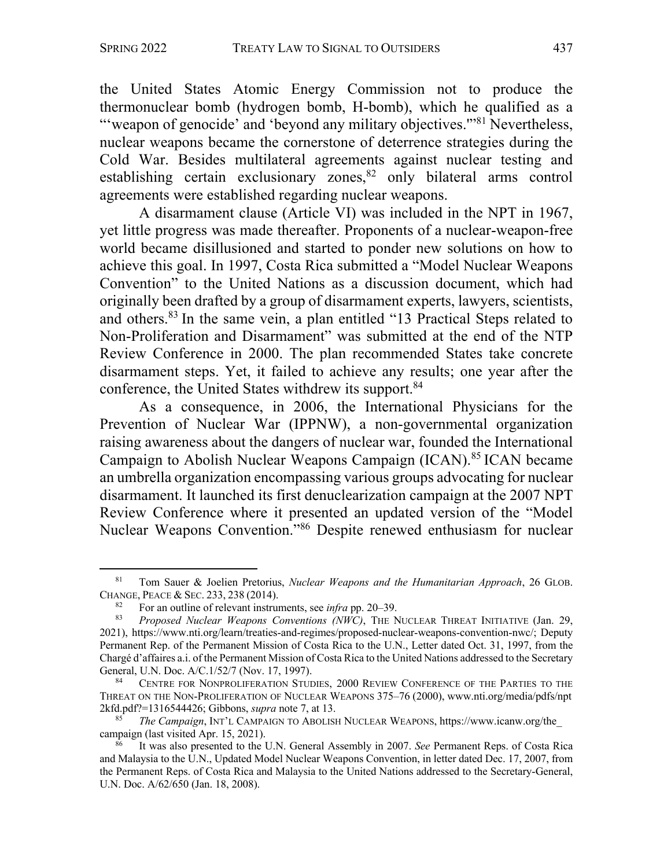the United States Atomic Energy Commission not to produce the thermonuclear bomb (hydrogen bomb, H-bomb), which he qualified as a "'weapon of genocide' and 'beyond any military objectives."<sup>81</sup> Nevertheless, nuclear weapons became the cornerstone of deterrence strategies during the Cold War. Besides multilateral agreements against nuclear testing and establishing certain exclusionary zones,<sup>82</sup> only bilateral arms control agreements were established regarding nuclear weapons.

A disarmament clause (Article VI) was included in the NPT in 1967, yet little progress was made thereafter. Proponents of a nuclear-weapon-free world became disillusioned and started to ponder new solutions on how to achieve this goal. In 1997, Costa Rica submitted a "Model Nuclear Weapons Convention" to the United Nations as a discussion document, which had originally been drafted by a group of disarmament experts, lawyers, scientists, and others.<sup>83</sup> In the same vein, a plan entitled "13 Practical Steps related to Non-Proliferation and Disarmament" was submitted at the end of the NTP Review Conference in 2000. The plan recommended States take concrete disarmament steps. Yet, it failed to achieve any results; one year after the conference, the United States withdrew its support.<sup>84</sup>

As a consequence, in 2006, the International Physicians for the Prevention of Nuclear War (IPPNW), a non-governmental organization raising awareness about the dangers of nuclear war, founded the International Campaign to Abolish Nuclear Weapons Campaign (ICAN). <sup>85</sup> ICAN became an umbrella organization encompassing various groups advocating for nuclear disarmament. It launched its first denuclearization campaign at the 2007 NPT Review Conference where it presented an updated version of the "Model Nuclear Weapons Convention."86 Despite renewed enthusiasm for nuclear

<sup>81</sup> Tom Sauer & Joelien Pretorius, *Nuclear Weapons and the Humanitarian Approach*, 26 GLOB. CHANGE, PEACE & SEC. 233, 238 (2014).

<sup>82</sup> For an outline of relevant instruments, see *infra* pp. 20–39.<br><sup>83</sup> Proposed Nuclear Weapons Conventions (NWC) THE N

<sup>83</sup> *Proposed Nuclear Weapons Conventions (NWC)*, THE NUCLEAR THREAT INITIATIVE (Jan. 29, 2021), https://www.nti.org/learn/treaties-and-regimes/proposed-nuclear-weapons-convention-nwc/; Deputy Permanent Rep. of the Permanent Mission of Costa Rica to the U.N., Letter dated Oct. 31, 1997, from the Chargé d'affaires a.i. of the Permanent Mission of Costa Rica to the United Nations addressed to the Secretary General, U.N. Doc. A/C.1/52/7 (Nov. 17, 1997).

CENTRE FOR NONPROLIFERATION STUDIES, 2000 REVIEW CONFERENCE OF THE PARTIES TO THE THREAT ON THE NON-PROLIFERATION OF NUCLEAR WEAPONS 375–76 (2000), www.nti.org/media/pdfs/npt 2kfd.pdf?=1316544426; Gibbons, *supra* note 7, at 13.

<sup>85</sup> *The Campaign*, INT'L CAMPAIGN TO ABOLISH NUCLEAR WEAPONS, https://www.icanw.org/the\_ campaign (last visited Apr. 15, 2021).

<sup>86</sup> It was also presented to the U.N. General Assembly in 2007. *See* Permanent Reps. of Costa Rica and Malaysia to the U.N., Updated Model Nuclear Weapons Convention, in letter dated Dec. 17, 2007, from the Permanent Reps. of Costa Rica and Malaysia to the United Nations addressed to the Secretary-General, U.N. Doc. A/62/650 (Jan. 18, 2008).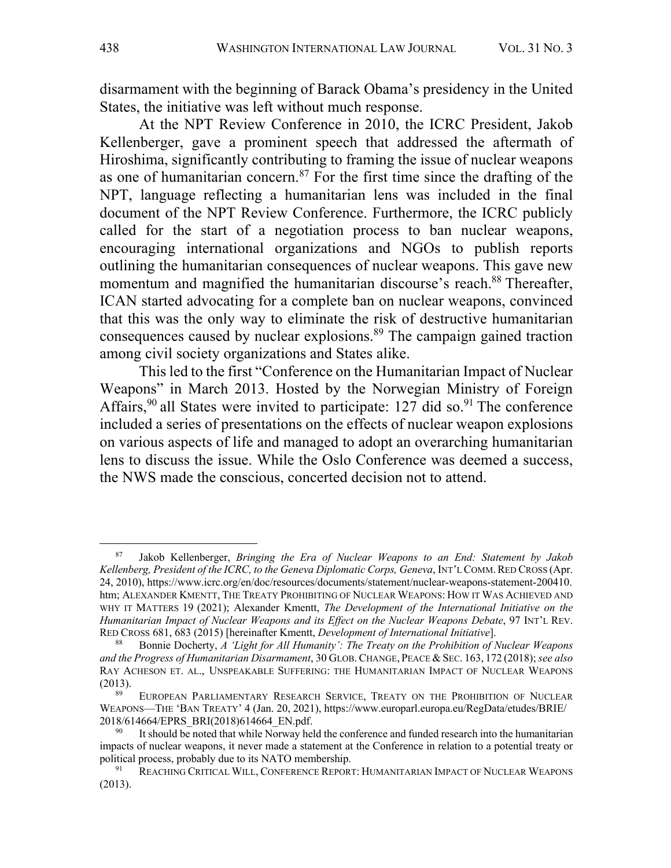disarmament with the beginning of Barack Obama's presidency in the United States, the initiative was left without much response.

At the NPT Review Conference in 2010, the ICRC President, Jakob Kellenberger, gave a prominent speech that addressed the aftermath of Hiroshima, significantly contributing to framing the issue of nuclear weapons as one of humanitarian concern.<sup>87</sup> For the first time since the drafting of the NPT, language reflecting a humanitarian lens was included in the final document of the NPT Review Conference. Furthermore, the ICRC publicly called for the start of a negotiation process to ban nuclear weapons, encouraging international organizations and NGOs to publish reports outlining the humanitarian consequences of nuclear weapons. This gave new momentum and magnified the humanitarian discourse's reach.<sup>88</sup> Thereafter, ICAN started advocating for a complete ban on nuclear weapons, convinced that this was the only way to eliminate the risk of destructive humanitarian consequences caused by nuclear explosions.<sup>89</sup> The campaign gained traction among civil society organizations and States alike.

This led to the first "Conference on the Humanitarian Impact of Nuclear Weapons" in March 2013. Hosted by the Norwegian Ministry of Foreign Affairs,<sup>90</sup> all States were invited to participate: 127 did so.<sup>91</sup> The conference included a series of presentations on the effects of nuclear weapon explosions on various aspects of life and managed to adopt an overarching humanitarian lens to discuss the issue. While the Oslo Conference was deemed a success, the NWS made the conscious, concerted decision not to attend.

<sup>87</sup> Jakob Kellenberger, *Bringing the Era of Nuclear Weapons to an End: Statement by Jakob Kellenberg, President of the ICRC, to the Geneva Diplomatic Corps, Geneva*, INT'L COMM.RED CROSS (Apr. 24, 2010), https://www.icrc.org/en/doc/resources/documents/statement/nuclear-weapons-statement-200410. htm; ALEXANDER KMENTT, THE TREATY PROHIBITING OF NUCLEAR WEAPONS: HOW IT WAS ACHIEVED AND WHY IT MATTERS 19 (2021); Alexander Kmentt, *The Development of the International Initiative on the Humanitarian Impact of Nuclear Weapons and its Effect on the Nuclear Weapons Debate*, 97 INT'L REV. RED CROSS 681, 683 (2015) [hereinafter Kmentt, *Development of International Initiative*].

<sup>88</sup> Bonnie Docherty, *A 'Light for All Humanity': The Treaty on the Prohibition of Nuclear Weapons and the Progress of Humanitarian Disarmament*, 30 GLOB.CHANGE, PEACE & SEC. 163, 172 (2018); *see also* RAY ACHESON ET. AL., UNSPEAKABLE SUFFERING: THE HUMANITARIAN IMPACT OF NUCLEAR WEAPONS (2013).

EUROPEAN PARLIAMENTARY RESEARCH SERVICE, TREATY ON THE PROHIBITION OF NUCLEAR WEAPONS—THE 'BAN TREATY' 4 (Jan. 20, 2021), https://www.europarl.europa.eu/RegData/etudes/BRIE/ 2018/614664/EPRS\_BRI(2018)614664\_EN.pdf.

It should be noted that while Norway held the conference and funded research into the humanitarian impacts of nuclear weapons, it never made a statement at the Conference in relation to a potential treaty or political process, probably due to its NATO membership.<br><sup>91</sup> REACHING CRITICAL WILL, CONFERENCE REPORT: HUMANITARIAN IMPACT OF NUCLEAR WEAPONS

<sup>(2013).</sup>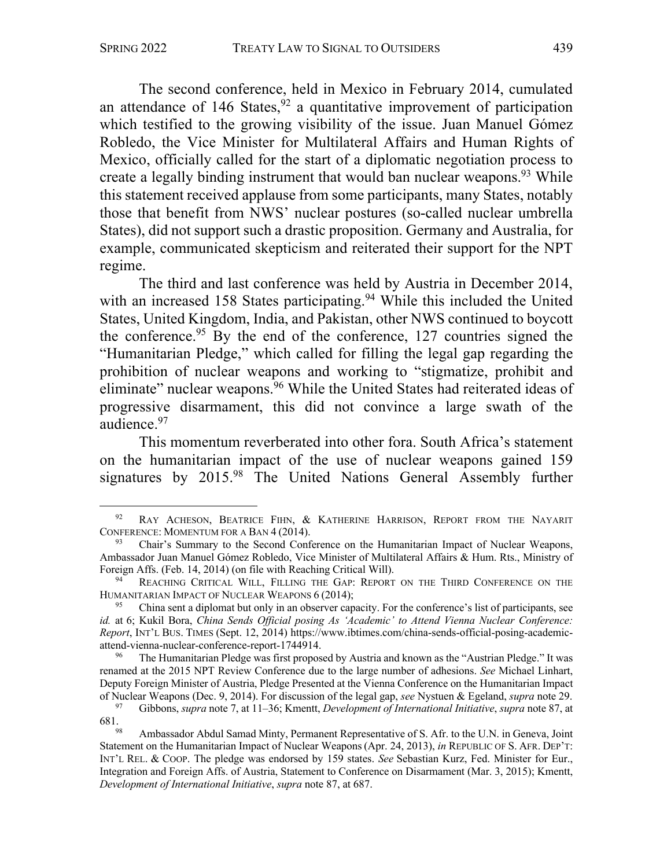The second conference, held in Mexico in February 2014, cumulated an attendance of  $146$  States,  $92$  a quantitative improvement of participation which testified to the growing visibility of the issue. Juan Manuel Gómez Robledo, the Vice Minister for Multilateral Affairs and Human Rights of Mexico, officially called for the start of a diplomatic negotiation process to create a legally binding instrument that would ban nuclear weapons.<sup>93</sup> While this statement received applause from some participants, many States, notably those that benefit from NWS' nuclear postures (so-called nuclear umbrella States), did not support such a drastic proposition. Germany and Australia, for example, communicated skepticism and reiterated their support for the NPT regime.

The third and last conference was held by Austria in December 2014, with an increased 158 States participating.<sup>94</sup> While this included the United States, United Kingdom, India, and Pakistan, other NWS continued to boycott the conference.<sup>95</sup> By the end of the conference, 127 countries signed the "Humanitarian Pledge," which called for filling the legal gap regarding the prohibition of nuclear weapons and working to "stigmatize, prohibit and eliminate" nuclear weapons.<sup>96</sup> While the United States had reiterated ideas of progressive disarmament, this did not convince a large swath of the audience.97

This momentum reverberated into other fora. South Africa's statement on the humanitarian impact of the use of nuclear weapons gained 159 signatures by 2015.<sup>98</sup> The United Nations General Assembly further

<sup>&</sup>lt;sup>92</sup> RAY ACHESON, BEATRICE FIHN, & KATHERINE HARRISON, REPORT FROM THE NAYARIT CONFERENCE: MOMENTUM FOR A BAN 4 (2014).

<sup>93</sup> Chair's Summary to the Second Conference on the Humanitarian Impact of Nuclear Weapons, Ambassador Juan Manuel Gómez Robledo, Vice Minister of Multilateral Affairs & Hum. Rts., Ministry of Foreign Affs. (Feb. 14, 2014) (on file with Reaching Critical Will).

REACHING CRITICAL WILL, FILLING THE GAP: REPORT ON THE THIRD CONFERENCE ON THE HUMANITARIAN IMPACT OF NUCLEAR WEAPONS 6 (2014);

<sup>&</sup>lt;sup>95</sup> China sent a diplomat but only in an observer capacity. For the conference's list of participants, see *id.* at 6; Kukil Bora, *China Sends Official posing As 'Academic' to Attend Vienna Nuclear Conference: Report*, INT'L BUS. TIMES (Sept. 12, 2014) https://www.ibtimes.com/china-sends-official-posing-academicattend-vienna-nuclear-conference-report-1744914. 96 The Humanitarian Pledge was first proposed by Austria and known as the "Austrian Pledge." It was

renamed at the 2015 NPT Review Conference due to the large number of adhesions. *See* Michael Linhart, Deputy Foreign Minister of Austria, Pledge Presented at the Vienna Conference on the Humanitarian Impact of Nuclear Weapons (Dec. 9, 2014). For discussion of the legal gap, *see* Nystuen & Egeland, *supra* note 29.

<sup>97</sup> Gibbons, *supra* note 7, at 11–36; Kmentt, *Development of International Initiative*, *supra* note 87, at  $681.98$ 

Ambassador Abdul Samad Minty, Permanent Representative of S. Afr. to the U.N. in Geneva, Joint Statement on the Humanitarian Impact of Nuclear Weapons(Apr. 24, 2013), *in* REPUBLIC OF S. AFR. DEP'T: INT'L REL. & COOP. The pledge was endorsed by 159 states. *See* Sebastian Kurz, Fed. Minister for Eur., Integration and Foreign Affs. of Austria, Statement to Conference on Disarmament (Mar. 3, 2015); Kmentt, *Development of International Initiative*, *supra* note 87, at 687.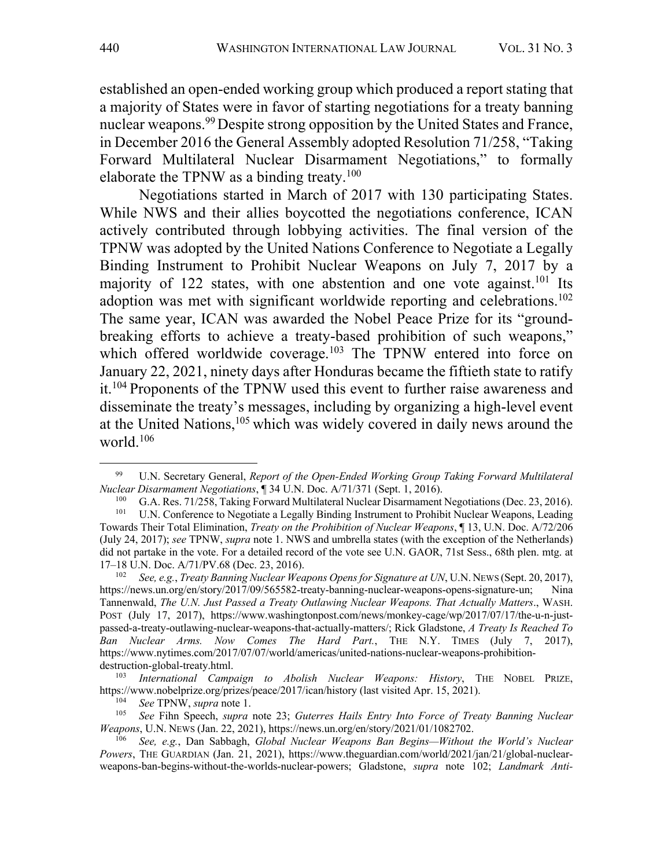established an open-ended working group which produced a report stating that a majority of States were in favor of starting negotiations for a treaty banning nuclear weapons.<sup>99</sup> Despite strong opposition by the United States and France, in December 2016 the General Assembly adopted Resolution 71/258, "Taking Forward Multilateral Nuclear Disarmament Negotiations," to formally elaborate the TPNW as a binding treaty.<sup>100</sup>

Negotiations started in March of 2017 with 130 participating States. While NWS and their allies boycotted the negotiations conference, ICAN actively contributed through lobbying activities. The final version of the TPNW was adopted by the United Nations Conference to Negotiate a Legally Binding Instrument to Prohibit Nuclear Weapons on July 7, 2017 by a majority of 122 states, with one abstention and one vote against.<sup>101</sup> Its adoption was met with significant worldwide reporting and celebrations.<sup>102</sup> The same year, ICAN was awarded the Nobel Peace Prize for its "groundbreaking efforts to achieve a treaty-based prohibition of such weapons," which offered worldwide coverage.<sup>103</sup> The TPNW entered into force on January 22, 2021, ninety days after Honduras became the fiftieth state to ratify it.<sup>104</sup> Proponents of the TPNW used this event to further raise awareness and disseminate the treaty's messages, including by organizing a high-level event at the United Nations, <sup>105</sup> which was widely covered in daily news around the world.106

<sup>99</sup> U.N. Secretary General, *Report of the Open-Ended Working Group Taking Forward Multilateral Nuclear Disarmament Negotiations*, ¶ 34 U.N. Doc. A/71/371 (Sept. 1, 2016).

<sup>&</sup>lt;sup>100</sup> G.A. Res. 71/258, Taking Forward Multilateral Nuclear Disarmament Negotiations (Dec. 23, 2016).<br><sup>101</sup> U.N. Conference to Negotiate a Legally Binding Instrument to Prohibit Nuclear Weapons, Leading

<sup>101</sup> U.N. Conference to Negotiate a Legally Binding Instrument to Prohibit Nuclear Weapons, Leading Towards Their Total Elimination, *Treaty on the Prohibition of Nuclear Weapons*, ¶ 13, U.N. Doc. A/72/206 (July 24, 2017); *see* TPNW, *supra* note 1. NWS and umbrella states (with the exception of the Netherlands) did not partake in the vote. For a detailed record of the vote see U.N. GAOR, 71st Sess., 68th plen. mtg. at 17–18 U.N. Doc. A/71/PV.68 (Dec. 23, 2016).

<sup>102</sup> *See, e.g.*, *Treaty Banning Nuclear Weapons Opens for Signature at UN*, U.N. NEWS (Sept. 20, 2017), https://news.un.org/en/story/2017/09/565582-treaty-banning-nuclear-weapons-opens-signature-un; Nina Tannenwald, *The U.N. Just Passed a Treaty Outlawing Nuclear Weapons. That Actually Matters*., WASH. POST (July 17, 2017), https://www.washingtonpost.com/news/monkey-cage/wp/2017/07/17/the-u-n-justpassed-a-treaty-outlawing-nuclear-weapons-that-actually-matters/; Rick Gladstone, *A Treaty Is Reached To Ban Nuclear Arms. Now Comes The Hard Part.*, THE N.Y. TIMES (July 7, 2017), https://www.nytimes.com/2017/07/07/world/americas/united-nations-nuclear-weapons-prohibitiondestruction-global-treaty.html.

<sup>103</sup> *International Campaign to Abolish Nuclear Weapons: History*, THE NOBEL PRIZE, https://www.nobelprize.org/prizes/peace/2017/ican/history (last visited Apr. 15, 2021).

<sup>104</sup> *See* TPNW, *supra* note 1.

<sup>105</sup> *See* Fihn Speech, *supra* note 23; *Guterres Hails Entry Into Force of Treaty Banning Nuclear Weapons*, U.N. NEWS (Jan. 22, 2021), https://news.un.org/en/story/2021/01/1082702.

<sup>106</sup> *See, e.g.*, Dan Sabbagh, *Global Nuclear Weapons Ban Begins—Without the World's Nuclear Powers*, THE GUARDIAN (Jan. 21, 2021), https://www.theguardian.com/world/2021/jan/21/global-nuclearweapons-ban-begins-without-the-worlds-nuclear-powers; Gladstone, *supra* note 102; *Landmark Anti-*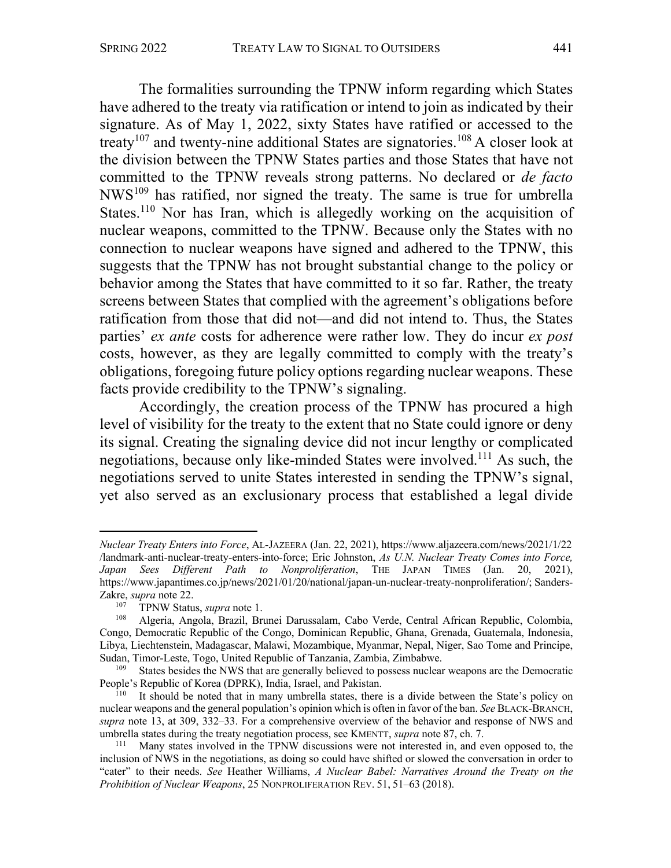The formalities surrounding the TPNW inform regarding which States have adhered to the treaty via ratification or intend to join as indicated by their signature. As of May 1, 2022, sixty States have ratified or accessed to the treaty<sup>107</sup> and twenty-nine additional States are signatories.<sup>108</sup> A closer look at the division between the TPNW States parties and those States that have not committed to the TPNW reveals strong patterns. No declared or *de facto* NWS109 has ratified, nor signed the treaty. The same is true for umbrella States.<sup>110</sup> Nor has Iran, which is allegedly working on the acquisition of nuclear weapons, committed to the TPNW. Because only the States with no connection to nuclear weapons have signed and adhered to the TPNW, this suggests that the TPNW has not brought substantial change to the policy or behavior among the States that have committed to it so far. Rather, the treaty screens between States that complied with the agreement's obligations before ratification from those that did not—and did not intend to. Thus, the States parties' *ex ante* costs for adherence were rather low. They do incur *ex post*  costs, however, as they are legally committed to comply with the treaty's obligations, foregoing future policy options regarding nuclear weapons. These facts provide credibility to the TPNW's signaling.

Accordingly, the creation process of the TPNW has procured a high level of visibility for the treaty to the extent that no State could ignore or deny its signal. Creating the signaling device did not incur lengthy or complicated negotiations, because only like-minded States were involved.<sup>111</sup> As such, the negotiations served to unite States interested in sending the TPNW's signal, yet also served as an exclusionary process that established a legal divide

*Nuclear Treaty Enters into Force*, AL-JAZEERA (Jan. 22, 2021), https://www.aljazeera.com/news/2021/1/22 /landmark-anti-nuclear-treaty-enters-into-force; Eric Johnston, *As U.N. Nuclear Treaty Comes into Force, Japan Sees Different Path to Nonproliferation*, THE JAPAN TIMES (Jan. 20, 2021), https://www.japantimes.co.jp/news/2021/01/20/national/japan-un-nuclear-treaty-nonproliferation/; Sanders-Zakre, *supra* note 22.<br><sup>107</sup> TPNW Statu

<sup>&</sup>lt;sup>107</sup> TPNW Status, *supra* note 1.<br><sup>108</sup> Algeria Angola Brazil Bri

<sup>108</sup> Algeria, Angola, Brazil, Brunei Darussalam, Cabo Verde, Central African Republic, Colombia, Congo, Democratic Republic of the Congo, Dominican Republic, Ghana, Grenada, Guatemala, Indonesia, Libya, Liechtenstein, Madagascar, Malawi, Mozambique, Myanmar, Nepal, Niger, Sao Tome and Principe, Sudan, Timor-Leste, Togo, United Republic of Tanzania, Zambia, Zimbabwe.

States besides the NWS that are generally believed to possess nuclear weapons are the Democratic People's Republic of Korea (DPRK), India, Israel, and Pakistan.

<sup>&</sup>lt;sup>110</sup> It should be noted that in many umbrella states, there is a divide between the State's policy on nuclear weapons and the general population's opinion which is often in favor of the ban. *See* BLACK-BRANCH, *supra* note 13, at 309, 332–33. For a comprehensive overview of the behavior and response of NWS and umbrella states during the treaty negotiation process, see KMENTT, *supra* note 87, ch. 7.

<sup>&</sup>lt;sup>111</sup> Many states involved in the TPNW discussions were not interested in, and even opposed to, the inclusion of NWS in the negotiations, as doing so could have shifted or slowed the conversation in order to "cater" to their needs. *See* Heather Williams, *A Nuclear Babel: Narratives Around the Treaty on the Prohibition of Nuclear Weapons*, 25 NONPROLIFERATION REV. 51, 51–63 (2018).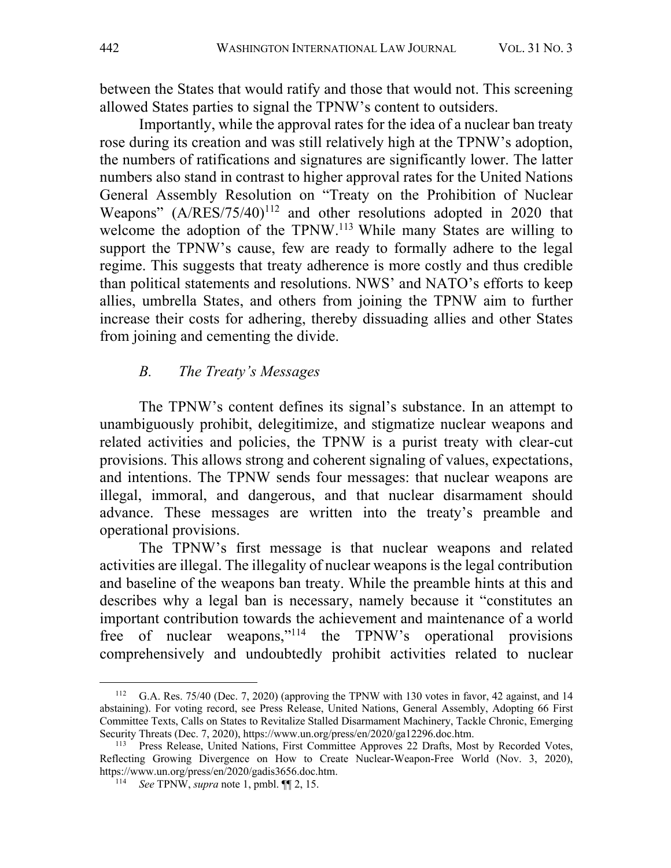between the States that would ratify and those that would not. This screening allowed States parties to signal the TPNW's content to outsiders.

Importantly, while the approval rates for the idea of a nuclear ban treaty rose during its creation and was still relatively high at the TPNW's adoption, the numbers of ratifications and signatures are significantly lower. The latter numbers also stand in contrast to higher approval rates for the United Nations General Assembly Resolution on "Treaty on the Prohibition of Nuclear Weapons"  $(A/RES/75/40)^{112}$  and other resolutions adopted in 2020 that welcome the adoption of the TPNW.<sup>113</sup> While many States are willing to support the TPNW's cause, few are ready to formally adhere to the legal regime. This suggests that treaty adherence is more costly and thus credible than political statements and resolutions. NWS' and NATO's efforts to keep allies, umbrella States, and others from joining the TPNW aim to further increase their costs for adhering, thereby dissuading allies and other States from joining and cementing the divide.

# *B. The Treaty's Messages*

The TPNW's content defines its signal's substance. In an attempt to unambiguously prohibit, delegitimize, and stigmatize nuclear weapons and related activities and policies, the TPNW is a purist treaty with clear-cut provisions. This allows strong and coherent signaling of values, expectations, and intentions. The TPNW sends four messages: that nuclear weapons are illegal, immoral, and dangerous, and that nuclear disarmament should advance. These messages are written into the treaty's preamble and operational provisions.

The TPNW's first message is that nuclear weapons and related activities are illegal. The illegality of nuclear weapons is the legal contribution and baseline of the weapons ban treaty. While the preamble hints at this and describes why a legal ban is necessary, namely because it "constitutes an important contribution towards the achievement and maintenance of a world free of nuclear weapons,"114 the TPNW's operational provisions comprehensively and undoubtedly prohibit activities related to nuclear

<sup>112</sup> G.A. Res. 75/40 (Dec. 7, 2020) (approving the TPNW with 130 votes in favor, 42 against, and 14 abstaining). For voting record, see Press Release, United Nations, General Assembly, Adopting 66 First Committee Texts, Calls on States to Revitalize Stalled Disarmament Machinery, Tackle Chronic, Emerging Security Threats (Dec. 7, 2020), https://www.un.org/press/en/2020/ga12296.doc.htm.

<sup>&</sup>lt;sup>113</sup> Press Release, United Nations, First Committee Approves 22 Drafts, Most by Recorded Votes, Reflecting Growing Divergence on How to Create Nuclear-Weapon-Free World (Nov. 3, 2020), https://www.un.org/press/en/2020/gadis3656.doc.htm.

<sup>&</sup>lt;sup>114</sup> *See* TPNW, *supra* note 1, pmbl.  $\P$ [2, 15.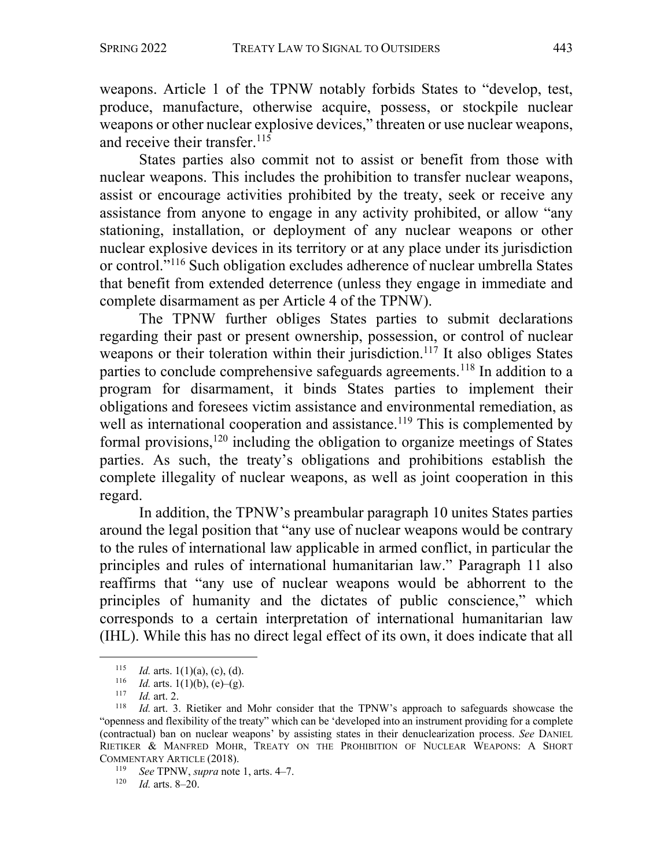weapons. Article 1 of the TPNW notably forbids States to "develop, test, produce, manufacture, otherwise acquire, possess, or stockpile nuclear weapons or other nuclear explosive devices," threaten or use nuclear weapons, and receive their transfer.  $115$ 

States parties also commit not to assist or benefit from those with nuclear weapons. This includes the prohibition to transfer nuclear weapons, assist or encourage activities prohibited by the treaty, seek or receive any assistance from anyone to engage in any activity prohibited, or allow "any stationing, installation, or deployment of any nuclear weapons or other nuclear explosive devices in its territory or at any place under its jurisdiction or control."116 Such obligation excludes adherence of nuclear umbrella States that benefit from extended deterrence (unless they engage in immediate and complete disarmament as per Article 4 of the TPNW).

The TPNW further obliges States parties to submit declarations regarding their past or present ownership, possession, or control of nuclear weapons or their toleration within their jurisdiction.<sup>117</sup> It also obliges States parties to conclude comprehensive safeguards agreements.<sup>118</sup> In addition to a program for disarmament, it binds States parties to implement their obligations and foresees victim assistance and environmental remediation, as well as international cooperation and assistance.<sup>119</sup> This is complemented by formal provisions, $120$  including the obligation to organize meetings of States parties. As such, the treaty's obligations and prohibitions establish the complete illegality of nuclear weapons, as well as joint cooperation in this regard.

In addition, the TPNW's preambular paragraph 10 unites States parties around the legal position that "any use of nuclear weapons would be contrary to the rules of international law applicable in armed conflict, in particular the principles and rules of international humanitarian law." Paragraph 11 also reaffirms that "any use of nuclear weapons would be abhorrent to the principles of humanity and the dictates of public conscience," which corresponds to a certain interpretation of international humanitarian law (IHL). While this has no direct legal effect of its own, it does indicate that all

<sup>&</sup>lt;sup>115</sup> *Id.* arts. 1(1)(a), (c), (d).

<sup>&</sup>lt;sup>116</sup> *Id.* arts. 1(1)(b), (e)–(g).<br><sup>117</sup> *Id.* art. 2

 $\frac{117}{118}$  *Id.* art. 2.

*Id.* art. 3. Rietiker and Mohr consider that the TPNW's approach to safeguards showcase the "openness and flexibility of the treaty" which can be 'developed into an instrument providing for a complete (contractual) ban on nuclear weapons' by assisting states in their denuclearization process. *See* DANIEL RIETIKER & MANFRED MOHR, TREATY ON THE PROHIBITION OF NUCLEAR WEAPONS: A SHORT COMMENTARY ARTICLE (2018).

<sup>119</sup> *See* TPNW, *supra* note 1, arts. 4–7.

<sup>120</sup> *Id.* arts. 8–20.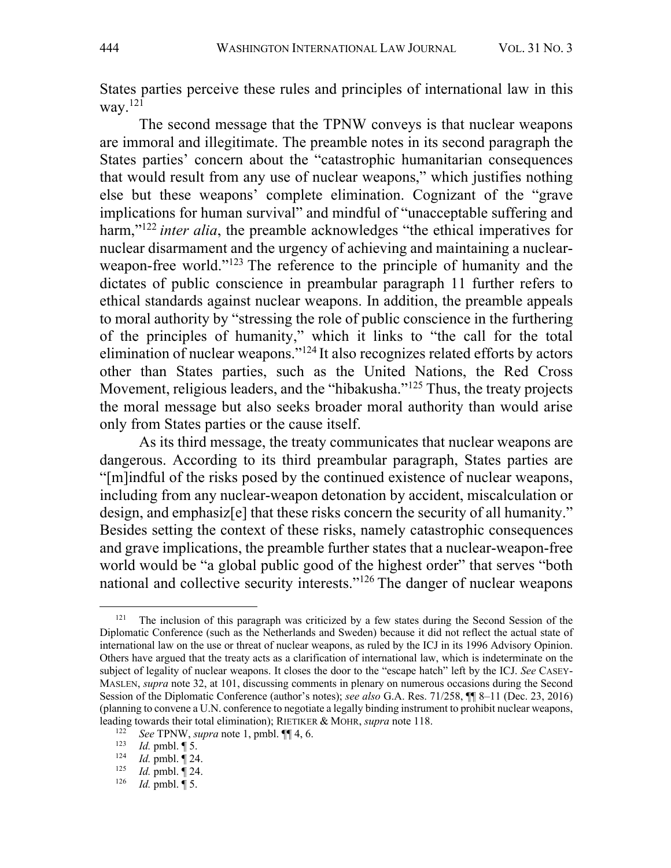States parties perceive these rules and principles of international law in this way. $^{121}$ 

The second message that the TPNW conveys is that nuclear weapons are immoral and illegitimate. The preamble notes in its second paragraph the States parties' concern about the "catastrophic humanitarian consequences that would result from any use of nuclear weapons," which justifies nothing else but these weapons' complete elimination. Cognizant of the "grave implications for human survival" and mindful of "unacceptable suffering and harm,"122 *inter alia*, the preamble acknowledges "the ethical imperatives for nuclear disarmament and the urgency of achieving and maintaining a nuclearweapon-free world."<sup>123</sup> The reference to the principle of humanity and the dictates of public conscience in preambular paragraph 11 further refers to ethical standards against nuclear weapons. In addition, the preamble appeals to moral authority by "stressing the role of public conscience in the furthering of the principles of humanity," which it links to "the call for the total elimination of nuclear weapons."124 It also recognizes related efforts by actors other than States parties, such as the United Nations, the Red Cross Movement, religious leaders, and the "hibakusha."<sup>125</sup> Thus, the treaty projects the moral message but also seeks broader moral authority than would arise only from States parties or the cause itself.

As its third message, the treaty communicates that nuclear weapons are dangerous. According to its third preambular paragraph, States parties are "[m]indful of the risks posed by the continued existence of nuclear weapons, including from any nuclear-weapon detonation by accident, miscalculation or design, and emphasiz[e] that these risks concern the security of all humanity." Besides setting the context of these risks, namely catastrophic consequences and grave implications, the preamble further states that a nuclear-weapon-free world would be "a global public good of the highest order" that serves "both national and collective security interests."126 The danger of nuclear weapons

<sup>&</sup>lt;sup>121</sup> The inclusion of this paragraph was criticized by a few states during the Second Session of the Diplomatic Conference (such as the Netherlands and Sweden) because it did not reflect the actual state of international law on the use or threat of nuclear weapons, as ruled by the ICJ in its 1996 Advisory Opinion. Others have argued that the treaty acts as a clarification of international law, which is indeterminate on the subject of legality of nuclear weapons. It closes the door to the "escape hatch" left by the ICJ. *See* CASEY-MASLEN, *supra* note 32, at 101, discussing comments in plenary on numerous occasions during the Second Session of the Diplomatic Conference (author's notes); *see also* G.A. Res. 71/258, ¶¶ 8–11 (Dec. 23, 2016) (planning to convene a U.N. conference to negotiate a legally binding instrument to prohibit nuclear weapons, leading towards their total elimination); RIETIKER & MOHR, *supra* note 118.

<sup>122</sup> *See* TPNW, *supra* note 1, pmbl. ¶¶ 4, 6.

<sup>&</sup>lt;sup>123</sup> *Id.* pmbl.  $\P$  5.<br><sup>124</sup> *Id.* pmbl.  $\P$  24

 $\frac{124}{125}$  *Id.* pmbl.  $\sqrt{\frac{924}{125}}$ 

<sup>&</sup>lt;sup>125</sup> *Id.* pmbl.  $\P$  24.<br><sup>126</sup> *Id.* pmbl.  $\P$  5.

*Id.* pmbl. ¶ 5.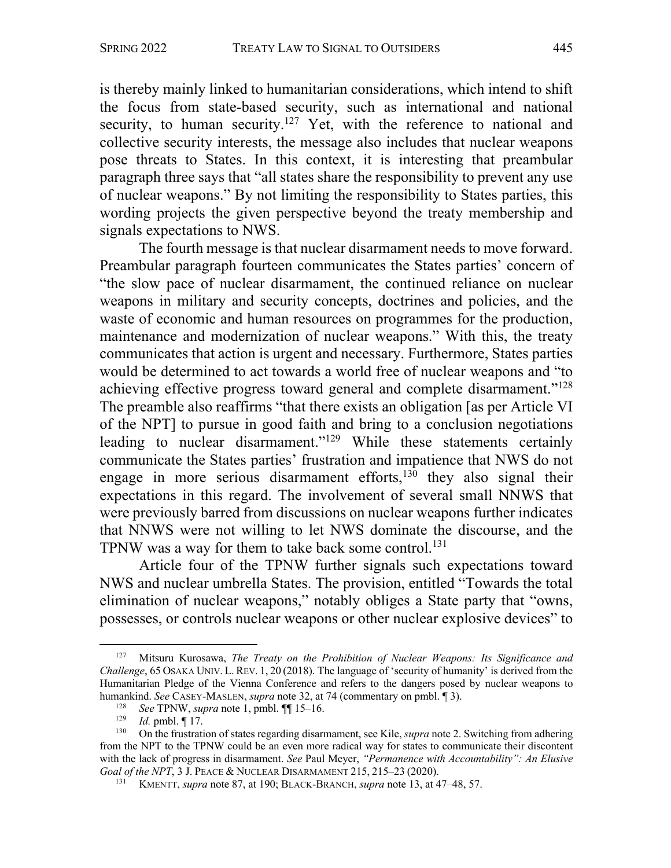is thereby mainly linked to humanitarian considerations, which intend to shift the focus from state-based security, such as international and national security, to human security.<sup>127</sup> Yet, with the reference to national and collective security interests, the message also includes that nuclear weapons pose threats to States. In this context, it is interesting that preambular paragraph three says that "all states share the responsibility to prevent any use of nuclear weapons." By not limiting the responsibility to States parties, this wording projects the given perspective beyond the treaty membership and signals expectations to NWS.

The fourth message is that nuclear disarmament needs to move forward. Preambular paragraph fourteen communicates the States parties' concern of "the slow pace of nuclear disarmament, the continued reliance on nuclear weapons in military and security concepts, doctrines and policies, and the waste of economic and human resources on programmes for the production, maintenance and modernization of nuclear weapons." With this, the treaty communicates that action is urgent and necessary. Furthermore, States parties would be determined to act towards a world free of nuclear weapons and "to achieving effective progress toward general and complete disarmament."<sup>128</sup> The preamble also reaffirms "that there exists an obligation [as per Article VI of the NPT] to pursue in good faith and bring to a conclusion negotiations leading to nuclear disarmament."129 While these statements certainly communicate the States parties' frustration and impatience that NWS do not engage in more serious disarmament efforts, $130$  they also signal their expectations in this regard. The involvement of several small NNWS that were previously barred from discussions on nuclear weapons further indicates that NNWS were not willing to let NWS dominate the discourse, and the TPNW was a way for them to take back some control.<sup>131</sup>

Article four of the TPNW further signals such expectations toward NWS and nuclear umbrella States. The provision, entitled "Towards the total elimination of nuclear weapons," notably obliges a State party that "owns, possesses, or controls nuclear weapons or other nuclear explosive devices" to

<sup>127</sup> Mitsuru Kurosawa, *The Treaty on the Prohibition of Nuclear Weapons: Its Significance and Challenge*, 65 OSAKA UNIV. L. REV. 1, 20 (2018). The language of 'security of humanity' is derived from the Humanitarian Pledge of the Vienna Conference and refers to the dangers posed by nuclear weapons to humankind. *See* CASEY-MASLEN, *supra* note 32, at 74 (commentary on pmbl. ¶ 3).

<sup>128</sup> *See* TPNW, *supra* note 1, pmbl. ¶¶ 15–16.

*Id.* pmbl. ¶ 17.

<sup>130</sup> On the frustration of states regarding disarmament, see Kile, *supra* note 2. Switching from adhering from the NPT to the TPNW could be an even more radical way for states to communicate their discontent with the lack of progress in disarmament. *See* Paul Meyer, *"Permanence with Accountability": An Elusive Goal of the NPT*, 3 J. PEACE & NUCLEAR DISARMAMENT 215, 215–23 (2020).

<sup>131</sup> KMENTT, *supra* note 87, at 190; BLACK-BRANCH, *supra* note 13, at 47–48, 57.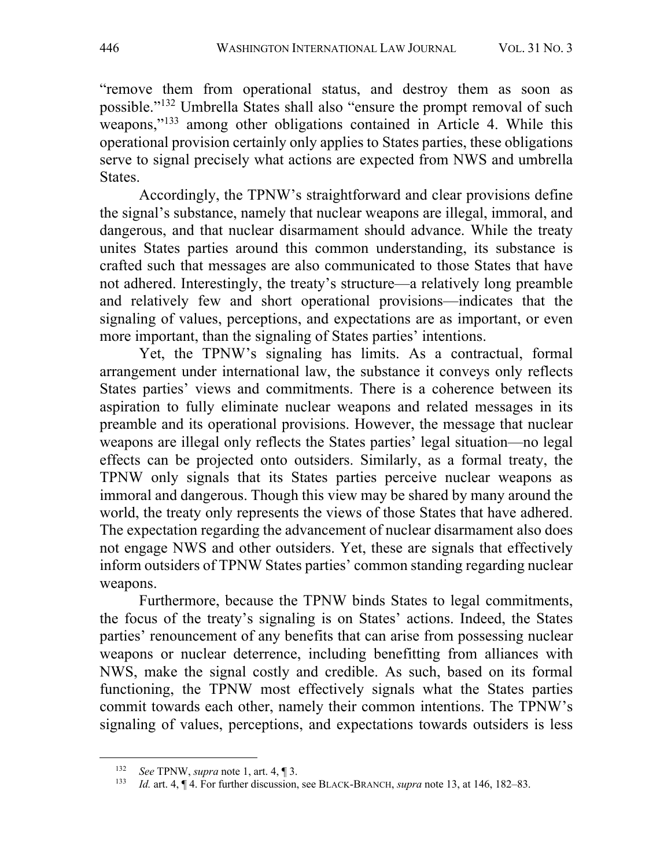"remove them from operational status, and destroy them as soon as possible."132 Umbrella States shall also "ensure the prompt removal of such weapons,"<sup>133</sup> among other obligations contained in Article 4. While this operational provision certainly only applies to States parties, these obligations serve to signal precisely what actions are expected from NWS and umbrella States.

Accordingly, the TPNW's straightforward and clear provisions define the signal's substance, namely that nuclear weapons are illegal, immoral, and dangerous, and that nuclear disarmament should advance. While the treaty unites States parties around this common understanding, its substance is crafted such that messages are also communicated to those States that have not adhered. Interestingly, the treaty's structure—a relatively long preamble and relatively few and short operational provisions—indicates that the signaling of values, perceptions, and expectations are as important, or even more important, than the signaling of States parties' intentions.

Yet, the TPNW's signaling has limits. As a contractual, formal arrangement under international law, the substance it conveys only reflects States parties' views and commitments. There is a coherence between its aspiration to fully eliminate nuclear weapons and related messages in its preamble and its operational provisions. However, the message that nuclear weapons are illegal only reflects the States parties' legal situation—no legal effects can be projected onto outsiders. Similarly, as a formal treaty, the TPNW only signals that its States parties perceive nuclear weapons as immoral and dangerous. Though this view may be shared by many around the world, the treaty only represents the views of those States that have adhered. The expectation regarding the advancement of nuclear disarmament also does not engage NWS and other outsiders. Yet, these are signals that effectively inform outsiders of TPNW States parties' common standing regarding nuclear weapons.

Furthermore, because the TPNW binds States to legal commitments, the focus of the treaty's signaling is on States' actions. Indeed, the States parties' renouncement of any benefits that can arise from possessing nuclear weapons or nuclear deterrence, including benefitting from alliances with NWS, make the signal costly and credible. As such, based on its formal functioning, the TPNW most effectively signals what the States parties commit towards each other, namely their common intentions. The TPNW's signaling of values, perceptions, and expectations towards outsiders is less

<sup>132</sup> *See* TPNW, *supra* note 1, art. 4, ¶ 3.

<sup>133</sup> *Id.* art. 4, ¶ 4. For further discussion, see BLACK-BRANCH, *supra* note 13, at 146, 182–83.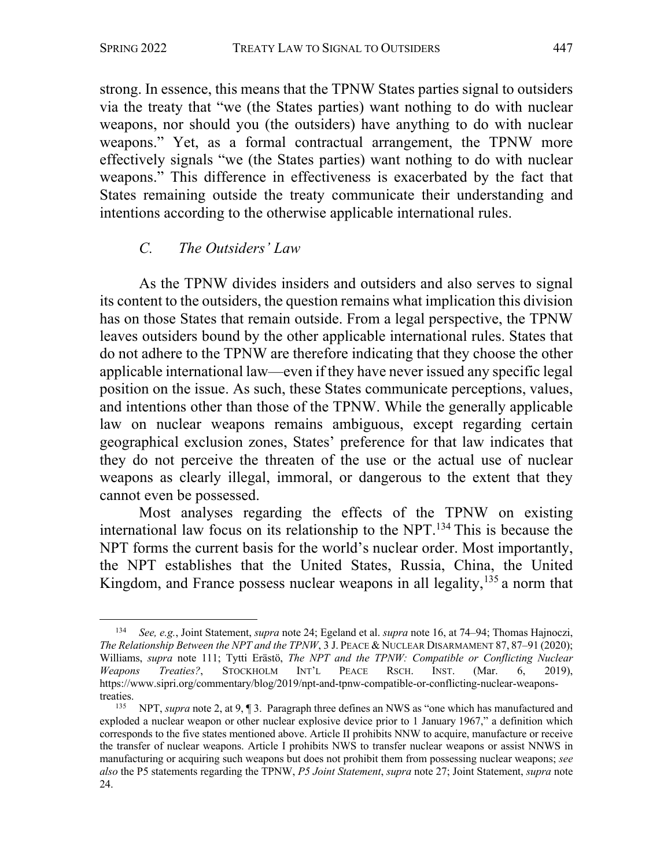strong. In essence, this means that the TPNW States parties signal to outsiders via the treaty that "we (the States parties) want nothing to do with nuclear weapons, nor should you (the outsiders) have anything to do with nuclear weapons." Yet, as a formal contractual arrangement, the TPNW more effectively signals "we (the States parties) want nothing to do with nuclear weapons." This difference in effectiveness is exacerbated by the fact that States remaining outside the treaty communicate their understanding and intentions according to the otherwise applicable international rules.

# *C. The Outsiders' Law*

As the TPNW divides insiders and outsiders and also serves to signal its content to the outsiders, the question remains what implication this division has on those States that remain outside. From a legal perspective, the TPNW leaves outsiders bound by the other applicable international rules. States that do not adhere to the TPNW are therefore indicating that they choose the other applicable international law—even if they have never issued any specific legal position on the issue. As such, these States communicate perceptions, values, and intentions other than those of the TPNW. While the generally applicable law on nuclear weapons remains ambiguous, except regarding certain geographical exclusion zones, States' preference for that law indicates that they do not perceive the threaten of the use or the actual use of nuclear weapons as clearly illegal, immoral, or dangerous to the extent that they cannot even be possessed.

Most analyses regarding the effects of the TPNW on existing international law focus on its relationship to the NPT.134 This is because the NPT forms the current basis for the world's nuclear order. Most importantly, the NPT establishes that the United States, Russia, China, the United Kingdom, and France possess nuclear weapons in all legality, $135$  a norm that

<sup>134</sup> *See, e.g.*, Joint Statement, *supra* note 24; Egeland et al. *supra* note 16, at 74–94; Thomas Hajnoczi, *The Relationship Between the NPT and the TPNW*, 3 J. PEACE & NUCLEAR DISARMAMENT 87, 87–91 (2020); Williams, *supra* note 111; Tytti Erästö, *The NPT and the TPNW: Compatible or Conflicting Nuclear Weapons Treaties?*, STOCKHOLM INT'L PEACE RSCH. INST. (Mar. 6, 2019), https://www.sipri.org/commentary/blog/2019/npt-and-tpnw-compatible-or-conflicting-nuclear-weaponstreaties.

<sup>135</sup> NPT, *supra* note 2, at 9, ¶ 3. Paragraph three defines an NWS as "one which has manufactured and exploded a nuclear weapon or other nuclear explosive device prior to 1 January 1967," a definition which corresponds to the five states mentioned above. Article II prohibits NNW to acquire, manufacture or receive the transfer of nuclear weapons. Article I prohibits NWS to transfer nuclear weapons or assist NNWS in manufacturing or acquiring such weapons but does not prohibit them from possessing nuclear weapons; *see also* the P5 statements regarding the TPNW, *P5 Joint Statement*, *supra* note 27; Joint Statement, *supra* note 24.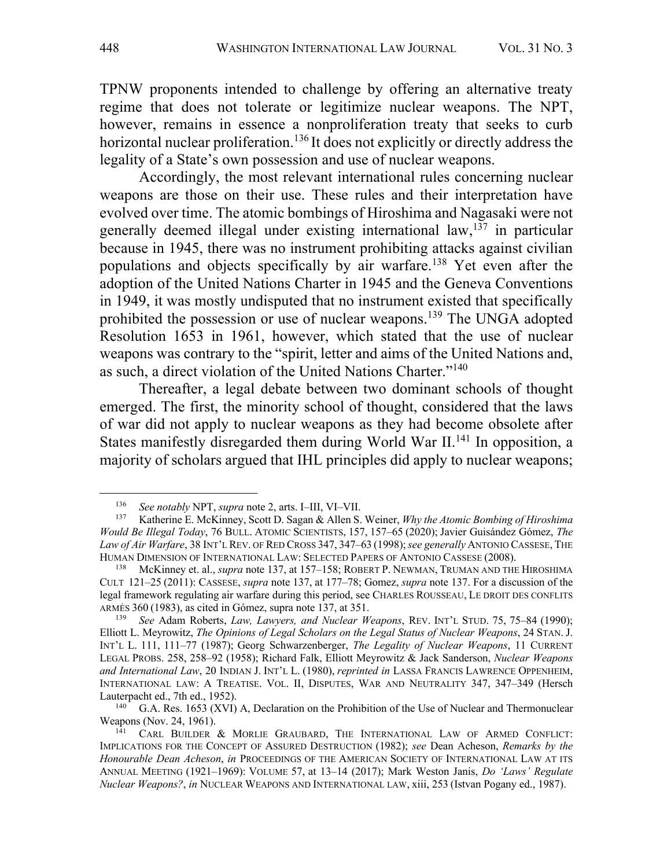TPNW proponents intended to challenge by offering an alternative treaty regime that does not tolerate or legitimize nuclear weapons. The NPT, however, remains in essence a nonproliferation treaty that seeks to curb horizontal nuclear proliferation.<sup>136</sup> It does not explicitly or directly address the legality of a State's own possession and use of nuclear weapons.

Accordingly, the most relevant international rules concerning nuclear weapons are those on their use. These rules and their interpretation have evolved over time. The atomic bombings of Hiroshima and Nagasaki were not generally deemed illegal under existing international law, <sup>137</sup> in particular because in 1945, there was no instrument prohibiting attacks against civilian populations and objects specifically by air warfare.<sup>138</sup> Yet even after the adoption of the United Nations Charter in 1945 and the Geneva Conventions in 1949, it was mostly undisputed that no instrument existed that specifically prohibited the possession or use of nuclear weapons.139 The UNGA adopted Resolution 1653 in 1961, however, which stated that the use of nuclear weapons was contrary to the "spirit, letter and aims of the United Nations and, as such, a direct violation of the United Nations Charter."140

Thereafter, a legal debate between two dominant schools of thought emerged. The first, the minority school of thought, considered that the laws of war did not apply to nuclear weapons as they had become obsolete after States manifestly disregarded them during World War II.<sup>141</sup> In opposition, a majority of scholars argued that IHL principles did apply to nuclear weapons;

<sup>136</sup> *See notably* NPT, *supra* note 2, arts. I–III, VI–VII.

<sup>137</sup> Katherine E. McKinney, Scott D. Sagan & Allen S. Weiner, *Why the Atomic Bombing of Hiroshima Would Be Illegal Today*, 76 BULL. ATOMIC SCIENTISTS, 157, 157–65 (2020); Javier Guisández Gómez, *The Law of Air Warfare*, 38 INT'L REV. OF RED CROSS 347, 347–63 (1998);*see generally* ANTONIO CASSESE, THE HUMAN DIMENSION OF INTERNATIONAL LAW: SELECTED PAPERS OF ANTONIO CASSESE (2008).

<sup>138</sup> McKinney et. al., *supra* note 137, at 157–158; ROBERT P. NEWMAN, TRUMAN AND THE HIROSHIMA CULT 121–25 (2011): CASSESE, *supra* note 137, at 177–78; Gomez, *supra* note 137. For a discussion of the legal framework regulating air warfare during this period, see CHARLES ROUSSEAU, LE DROIT DES CONFLITS ARMÉS 360 (1983), as cited in Gómez, supra note 137, at 351.

<sup>139</sup> *See* Adam Roberts, *Law, Lawyers, and Nuclear Weapons*, REV. INT'L STUD. 75, 75–84 (1990); Elliott L. Meyrowitz, *The Opinions of Legal Scholars on the Legal Status of Nuclear Weapons*, 24 STAN. J. INT'L L. 111, 111–77 (1987); Georg Schwarzenberger, *The Legality of Nuclear Weapons*, 11 CURRENT LEGAL PROBS. 258, 258–92 (1958); Richard Falk, Elliott Meyrowitz & Jack Sanderson, *Nuclear Weapons and International Law*, 20 INDIAN J. INT'L L. (1980), *reprinted in* LASSA FRANCIS LAWRENCE OPPENHEIM, INTERNATIONAL LAW: A TREATISE. VOL. II, DISPUTES, WAR AND NEUTRALITY 347, 347–349 (Hersch Lauterpacht ed., 7th ed., 1952).

 $140$  G.A. Res. 1653 (XVI) A, Declaration on the Prohibition of the Use of Nuclear and Thermonuclear Weapons (Nov. 24, 1961).

<sup>141</sup> CARL BUILDER & MORLIE GRAUBARD, THE INTERNATIONAL LAW OF ARMED CONFLICT: IMPLICATIONS FOR THE CONCEPT OF ASSURED DESTRUCTION (1982); *see* Dean Acheson, *Remarks by the Honourable Dean Acheson*, *in* PROCEEDINGS OF THE AMERICAN SOCIETY OF INTERNATIONAL LAW AT ITS ANNUAL MEETING (1921–1969): VOLUME 57, at 13–14 (2017); Mark Weston Janis, *Do 'Laws' Regulate Nuclear Weapons?*, *in* NUCLEAR WEAPONS AND INTERNATIONAL LAW, xiii, 253 (Istvan Pogany ed., 1987).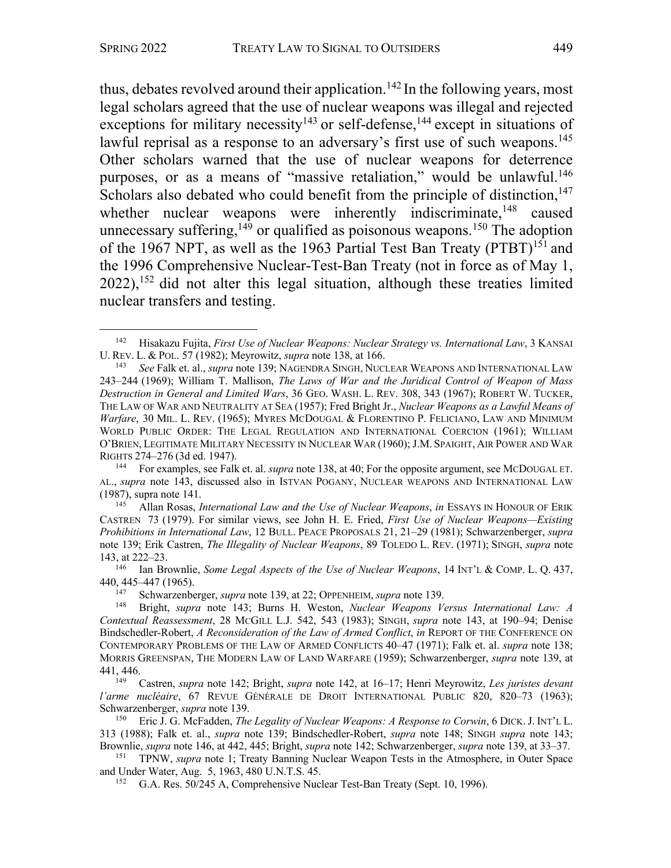thus, debates revolved around their application.<sup>142</sup> In the following years, most legal scholars agreed that the use of nuclear weapons was illegal and rejected exceptions for military necessity<sup>143</sup> or self-defense,  $144$  except in situations of lawful reprisal as a response to an adversary's first use of such weapons.<sup>145</sup> Other scholars warned that the use of nuclear weapons for deterrence purposes, or as a means of "massive retaliation," would be unlawful.<sup>146</sup> Scholars also debated who could benefit from the principle of distinction, $147$ whether nuclear weapons were inherently indiscriminate,<sup>148</sup> caused unnecessary suffering,  $149$  or qualified as poisonous weapons.<sup>150</sup> The adoption of the 1967 NPT, as well as the 1963 Partial Test Ban Treaty (PTBT)<sup>151</sup> and the 1996 Comprehensive Nuclear-Test-Ban Treaty (not in force as of May 1,  $2022$ ),  $152$  did not alter this legal situation, although these treaties limited nuclear transfers and testing.

<sup>142</sup> Hisakazu Fujita, *First Use of Nuclear Weapons: Nuclear Strategy vs. International Law*, 3 KANSAI U. REV. L. & POL. 57 (1982); Meyrowitz, *supra* note 138, at 166.

<sup>143</sup> *See* Falk et. al., *supra* note 139; NAGENDRA SINGH, NUCLEAR WEAPONS AND INTERNATIONAL LAW 243–244 (1969); William T. Mallison, *The Laws of War and the Juridical Control of Weapon of Mass Destruction in General and Limited Wars*, 36 GEO. WASH. L. REV. 308, 343 (1967); ROBERT W. TUCKER, THE LAW OF WAR AND NEUTRALITY AT SEA (1957); Fred Bright Jr., *Nuclear Weapons as a Lawful Means of Warfare*, 30 MIL. L. REV. (1965); MYRES MCDOUGAL & FLORENTINO P. FELICIANO, LAW AND MINIMUM WORLD PUBLIC ORDER: THE LEGAL REGULATION AND INTERNATIONAL COERCION (1961); WILLIAM O'BRIEN, LEGITIMATE MILITARY NECESSITY IN NUCLEAR WAR (1960); J.M. SPAIGHT, AIR POWER AND WAR RIGHTS 274–276 (3d ed. 1947).

<sup>144</sup> For examples, see Falk et. al. *supra* note 138, at 40; For the opposite argument, see MCDOUGAL ET. AL., *supra* note 143, discussed also in ISTVAN POGANY, NUCLEAR WEAPONS AND INTERNATIONAL LAW (1987), supra note 141.

<sup>145</sup> Allan Rosas, *International Law and the Use of Nuclear Weapons*, *in* ESSAYS IN HONOUR OF ERIK CASTREN 73 (1979). For similar views, see John H. E. Fried, *First Use of Nuclear Weapons—Existing Prohibitions in International Law*, 12 BULL. PEACE PROPOSALS 21, 21–29 (1981); Schwarzenberger, *supra*  note 139; Erik Castren, *The Illegality of Nuclear Weapons*, 89 TOLEDO L. REV. (1971); SINGH, *supra* note 143, at 222–23.

<sup>146</sup> Ian Brownlie, *Some Legal Aspects of the Use of Nuclear Weapons*, 14 INT'L & COMP. L. Q. 437, 440, 445–447 (1965).

<sup>147</sup> Schwarzenberger, *supra* note 139, at 22; OPPENHEIM, *supra* note 139.

<sup>148</sup> Bright, *supra* note 143; Burns H. Weston, *Nuclear Weapons Versus International Law: A Contextual Reassessment*, 28 MCGILL L.J. 542, 543 (1983); SINGH, *supra* note 143, at 190–94; Denise Bindschedler-Robert, *A Reconsideration of the Law of Armed Conflict*, *in* REPORT OF THE CONFERENCE ON CONTEMPORARY PROBLEMS OF THE LAW OF ARMED CONFLICTS 40–47 (1971); Falk et. al. *supra* note 138; MORRIS GREENSPAN, THE MODERN LAW OF LAND WARFARE (1959); Schwarzenberger, *supra* note 139, at 441, 446.

<sup>149</sup> Castren, *supra* note 142; Bright, *supra* note 142, at 16–17; Henri Meyrowitz, *Les juristes devant l'arme nucléaire*, 67 REVUE GÉNÉRALE DE DROIT INTERNATIONAL PUBLIC 820, 820–73 (1963); Schwarzenberger, *supra* note 139.

<sup>150</sup> Eric J. G. McFadden, *The Legality of Nuclear Weapons: A Response to Corwin*, 6 DICK.J. INT'L L. 313 (1988); Falk et. al., *supra* note 139; Bindschedler-Robert, *supra* note 148; SINGH *supra* note 143; Brownlie, *supra* note 146, at 442, 445; Bright, *supra* note 142; Schwarzenberger, *supra* note 139, at 33–37.

<sup>151</sup> TPNW, *supra* note 1; Treaty Banning Nuclear Weapon Tests in the Atmosphere, in Outer Space and Under Water, Aug. 5, 1963, 480 U.N.T.S. 45.

<sup>&</sup>lt;sup>152</sup> G.A. Res. 50/245 A, Comprehensive Nuclear Test-Ban Treaty (Sept. 10, 1996).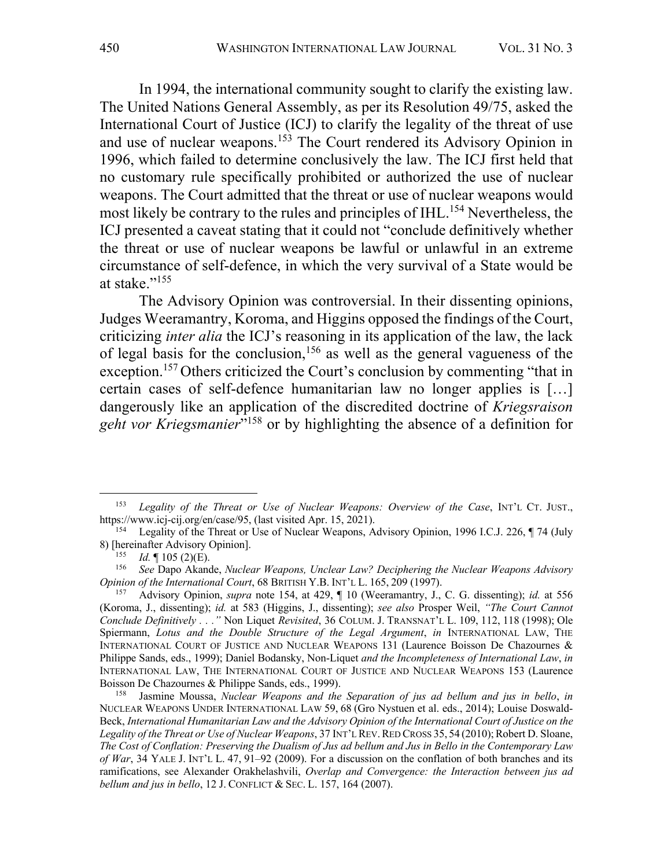In 1994, the international community sought to clarify the existing law. The United Nations General Assembly, as per its Resolution 49/75, asked the International Court of Justice (ICJ) to clarify the legality of the threat of use and use of nuclear weapons.153 The Court rendered its Advisory Opinion in 1996, which failed to determine conclusively the law. The ICJ first held that no customary rule specifically prohibited or authorized the use of nuclear weapons. The Court admitted that the threat or use of nuclear weapons would most likely be contrary to the rules and principles of IHL.<sup>154</sup> Nevertheless, the ICJ presented a caveat stating that it could not "conclude definitively whether the threat or use of nuclear weapons be lawful or unlawful in an extreme circumstance of self-defence, in which the very survival of a State would be at stake."<sup>155</sup>

The Advisory Opinion was controversial. In their dissenting opinions, Judges Weeramantry, Koroma, and Higgins opposed the findings of the Court, criticizing *inter alia* the ICJ's reasoning in its application of the law, the lack of legal basis for the conclusion,<sup>156</sup> as well as the general vagueness of the exception.<sup>157</sup> Others criticized the Court's conclusion by commenting "that in certain cases of self-defence humanitarian law no longer applies is […] dangerously like an application of the discredited doctrine of *Kriegsraison geht vor Kriegsmanier*"158 or by highlighting the absence of a definition for

<sup>153</sup> *Legality of the Threat or Use of Nuclear Weapons: Overview of the Case*, INT'L CT. JUST., https://www.icj-cij.org/en/case/95, (last visited Apr. 15, 2021).

<sup>&</sup>lt;sup>154</sup> Legality of the Threat or Use of Nuclear Weapons, Advisory Opinion, 1996 I.C.J. 226, ¶ 74 (July 8) [hereinafter Advisory Opinion].

<sup>&</sup>lt;sup>155</sup> *Id.*  $\parallel$  105 (2)(E).

<sup>156</sup> *See* Dapo Akande, *Nuclear Weapons, Unclear Law? Deciphering the Nuclear Weapons Advisory Opinion of the International Court*, 68 BRITISH Y.B. INT'L L. 165, 209 (1997).

<sup>157</sup> Advisory Opinion, *supra* note 154, at 429, ¶ 10 (Weeramantry, J., C. G. dissenting); *id.* at 556 (Koroma, J., dissenting); *id.* at 583 (Higgins, J., dissenting); *see also* Prosper Weil, *"The Court Cannot Conclude Definitively . . ."* Non Liquet *Revisited*, 36 COLUM. J. TRANSNAT'L L. 109, 112, 118 (1998); Ole Spiermann, *Lotus and the Double Structure of the Legal Argument*, *in* INTERNATIONAL LAW, THE INTERNATIONAL COURT OF JUSTICE AND NUCLEAR WEAPONS 131 (Laurence Boisson De Chazournes & Philippe Sands, eds., 1999); Daniel Bodansky, Non-Liquet *and the Incompleteness of International Law*, *in* INTERNATIONAL LAW, THE INTERNATIONAL COURT OF JUSTICE AND NUCLEAR WEAPONS 153 (Laurence Boisson De Chazournes & Philippe Sands, eds., 1999).

<sup>158</sup> Jasmine Moussa, *Nuclear Weapons and the Separation of jus ad bellum and jus in bello*, *in*  NUCLEAR WEAPONS UNDER INTERNATIONAL LAW 59, 68 (Gro Nystuen et al. eds., 2014); Louise Doswald-Beck, *International Humanitarian Law and the Advisory Opinion of the International Court of Justice on the*  Legality of the Threat or Use of Nuclear Weapons, 37 INT'L REV. RED CROSS 35, 54 (2010); Robert D. Sloane, *The Cost of Conflation: Preserving the Dualism of Jus ad bellum and Jus in Bello in the Contemporary Law of War*, 34 YALE J. INT'L L. 47, 91–92 (2009). For a discussion on the conflation of both branches and its ramifications, see Alexander Orakhelashvili, *Overlap and Convergence: the Interaction between jus ad bellum and jus in bello*, 12 J. CONFLICT & SEC. L. 157, 164 (2007).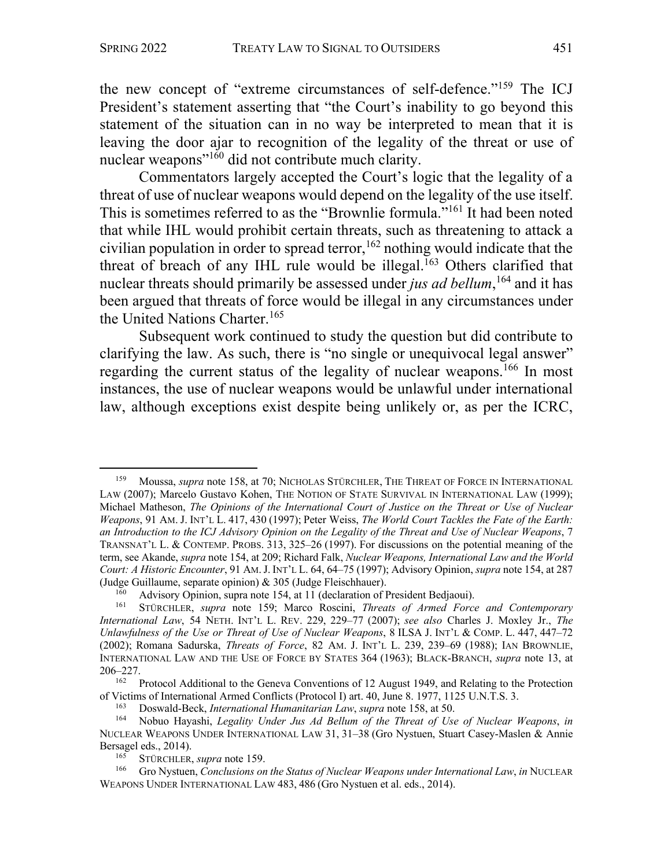the new concept of "extreme circumstances of self-defence."159 The ICJ President's statement asserting that "the Court's inability to go beyond this statement of the situation can in no way be interpreted to mean that it is leaving the door ajar to recognition of the legality of the threat or use of nuclear weapons"160 did not contribute much clarity.

Commentators largely accepted the Court's logic that the legality of a threat of use of nuclear weapons would depend on the legality of the use itself. This is sometimes referred to as the "Brownlie formula."161 It had been noted that while IHL would prohibit certain threats, such as threatening to attack a civilian population in order to spread terror,  $162$  nothing would indicate that the threat of breach of any IHL rule would be illegal.<sup>163</sup> Others clarified that nuclear threats should primarily be assessed under *jus ad bellum*, <sup>164</sup> and it has been argued that threats of force would be illegal in any circumstances under the United Nations Charter.<sup>165</sup>

Subsequent work continued to study the question but did contribute to clarifying the law. As such, there is "no single or unequivocal legal answer" regarding the current status of the legality of nuclear weapons.<sup>166</sup> In most instances, the use of nuclear weapons would be unlawful under international law, although exceptions exist despite being unlikely or, as per the ICRC,

<sup>159</sup> Moussa, *supra* note 158, at 70; NICHOLAS STÜRCHLER, THE THREAT OF FORCE IN INTERNATIONAL LAW (2007); Marcelo Gustavo Kohen, THE NOTION OF STATE SURVIVAL IN INTERNATIONAL LAW (1999); Michael Matheson, *The Opinions of the International Court of Justice on the Threat or Use of Nuclear Weapons*, 91 AM. J. INT'L L. 417, 430 (1997); Peter Weiss, *The World Court Tackles the Fate of the Earth: an Introduction to the ICJ Advisory Opinion on the Legality of the Threat and Use of Nuclear Weapons*, 7 TRANSNAT'L L. & CONTEMP. PROBS. 313, 325–26 (1997). For discussions on the potential meaning of the term, see Akande, *supra* note 154, at 209; Richard Falk, *Nuclear Weapons, International Law and the World Court: A Historic Encounter*, 91 AM.J. INT'L L. 64, 64–75 (1997); Advisory Opinion, *supra* note 154, at 287 (Judge Guillaume, separate opinion) & 305 (Judge Fleischhauer).

<sup>&</sup>lt;sup>160</sup> Advisory Opinion, supra note 154, at 11 (declaration of President Bedjaoui).<br><sup>161</sup> STÜRCHLER, supra note 159: Marco Roscini *Threats of Armed Force* 

<sup>161</sup> STÜRCHLER, *supra* note 159; Marco Roscini, *Threats of Armed Force and Contemporary International Law*, 54 NETH. INT'L L. REV. 229, 229–77 (2007); *see also* Charles J. Moxley Jr., *The Unlawfulness of the Use or Threat of Use of Nuclear Weapons*, 8 ILSA J. INT'L & COMP. L. 447, 447–72 (2002); Romana Sadurska, *Threats of Force*, 82 AM. J. INT'L L. 239, 239–69 (1988); IAN BROWNLIE, INTERNATIONAL LAW AND THE USE OF FORCE BY STATES 364 (1963); BLACK-BRANCH, *supra* note 13, at 206–227.

<sup>&</sup>lt;sup>162</sup> Protocol Additional to the Geneva Conventions of 12 August 1949, and Relating to the Protection of Victims of International Armed Conflicts (Protocol I) art. 40, June 8. 1977, 1125 U.N.T.S. 3.

<sup>163</sup> Doswald-Beck, *International Humanitarian Law*, *supra* note 158, at 50.

<sup>164</sup> Nobuo Hayashi, *Legality Under Jus Ad Bellum of the Threat of Use of Nuclear Weapons*, *in* NUCLEAR WEAPONS UNDER INTERNATIONAL LAW 31, 31–38 (Gro Nystuen, Stuart Casey-Maslen & Annie Bersagel eds., 2014).

<sup>&</sup>lt;sup>165</sup> STÜRCHLER, *supra* note 159.<br><sup>166</sup> Gro Nystuen *Conclusions* on

<sup>166</sup> Gro Nystuen, *Conclusions on the Status of Nuclear Weapons under International Law*, *in* NUCLEAR WEAPONS UNDER INTERNATIONAL LAW 483, 486 (Gro Nystuen et al. eds., 2014).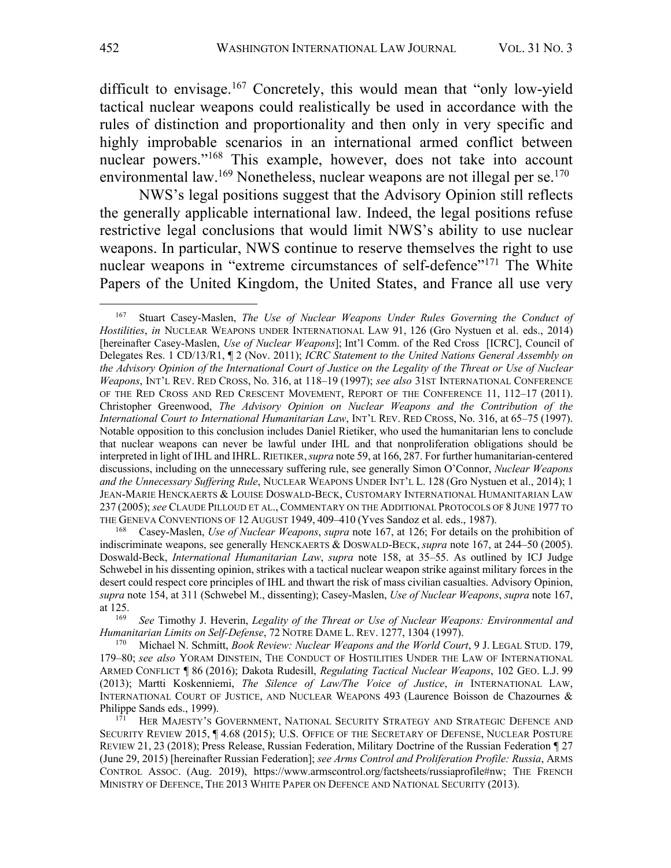difficult to envisage.<sup>167</sup> Concretely, this would mean that "only low-yield tactical nuclear weapons could realistically be used in accordance with the rules of distinction and proportionality and then only in very specific and highly improbable scenarios in an international armed conflict between nuclear powers."168 This example, however, does not take into account environmental law.<sup>169</sup> Nonetheless, nuclear weapons are not illegal per se.<sup>170</sup>

NWS's legal positions suggest that the Advisory Opinion still reflects the generally applicable international law. Indeed, the legal positions refuse restrictive legal conclusions that would limit NWS's ability to use nuclear weapons. In particular, NWS continue to reserve themselves the right to use nuclear weapons in "extreme circumstances of self-defence"<sup>171</sup> The White Papers of the United Kingdom, the United States, and France all use very

<sup>167</sup> Stuart Casey-Maslen, *The Use of Nuclear Weapons Under Rules Governing the Conduct of Hostilities*, *in* NUCLEAR WEAPONS UNDER INTERNATIONAL LAW 91, 126 (Gro Nystuen et al. eds., 2014) [hereinafter Casey-Maslen, *Use of Nuclear Weapons*]; Int'l Comm. of the Red Cross [ICRC], Council of Delegates Res. 1 CD/13/R1, ¶ 2 (Nov. 2011); *ICRC Statement to the United Nations General Assembly on the Advisory Opinion of the International Court of Justice on the Legality of the Threat or Use of Nuclear Weapons*, INT'L REV. RED CROSS, No. 316, at 118–19 (1997); *see also* 31ST INTERNATIONAL CONFERENCE OF THE RED CROSS AND RED CRESCENT MOVEMENT, REPORT OF THE CONFERENCE 11, 112–17 (2011). Christopher Greenwood, *The Advisory Opinion on Nuclear Weapons and the Contribution of the International Court to International Humanitarian Law*, INT'L REV. RED CROSS, No. 316, at 65–75 (1997). Notable opposition to this conclusion includes Daniel Rietiker, who used the humanitarian lens to conclude that nuclear weapons can never be lawful under IHL and that nonproliferation obligations should be interpreted in light of IHL and IHRL. RIETIKER,*supra* note 59, at 166, 287. For further humanitarian-centered discussions, including on the unnecessary suffering rule, see generally Simon O'Connor, *Nuclear Weapons and the Unnecessary Suffering Rule*, NUCLEAR WEAPONS UNDER INT'L L. 128 (Gro Nystuen et al., 2014); 1 JEAN-MARIE HENCKAERTS & LOUISE DOSWALD-BECK, CUSTOMARY INTERNATIONAL HUMANITARIAN LAW 237 (2005); *see* CLAUDE PILLOUD ET AL., COMMENTARY ON THE ADDITIONAL PROTOCOLS OF 8 JUNE 1977 TO THE GENEVA CONVENTIONS OF 12 AUGUST 1949, 409–410 (Yves Sandoz et al. eds., 1987).<br><sup>168</sup> Casey-Maslen *Use of Nuclear Weapons, supra* note 167, at 126: For details on t

<sup>168</sup> Casey-Maslen, *Use of Nuclear Weapons*, *supra* note 167, at 126; For details on the prohibition of indiscriminate weapons, see generally HENCKAERTS & DOSWALD-BECK, *supra* note 167, at 244–50 (2005). Doswald-Beck, *International Humanitarian Law*, *supra* note 158, at 35–55. As outlined by ICJ Judge Schwebel in his dissenting opinion, strikes with a tactical nuclear weapon strike against military forces in the desert could respect core principles of IHL and thwart the risk of mass civilian casualties. Advisory Opinion, *supra* note 154, at 311 (Schwebel M., dissenting); Casey-Maslen, *Use of Nuclear Weapons*, *supra* note 167, at 125.

<sup>169</sup> *See* Timothy J. Heverin, *Legality of the Threat or Use of Nuclear Weapons: Environmental and Humanitarian Limits on Self-Defense*, 72 NOTRE DAME L. REV. 1277, 1304 (1997).

<sup>170</sup> Michael N. Schmitt, *Book Review: Nuclear Weapons and the World Court*, 9 J. LEGAL STUD. 179, 179–80; *see also* YORAM DINSTEIN, THE CONDUCT OF HOSTILITIES UNDER THE LAW OF INTERNATIONAL ARMED CONFLICT ¶ 86 (2016); Dakota Rudesill, *Regulating Tactical Nuclear Weapons*, 102 GEO. L.J. 99 (2013); Martti Koskenniemi, *The Silence of Law/The Voice of Justice*, *in* INTERNATIONAL LAW, INTERNATIONAL COURT OF JUSTICE, AND NUCLEAR WEAPONS 493 (Laurence Boisson de Chazournes & Philippe Sands eds., 1999).

HER MAJESTY'S GOVERNMENT, NATIONAL SECURITY STRATEGY AND STRATEGIC DEFENCE AND SECURITY REVIEW 2015,  $\P$  4.68 (2015); U.S. OFFICE OF THE SECRETARY OF DEFENSE, NUCLEAR POSTURE REVIEW 21, 23 (2018); Press Release, Russian Federation, Military Doctrine of the Russian Federation ¶ 27 (June 29, 2015) [hereinafter Russian Federation]; *see Arms Control and Proliferation Profile: Russia*, ARMS CONTROL ASSOC. (Aug. 2019), https://www.armscontrol.org/factsheets/russiaprofile#nw; THE FRENCH MINISTRY OF DEFENCE, THE 2013 WHITE PAPER ON DEFENCE AND NATIONAL SECURITY (2013).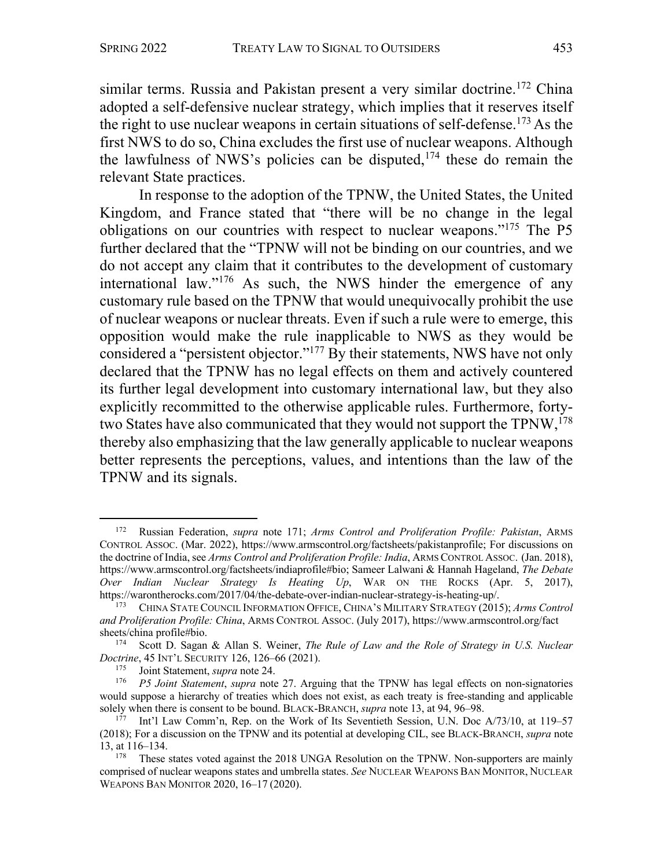similar terms. Russia and Pakistan present a very similar doctrine.<sup>172</sup> China adopted a self-defensive nuclear strategy, which implies that it reserves itself the right to use nuclear weapons in certain situations of self-defense.<sup>173</sup> As the first NWS to do so, China excludes the first use of nuclear weapons. Although the lawfulness of NWS's policies can be disputed,  $174$  these do remain the relevant State practices.

In response to the adoption of the TPNW, the United States, the United Kingdom, and France stated that "there will be no change in the legal obligations on our countries with respect to nuclear weapons."175 The P5 further declared that the "TPNW will not be binding on our countries, and we do not accept any claim that it contributes to the development of customary international law."176 As such, the NWS hinder the emergence of any customary rule based on the TPNW that would unequivocally prohibit the use of nuclear weapons or nuclear threats. Even if such a rule were to emerge, this opposition would make the rule inapplicable to NWS as they would be considered a "persistent objector."177 By their statements, NWS have not only declared that the TPNW has no legal effects on them and actively countered its further legal development into customary international law, but they also explicitly recommitted to the otherwise applicable rules. Furthermore, fortytwo States have also communicated that they would not support the TPNW,<sup>178</sup> thereby also emphasizing that the law generally applicable to nuclear weapons better represents the perceptions, values, and intentions than the law of the TPNW and its signals.

<sup>172</sup> Russian Federation, *supra* note 171; *Arms Control and Proliferation Profile: Pakistan*, ARMS CONTROL ASSOC. (Mar. 2022), https://www.armscontrol.org/factsheets/pakistanprofile; For discussions on the doctrine of India, see *Arms Control and Proliferation Profile: India*, ARMS CONTROL ASSOC. (Jan. 2018), https://www.armscontrol.org/factsheets/indiaprofile#bio; Sameer Lalwani & Hannah Hageland, *The Debate Over Indian Nuclear Strategy Is Heating Up*, WAR ON THE ROCKS (Apr. 5, 2017), https://warontherocks.com/2017/04/the-debate-over-indian-nuclear-strategy-is-heating-up/.

<sup>173</sup> CHINA STATE COUNCIL INFORMATION OFFICE, CHINA'S MILITARY STRATEGY (2015); *Arms Control and Proliferation Profile: China*, ARMS CONTROL ASSOC. (July 2017), https://www.armscontrol.org/fact sheets/china profile#bio.<br><sup>174</sup> Scott D. Sagan

<sup>174</sup> Scott D. Sagan & Allan S. Weiner, *The Rule of Law and the Role of Strategy in U.S. Nuclear Doctrine*, 45 INT'L SECURITY 126, 126–66 (2021).

<sup>&</sup>lt;sup>175</sup> Joint Statement, *supra* note 24.<br><sup>176</sup> *P5* Joint Statement, *supra* note

<sup>176</sup> *P5 Joint Statement*, *supra* note 27. Arguing that the TPNW has legal effects on non-signatories would suppose a hierarchy of treaties which does not exist, as each treaty is free-standing and applicable solely when there is consent to be bound. BLACK-BRANCH, *supra* note 13, at 94, 96–98.

<sup>177</sup> Int'l Law Comm'n, Rep. on the Work of Its Seventieth Session, U.N. Doc A/73/10, at 119–57 (2018); For a discussion on the TPNW and its potential at developing CIL, see BLACK-BRANCH, *supra* note 13, at 116–134.

These states voted against the 2018 UNGA Resolution on the TPNW. Non-supporters are mainly comprised of nuclear weapons states and umbrella states. *See* NUCLEAR WEAPONS BAN MONITOR, NUCLEAR WEAPONS BAN MONITOR 2020, 16–17 (2020).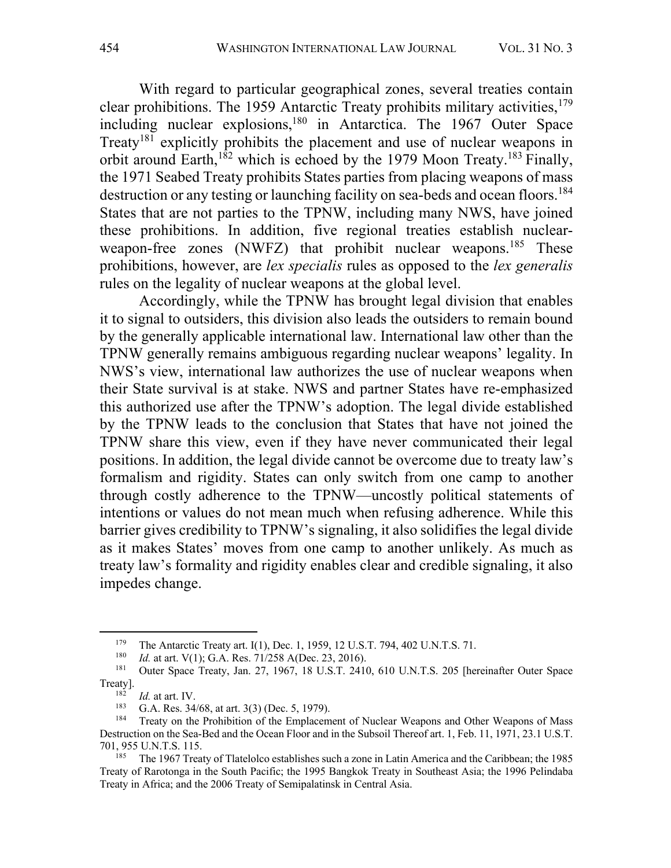With regard to particular geographical zones, several treaties contain clear prohibitions. The 1959 Antarctic Treaty prohibits military activities,  $179$ including nuclear explosions,<sup>180</sup> in Antarctica. The 1967 Outer Space Treaty<sup>181</sup> explicitly prohibits the placement and use of nuclear weapons in orbit around Earth,<sup>182</sup> which is echoed by the 1979 Moon Treaty.<sup>183</sup> Finally, the 1971 Seabed Treaty prohibits States parties from placing weapons of mass destruction or any testing or launching facility on sea-beds and ocean floors.<sup>184</sup> States that are not parties to the TPNW, including many NWS, have joined these prohibitions. In addition, five regional treaties establish nuclearweapon-free zones (NWFZ) that prohibit nuclear weapons.<sup>185</sup> These prohibitions, however, are *lex specialis* rules as opposed to the *lex generalis* rules on the legality of nuclear weapons at the global level.

Accordingly, while the TPNW has brought legal division that enables it to signal to outsiders, this division also leads the outsiders to remain bound by the generally applicable international law. International law other than the TPNW generally remains ambiguous regarding nuclear weapons' legality. In NWS's view, international law authorizes the use of nuclear weapons when their State survival is at stake. NWS and partner States have re-emphasized this authorized use after the TPNW's adoption. The legal divide established by the TPNW leads to the conclusion that States that have not joined the TPNW share this view, even if they have never communicated their legal positions. In addition, the legal divide cannot be overcome due to treaty law's formalism and rigidity. States can only switch from one camp to another through costly adherence to the TPNW—uncostly political statements of intentions or values do not mean much when refusing adherence. While this barrier gives credibility to TPNW's signaling, it also solidifies the legal divide as it makes States' moves from one camp to another unlikely. As much as treaty law's formality and rigidity enables clear and credible signaling, it also impedes change.

<sup>&</sup>lt;sup>179</sup> The Antarctic Treaty art. I(1), Dec. 1, 1959, 12 U.S.T. 794, 402 U.N.T.S. 71.

<sup>&</sup>lt;sup>180</sup> *Id.* at art. V(1); G.A. Res. 71/258 A(Dec. 23, 2016).<br><sup>181</sup> Outer Space Treaty, Jan. 27, 1967, 18 U.S.T. 2410

<sup>181</sup> Outer Space Treaty, Jan. 27, 1967, 18 U.S.T. 2410, 610 U.N.T.S. 205 [hereinafter Outer Space Treaty].

 $\frac{182}{183}$  *Id.* at art. IV.

<sup>&</sup>lt;sup>183</sup> G.A. Res.  $34/68$ , at art.  $3(3)$  (Dec. 5, 1979).

Treaty on the Prohibition of the Emplacement of Nuclear Weapons and Other Weapons of Mass Destruction on the Sea-Bed and the Ocean Floor and in the Subsoil Thereof art. 1, Feb. 11, 1971, 23.1 U.S.T. 701, 955 U.N.T.S. 115.

<sup>&</sup>lt;sup>185</sup> The 1967 Treaty of Tlatelolco establishes such a zone in Latin America and the Caribbean; the 1985 Treaty of Rarotonga in the South Pacific; the 1995 Bangkok Treaty in Southeast Asia; the 1996 Pelindaba Treaty in Africa; and the 2006 Treaty of Semipalatinsk in Central Asia.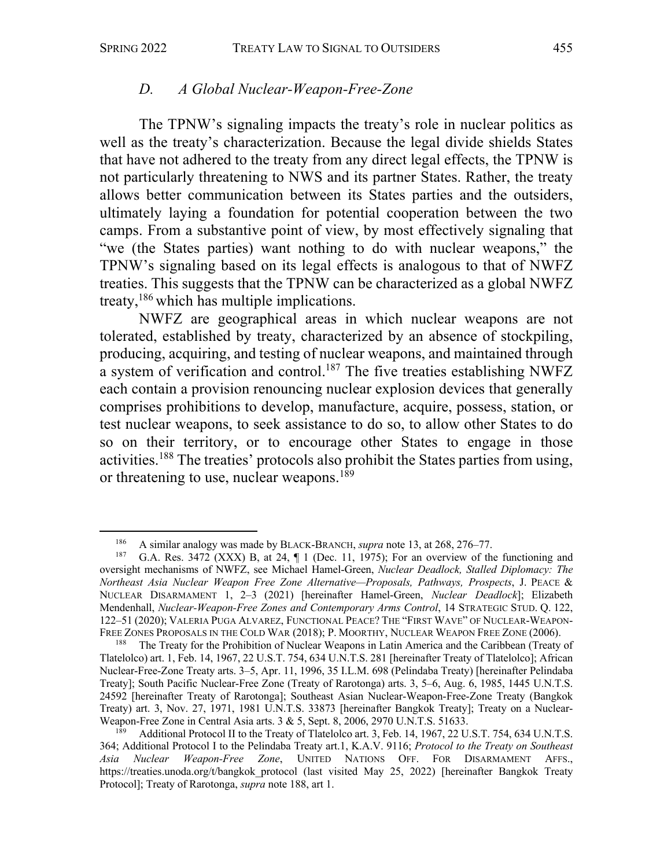### *D. A Global Nuclear-Weapon-Free-Zone*

The TPNW's signaling impacts the treaty's role in nuclear politics as well as the treaty's characterization. Because the legal divide shields States that have not adhered to the treaty from any direct legal effects, the TPNW is not particularly threatening to NWS and its partner States. Rather, the treaty allows better communication between its States parties and the outsiders, ultimately laying a foundation for potential cooperation between the two camps. From a substantive point of view, by most effectively signaling that "we (the States parties) want nothing to do with nuclear weapons," the TPNW's signaling based on its legal effects is analogous to that of NWFZ treaties. This suggests that the TPNW can be characterized as a global NWFZ treaty, <sup>186</sup> which has multiple implications.

NWFZ are geographical areas in which nuclear weapons are not tolerated, established by treaty, characterized by an absence of stockpiling, producing, acquiring, and testing of nuclear weapons, and maintained through a system of verification and control.187 The five treaties establishing NWFZ each contain a provision renouncing nuclear explosion devices that generally comprises prohibitions to develop, manufacture, acquire, possess, station, or test nuclear weapons, to seek assistance to do so, to allow other States to do so on their territory, or to encourage other States to engage in those activities.188 The treaties' protocols also prohibit the States parties from using, or threatening to use, nuclear weapons.<sup>189</sup>

<sup>186</sup> A similar analogy was made by BLACK-BRANCH, *supra* note 13, at 268, 276–77.<br>187 G A Res. 3472 (XXX) B at 24  $\P$  1 (Dec. 11, 1975): For an overview of the

G.A. Res. 3472 (XXX) B, at 24,  $\P$  1 (Dec. 11, 1975); For an overview of the functioning and oversight mechanisms of NWFZ, see Michael Hamel-Green, *Nuclear Deadlock, Stalled Diplomacy: The Northeast Asia Nuclear Weapon Free Zone Alternative—Proposals, Pathways, Prospects*, J. PEACE & NUCLEAR DISARMAMENT 1, 2–3 (2021) [hereinafter Hamel-Green, *Nuclear Deadlock*]; Elizabeth Mendenhall, *Nuclear-Weapon-Free Zones and Contemporary Arms Control*, 14 STRATEGIC STUD. Q. 122, 122–51 (2020); VALERIA PUGA ALVAREZ, FUNCTIONAL PEACE? THE "FIRST WAVE" OF NUCLEAR-WEAPON-FREE ZONES PROPOSALS IN THE COLD WAR (2018); P. MOORTHY, NUCLEAR WEAPON FREE ZONE (2006).

The Treaty for the Prohibition of Nuclear Weapons in Latin America and the Caribbean (Treaty of Tlatelolco) art. 1, Feb. 14, 1967, 22 U.S.T. 754, 634 U.N.T.S. 281 [hereinafter Treaty of Tlatelolco]; African Nuclear-Free-Zone Treaty arts. 3–5, Apr. 11, 1996, 35 I.L.M. 698 (Pelindaba Treaty) [hereinafter Pelindaba Treaty]; South Pacific Nuclear-Free Zone (Treaty of Rarotonga) arts. 3, 5–6, Aug. 6, 1985, 1445 U.N.T.S. 24592 [hereinafter Treaty of Rarotonga]; Southeast Asian Nuclear-Weapon-Free-Zone Treaty (Bangkok Treaty) art. 3, Nov. 27, 1971, 1981 U.N.T.S. 33873 [hereinafter Bangkok Treaty]; Treaty on a Nuclear-Weapon-Free Zone in Central Asia arts. 3 & 5, Sept. 8, 2006, 2970 U.N.T.S. 51633.

Additional Protocol II to the Treaty of Tlatelolco art. 3, Feb. 14, 1967, 22 U.S.T. 754, 634 U.N.T.S. 364; Additional Protocol I to the Pelindaba Treaty art.1, K.A.V. 9116; *Protocol to the Treaty on Southeast Asia Nuclear Weapon-Free Zone*, UNITED NATIONS OFF. FOR DISARMAMENT AFFS., https://treaties.unoda.org/t/bangkok\_protocol (last visited May 25, 2022) [hereinafter Bangkok Treaty Protocol]; Treaty of Rarotonga, *supra* note 188, art 1.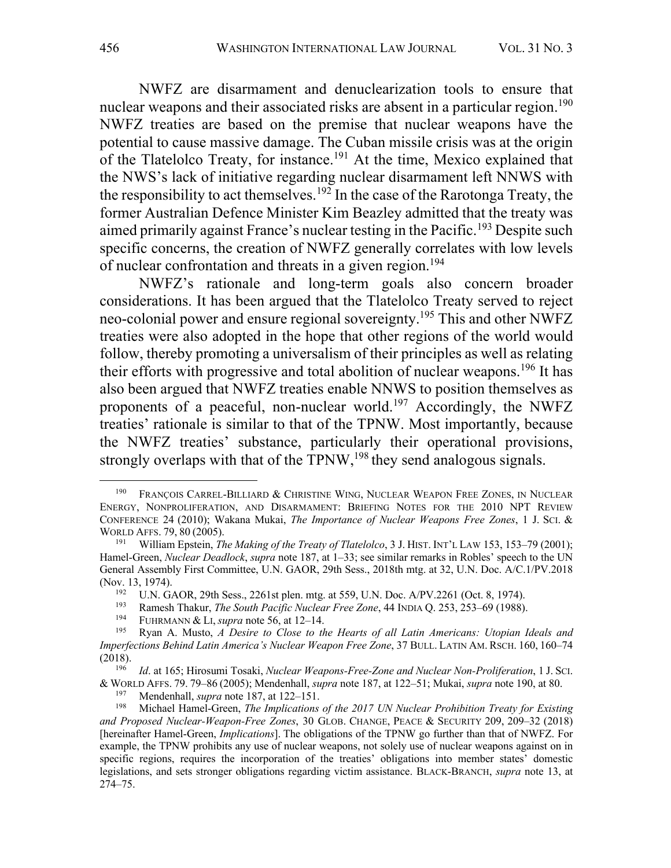NWFZ are disarmament and denuclearization tools to ensure that nuclear weapons and their associated risks are absent in a particular region.<sup>190</sup> NWFZ treaties are based on the premise that nuclear weapons have the potential to cause massive damage. The Cuban missile crisis was at the origin of the Tlatelolco Treaty, for instance.<sup>191</sup> At the time, Mexico explained that the NWS's lack of initiative regarding nuclear disarmament left NNWS with the responsibility to act themselves.<sup>192</sup> In the case of the Rarotonga Treaty, the former Australian Defence Minister Kim Beazley admitted that the treaty was aimed primarily against France's nuclear testing in the Pacific.<sup>193</sup> Despite such specific concerns, the creation of NWFZ generally correlates with low levels of nuclear confrontation and threats in a given region. 194

NWFZ's rationale and long-term goals also concern broader considerations. It has been argued that the Tlatelolco Treaty served to reject neo-colonial power and ensure regional sovereignty.195 This and other NWFZ treaties were also adopted in the hope that other regions of the world would follow, thereby promoting a universalism of their principles as well as relating their efforts with progressive and total abolition of nuclear weapons.<sup>196</sup> It has also been argued that NWFZ treaties enable NNWS to position themselves as proponents of a peaceful, non-nuclear world.<sup>197</sup> Accordingly, the NWFZ treaties' rationale is similar to that of the TPNW. Most importantly, because the NWFZ treaties' substance, particularly their operational provisions, strongly overlaps with that of the TPNW,<sup>198</sup> they send analogous signals.

<sup>190</sup> FRANÇOIS CARREL-BILLIARD & CHRISTINE WING, NUCLEAR WEAPON FREE ZONES, IN NUCLEAR ENERGY, NONPROLIFERATION, AND DISARMAMENT: BRIEFING NOTES FOR THE 2010 NPT REVIEW CONFERENCE 24 (2010); Wakana Mukai, *The Importance of Nuclear Weapons Free Zones*, 1 J. SCI. & WORLD AFFS. 79, 80 (2005).

<sup>191</sup> William Epstein, *The Making of the Treaty of Tlatelolco*, 3 J. HIST. INT'L LAW 153, 153–79 (2001); Hamel-Green, *Nuclear Deadlock*, *supra* note 187, at 1–33; see similar remarks in Robles' speech to the UN General Assembly First Committee, U.N. GAOR, 29th Sess., 2018th mtg. at 32, U.N. Doc. A/C.1/PV.2018 (Nov. 13, 1974).

<sup>&</sup>lt;sup>192</sup> U.N. GAOR, 29th Sess., 2261st plen. mtg. at 559, U.N. Doc. A/PV.2261 (Oct. 8, 1974).<br><sup>193</sup> Bamesh Thakur, *The South Pacific Nuclear Free Zone, M.* INDIA O. 253, 253, 60 (1988).

<sup>&</sup>lt;sup>193</sup> Ramesh Thakur, *The South Pacific Nuclear Free Zone*, 44 INDIA Q. 253, 253–69 (1988).

<sup>&</sup>lt;sup>194</sup> FUHRMANN & LI, *supra* note 56, at 12–14.<br><sup>195</sup> Ryan A Musto A Desire to Close to the

<sup>195</sup> Ryan A. Musto, *A Desire to Close to the Hearts of all Latin Americans: Utopian Ideals and Imperfections Behind Latin America's Nuclear Weapon Free Zone*, 37 BULL. LATIN AM. RSCH. 160, 160–74 (2018).

<sup>196</sup> *Id*. at 165; Hirosumi Tosaki, *Nuclear Weapons-Free-Zone and Nuclear Non-Proliferation*, 1 J. SCI. & WORLD AFFS. 79. 79–86 (2005); Mendenhall, *supra* note 187, at 122–51; Mukai, *supra* note 190, at 80.

<sup>&</sup>lt;sup>197</sup> Mendenhall, *supra* note 187, at 122–151.<br><sup>198</sup> Michael Hamel-Green *The Implications* 

<sup>198</sup> Michael Hamel-Green, *The Implications of the 2017 UN Nuclear Prohibition Treaty for Existing and Proposed Nuclear-Weapon-Free Zones*, 30 GLOB. CHANGE, PEACE & SECURITY 209, 209–32 (2018) [hereinafter Hamel-Green, *Implications*]. The obligations of the TPNW go further than that of NWFZ. For example, the TPNW prohibits any use of nuclear weapons, not solely use of nuclear weapons against on in specific regions, requires the incorporation of the treaties' obligations into member states' domestic legislations, and sets stronger obligations regarding victim assistance. BLACK-BRANCH, *supra* note 13, at 274–75.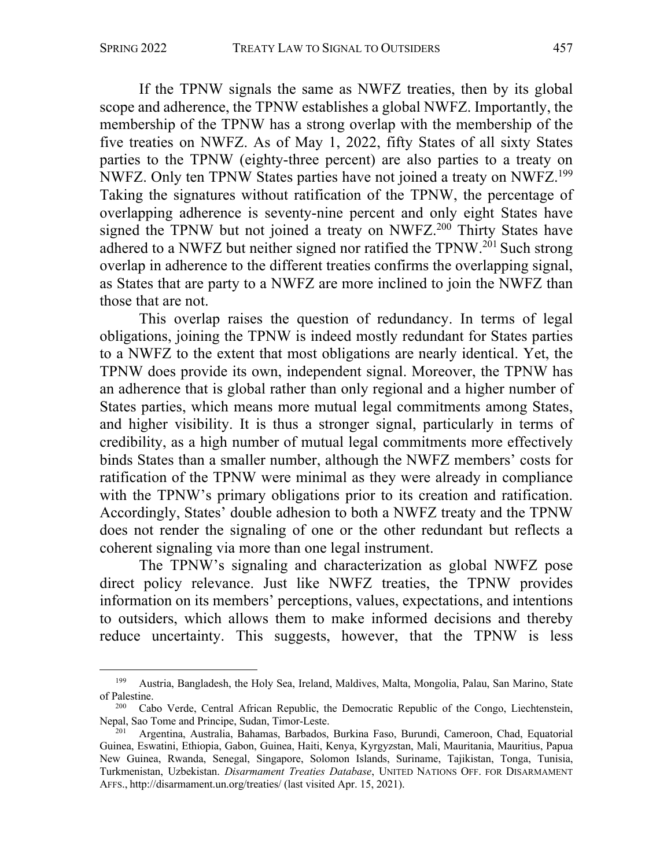If the TPNW signals the same as NWFZ treaties, then by its global scope and adherence, the TPNW establishes a global NWFZ. Importantly, the membership of the TPNW has a strong overlap with the membership of the five treaties on NWFZ. As of May 1, 2022, fifty States of all sixty States parties to the TPNW (eighty-three percent) are also parties to a treaty on NWFZ. Only ten TPNW States parties have not joined a treaty on NWFZ.199 Taking the signatures without ratification of the TPNW, the percentage of overlapping adherence is seventy-nine percent and only eight States have signed the TPNW but not joined a treaty on NWFZ.<sup>200</sup> Thirty States have adhered to a NWFZ but neither signed nor ratified the  $TPNW<sup>201</sup>$  Such strong overlap in adherence to the different treaties confirms the overlapping signal, as States that are party to a NWFZ are more inclined to join the NWFZ than those that are not.

This overlap raises the question of redundancy. In terms of legal obligations, joining the TPNW is indeed mostly redundant for States parties to a NWFZ to the extent that most obligations are nearly identical. Yet, the TPNW does provide its own, independent signal. Moreover, the TPNW has an adherence that is global rather than only regional and a higher number of States parties, which means more mutual legal commitments among States, and higher visibility. It is thus a stronger signal, particularly in terms of credibility, as a high number of mutual legal commitments more effectively binds States than a smaller number, although the NWFZ members' costs for ratification of the TPNW were minimal as they were already in compliance with the TPNW's primary obligations prior to its creation and ratification. Accordingly, States' double adhesion to both a NWFZ treaty and the TPNW does not render the signaling of one or the other redundant but reflects a coherent signaling via more than one legal instrument.

The TPNW's signaling and characterization as global NWFZ pose direct policy relevance. Just like NWFZ treaties, the TPNW provides information on its members' perceptions, values, expectations, and intentions to outsiders, which allows them to make informed decisions and thereby reduce uncertainty. This suggests, however, that the TPNW is less

<sup>199</sup> Austria, Bangladesh, the Holy Sea, Ireland, Maldives, Malta, Mongolia, Palau, San Marino, State of Palestine.

<sup>&</sup>lt;sup>200</sup> Cabo Verde, Central African Republic, the Democratic Republic of the Congo, Liechtenstein, Nepal, Sao Tome and Principe, Sudan, Timor-Leste.

Argentina, Australia, Bahamas, Barbados, Burkina Faso, Burundi, Cameroon, Chad, Equatorial Guinea, Eswatini, Ethiopia, Gabon, Guinea, Haiti, Kenya, Kyrgyzstan, Mali, Mauritania, Mauritius, Papua New Guinea, Rwanda, Senegal, Singapore, Solomon Islands, Suriname, Tajikistan, Tonga, Tunisia, Turkmenistan, Uzbekistan. *Disarmament Treaties Database*, UNITED NATIONS OFF. FOR DISARMAMENT AFFS., http://disarmament.un.org/treaties/ (last visited Apr. 15, 2021).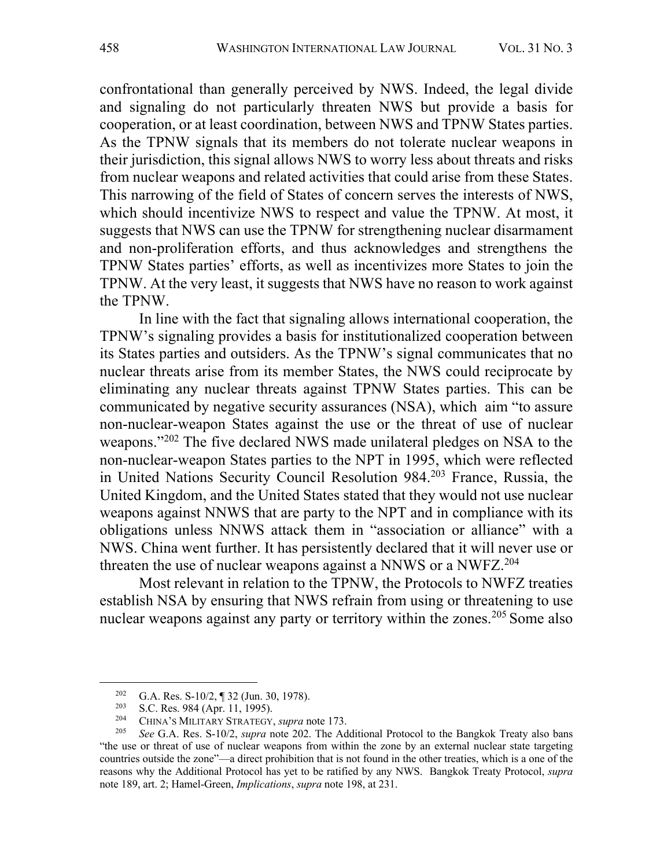confrontational than generally perceived by NWS. Indeed, the legal divide and signaling do not particularly threaten NWS but provide a basis for cooperation, or at least coordination, between NWS and TPNW States parties. As the TPNW signals that its members do not tolerate nuclear weapons in their jurisdiction, this signal allows NWS to worry less about threats and risks from nuclear weapons and related activities that could arise from these States. This narrowing of the field of States of concern serves the interests of NWS, which should incentivize NWS to respect and value the TPNW. At most, it suggests that NWS can use the TPNW for strengthening nuclear disarmament and non-proliferation efforts, and thus acknowledges and strengthens the TPNW States parties' efforts, as well as incentivizes more States to join the TPNW. At the very least, it suggests that NWS have no reason to work against the TPNW.

In line with the fact that signaling allows international cooperation, the TPNW's signaling provides a basis for institutionalized cooperation between its States parties and outsiders. As the TPNW's signal communicates that no nuclear threats arise from its member States, the NWS could reciprocate by eliminating any nuclear threats against TPNW States parties. This can be communicated by negative security assurances (NSA), which aim "to assure non-nuclear-weapon States against the use or the threat of use of nuclear weapons."202 The five declared NWS made unilateral pledges on NSA to the non-nuclear-weapon States parties to the NPT in 1995, which were reflected in United Nations Security Council Resolution 984.203 France, Russia, the United Kingdom, and the United States stated that they would not use nuclear weapons against NNWS that are party to the NPT and in compliance with its obligations unless NNWS attack them in "association or alliance" with a NWS. China went further. It has persistently declared that it will never use or threaten the use of nuclear weapons against a NNWS or a NWFZ.<sup>204</sup>

Most relevant in relation to the TPNW, the Protocols to NWFZ treaties establish NSA by ensuring that NWS refrain from using or threatening to use nuclear weapons against any party or territory within the zones.<sup>205</sup> Some also

<sup>&</sup>lt;sup>202</sup> G.A. Res. S-10/2, ¶ 32 (Jun. 30, 1978).<br><sup>203</sup> S.G. Bes. 084 (Apr. 11, 1005).

<sup>&</sup>lt;sup>203</sup> S.C. Res. 984 (Apr. 11, 1995).<br><sup>204</sup> CUNA's MUJTARY STRATEGY.

<sup>&</sup>lt;sup>204</sup> CHINA'S MILITARY STRATEGY, *supra* note 173.<br><sup>205</sup> See G.A. Pes. S. 10/2 supra pote 202. The Ad

<sup>205</sup> *See* G.A. Res. S-10/2, *supra* note 202. The Additional Protocol to the Bangkok Treaty also bans "the use or threat of use of nuclear weapons from within the zone by an external nuclear state targeting countries outside the zone"—a direct prohibition that is not found in the other treaties, which is a one of the reasons why the Additional Protocol has yet to be ratified by any NWS. Bangkok Treaty Protocol, *supra* note 189, art. 2; Hamel-Green, *Implications*, *supra* note 198, at 231.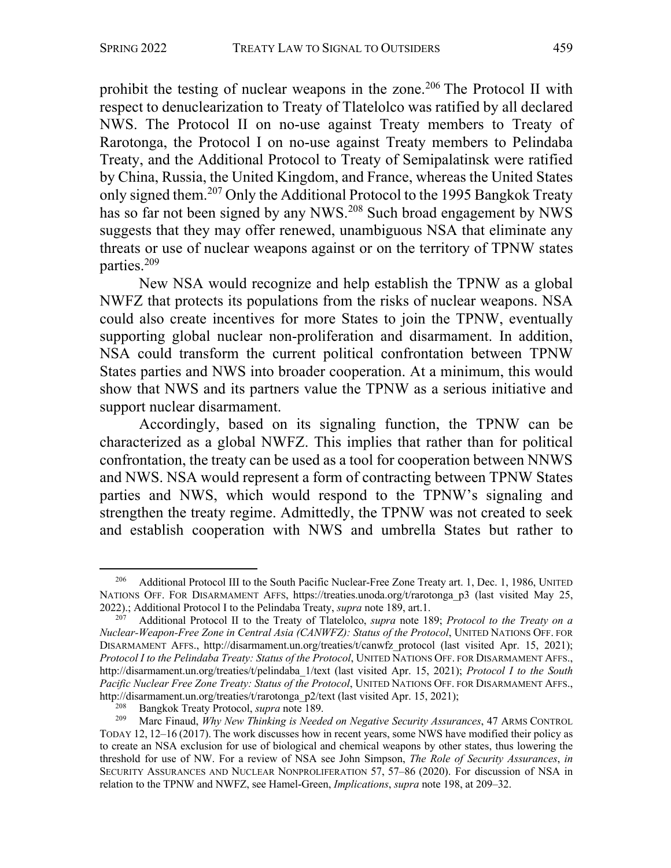prohibit the testing of nuclear weapons in the zone.<sup>206</sup> The Protocol II with respect to denuclearization to Treaty of Tlatelolco was ratified by all declared NWS. The Protocol II on no-use against Treaty members to Treaty of Rarotonga, the Protocol I on no-use against Treaty members to Pelindaba Treaty, and the Additional Protocol to Treaty of Semipalatinsk were ratified by China, Russia, the United Kingdom, and France, whereas the United States only signed them. <sup>207</sup> Only the Additional Protocol to the 1995 Bangkok Treaty has so far not been signed by any NWS.<sup>208</sup> Such broad engagement by NWS suggests that they may offer renewed, unambiguous NSA that eliminate any threats or use of nuclear weapons against or on the territory of TPNW states parties.209

New NSA would recognize and help establish the TPNW as a global NWFZ that protects its populations from the risks of nuclear weapons. NSA could also create incentives for more States to join the TPNW, eventually supporting global nuclear non-proliferation and disarmament. In addition, NSA could transform the current political confrontation between TPNW States parties and NWS into broader cooperation. At a minimum, this would show that NWS and its partners value the TPNW as a serious initiative and support nuclear disarmament.

Accordingly, based on its signaling function, the TPNW can be characterized as a global NWFZ. This implies that rather than for political confrontation, the treaty can be used as a tool for cooperation between NNWS and NWS. NSA would represent a form of contracting between TPNW States parties and NWS, which would respond to the TPNW's signaling and strengthen the treaty regime. Admittedly, the TPNW was not created to seek and establish cooperation with NWS and umbrella States but rather to

<sup>&</sup>lt;sup>206</sup> Additional Protocol III to the South Pacific Nuclear-Free Zone Treaty art. 1, Dec. 1, 1986, UNITED NATIONS OFF. FOR DISARMAMENT AFFS, https://treaties.unoda.org/t/rarotonga\_p3 (last visited May 25, 2022).; Additional Protocol I to the Pelindaba Treaty, *supra* note 189, art.1.

<sup>207</sup> Additional Protocol II to the Treaty of Tlatelolco, *supra* note 189; *Protocol to the Treaty on a Nuclear-Weapon-Free Zone in Central Asia (CANWFZ): Status of the Protocol*, UNITED NATIONS OFF. FOR DISARMAMENT AFFS., http://disarmament.un.org/treaties/t/canwfz\_protocol (last visited Apr. 15, 2021); *Protocol I to the Pelindaba Treaty: Status of the Protocol*, UNITED NATIONS OFF. FOR DISARMAMENT AFFS., http://disarmament.un.org/treaties/t/pelindaba\_1/text (last visited Apr. 15, 2021); *Protocol I to the South Pacific Nuclear Free Zone Treaty: Status of the Protocol*, UNITED NATIONS OFF. FOR DISARMAMENT AFFS., http://disarmament.un.org/treaties/t/rarotonga\_p2/text (last visited Apr. 15, 2021);

<sup>&</sup>lt;sup>208</sup> Bangkok Treaty Protocol, *supra* note 189.<br><sup>209</sup> Marc Finand *Why New Thinking is Needs* 

<sup>209</sup> Marc Finaud, *Why New Thinking is Needed on Negative Security Assurances*, 47 ARMS CONTROL TODAY 12, 12–16 (2017). The work discusses how in recent years, some NWS have modified their policy as to create an NSA exclusion for use of biological and chemical weapons by other states, thus lowering the threshold for use of NW. For a review of NSA see John Simpson, *The Role of Security Assurances*, *in*  SECURITY ASSURANCES AND NUCLEAR NONPROLIFERATION 57, 57–86 (2020). For discussion of NSA in relation to the TPNW and NWFZ, see Hamel-Green, *Implications*, *supra* note 198, at 209–32.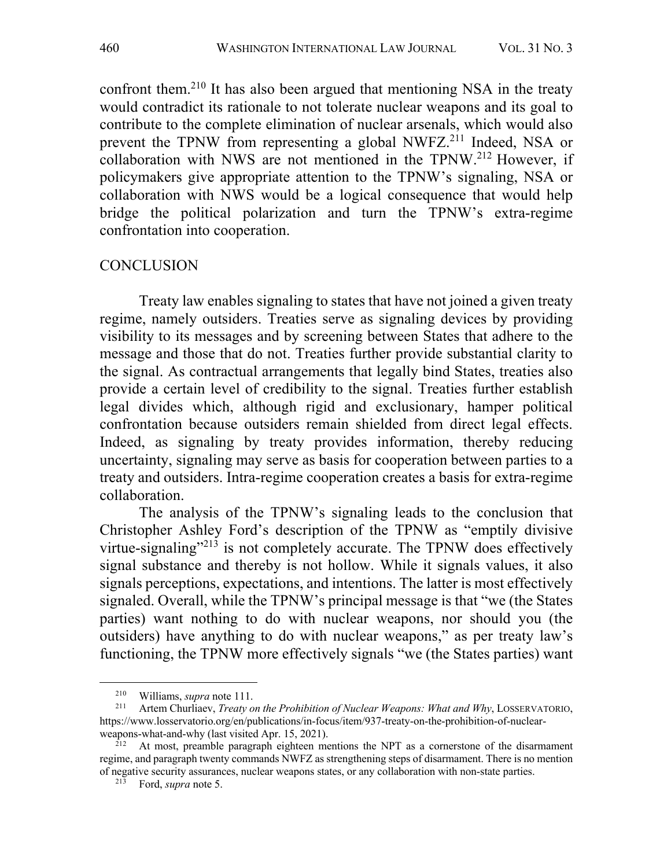confront them.210 It has also been argued that mentioning NSA in the treaty would contradict its rationale to not tolerate nuclear weapons and its goal to contribute to the complete elimination of nuclear arsenals, which would also prevent the TPNW from representing a global NWFZ.<sup>211</sup> Indeed, NSA or collaboration with NWS are not mentioned in the TPNW. <sup>212</sup> However, if policymakers give appropriate attention to the TPNW's signaling, NSA or collaboration with NWS would be a logical consequence that would help bridge the political polarization and turn the TPNW's extra-regime confrontation into cooperation.

### **CONCLUSION**

Treaty law enables signaling to states that have not joined a given treaty regime, namely outsiders. Treaties serve as signaling devices by providing visibility to its messages and by screening between States that adhere to the message and those that do not. Treaties further provide substantial clarity to the signal. As contractual arrangements that legally bind States, treaties also provide a certain level of credibility to the signal. Treaties further establish legal divides which, although rigid and exclusionary, hamper political confrontation because outsiders remain shielded from direct legal effects. Indeed, as signaling by treaty provides information, thereby reducing uncertainty, signaling may serve as basis for cooperation between parties to a treaty and outsiders. Intra-regime cooperation creates a basis for extra-regime collaboration.

The analysis of the TPNW's signaling leads to the conclusion that Christopher Ashley Ford's description of the TPNW as "emptily divisive virtue-signaling"<sup>213</sup> is not completely accurate. The TPNW does effectively signal substance and thereby is not hollow. While it signals values, it also signals perceptions, expectations, and intentions. The latter is most effectively signaled. Overall, while the TPNW's principal message is that "we (the States parties) want nothing to do with nuclear weapons, nor should you (the outsiders) have anything to do with nuclear weapons," as per treaty law's functioning, the TPNW more effectively signals "we (the States parties) want

<sup>&</sup>lt;sup>210</sup> Williams, *supra* note 111.

<sup>211</sup> Artem Churliaev, *Treaty on the Prohibition of Nuclear Weapons: What and Why*, LOSSERVATORIO, https://www.losservatorio.org/en/publications/in-focus/item/937-treaty-on-the-prohibition-of-nuclearweapons-what-and-why (last visited Apr. 15, 2021).

 $^{212}$  At most, preamble paragraph eighteen mentions the NPT as a cornerstone of the disarmament regime, and paragraph twenty commands NWFZ as strengthening steps of disarmament. There is no mention of negative security assurances, nuclear weapons states, or any collaboration with non-state parties.

<sup>213</sup> Ford, *supra* note 5.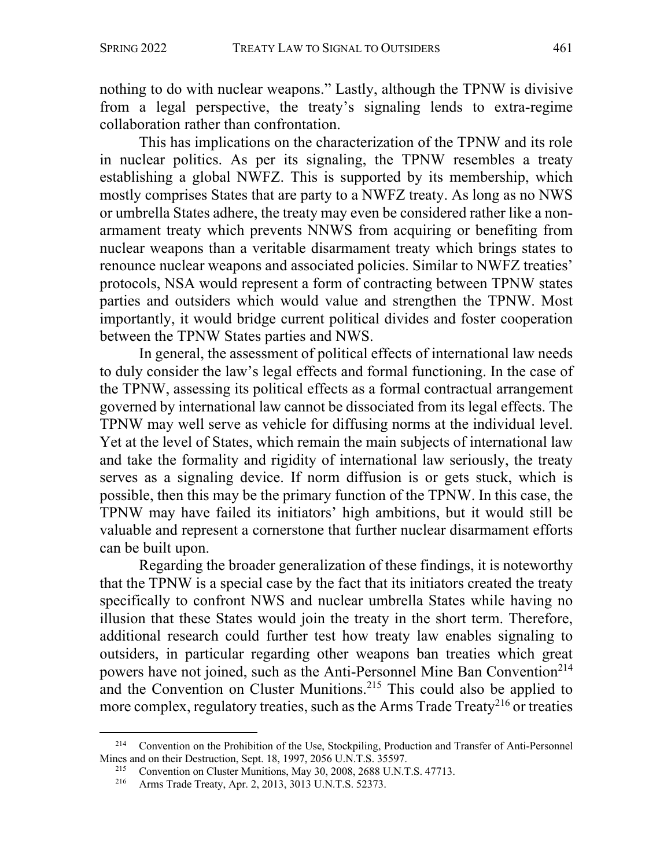nothing to do with nuclear weapons." Lastly, although the TPNW is divisive from a legal perspective, the treaty's signaling lends to extra-regime collaboration rather than confrontation.

This has implications on the characterization of the TPNW and its role in nuclear politics. As per its signaling, the TPNW resembles a treaty establishing a global NWFZ. This is supported by its membership, which mostly comprises States that are party to a NWFZ treaty. As long as no NWS or umbrella States adhere, the treaty may even be considered rather like a nonarmament treaty which prevents NNWS from acquiring or benefiting from nuclear weapons than a veritable disarmament treaty which brings states to renounce nuclear weapons and associated policies. Similar to NWFZ treaties' protocols, NSA would represent a form of contracting between TPNW states parties and outsiders which would value and strengthen the TPNW. Most importantly, it would bridge current political divides and foster cooperation between the TPNW States parties and NWS.

In general, the assessment of political effects of international law needs to duly consider the law's legal effects and formal functioning. In the case of the TPNW, assessing its political effects as a formal contractual arrangement governed by international law cannot be dissociated from its legal effects. The TPNW may well serve as vehicle for diffusing norms at the individual level. Yet at the level of States, which remain the main subjects of international law and take the formality and rigidity of international law seriously, the treaty serves as a signaling device. If norm diffusion is or gets stuck, which is possible, then this may be the primary function of the TPNW. In this case, the TPNW may have failed its initiators' high ambitions, but it would still be valuable and represent a cornerstone that further nuclear disarmament efforts can be built upon.

Regarding the broader generalization of these findings, it is noteworthy that the TPNW is a special case by the fact that its initiators created the treaty specifically to confront NWS and nuclear umbrella States while having no illusion that these States would join the treaty in the short term. Therefore, additional research could further test how treaty law enables signaling to outsiders, in particular regarding other weapons ban treaties which great powers have not joined, such as the Anti-Personnel Mine Ban Convention<sup>214</sup> and the Convention on Cluster Munitions. <sup>215</sup> This could also be applied to more complex, regulatory treaties, such as the Arms Trade Treaty<sup>216</sup> or treaties

<sup>&</sup>lt;sup>214</sup> Convention on the Prohibition of the Use, Stockpiling, Production and Transfer of Anti-Personnel Mines and on their Destruction, Sept. 18, 1997, 2056 U.N.T.S. 35597.

<sup>&</sup>lt;sup>215</sup> Convention on Cluster Munitions, May 30, 2008, 2688 U.N.T.S. 47713.

<sup>216</sup> Arms Trade Treaty, Apr. 2, 2013, 3013 U.N.T.S. 52373.